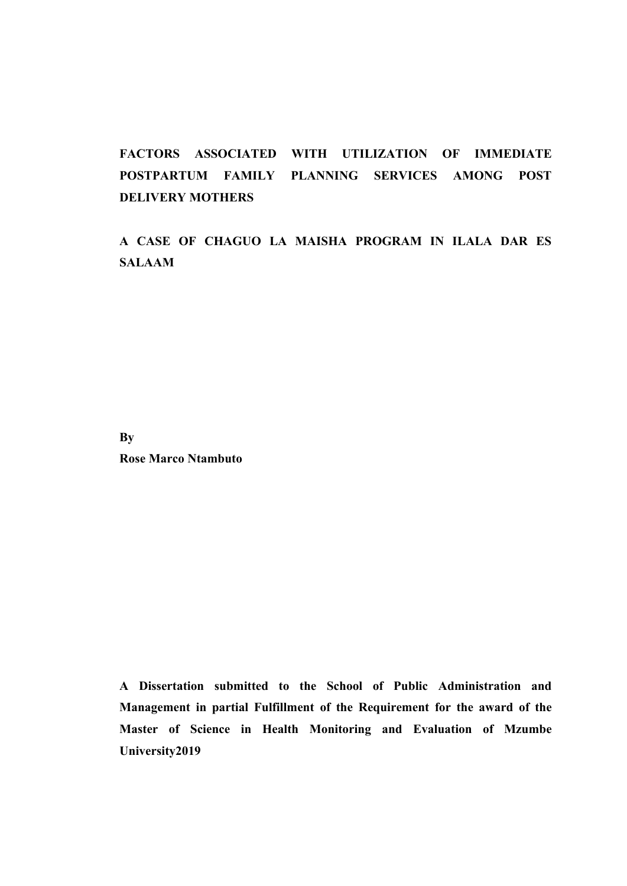# **FACTORS ASSOCIATED WITH UTILIZATION OF IMMEDIATE POSTPARTUM FAMILY PLANNING SERVICES AMONG POST DELIVERY MOTHERS**

**A CASE OF CHAGUO LA MAISHA PROGRAM IN ILALA DAR ES SALAAM**

**By**

**Rose Marco Ntambuto**

**A Dissertation submitted to the School of Public Administration and Management in partial Fulfillment of the Requirement for the award of the Master of Science in Health Monitoring and Evaluation of Mzumbe University2019**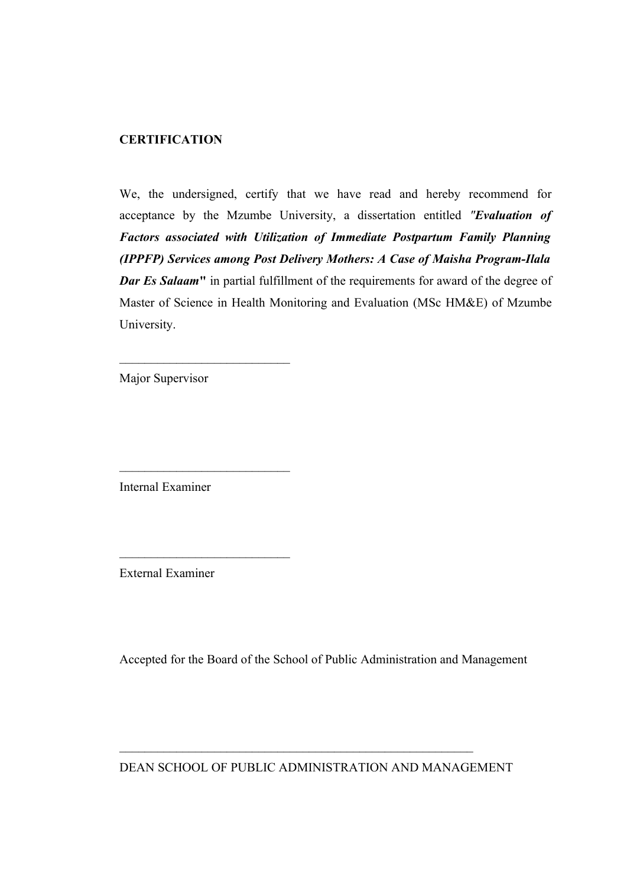### **CERTIFICATION**

We, the undersigned, certify that we have read and hereby recommend for acceptance by the Mzumbe University, a dissertation entitled *"Evaluation of Factors associated with Utilization of Immediate Postpartum Family Planning (IPPFP) Services among Post Delivery Mothers: A Case of Maisha Program-Ilala Dar Es Salaam* in partial fulfillment of the requirements for award of the degree of Master of Science in Health Monitoring and Evaluation (MSc HM&E) of Mzumbe University.

Major Supervisor

 $\mathcal{L}=\mathcal{L}=\mathcal{L}=\mathcal{L}=\mathcal{L}=\mathcal{L}=\mathcal{L}=\mathcal{L}=\mathcal{L}=\mathcal{L}=\mathcal{L}=\mathcal{L}=\mathcal{L}=\mathcal{L}=\mathcal{L}=\mathcal{L}=\mathcal{L}=\mathcal{L}=\mathcal{L}=\mathcal{L}=\mathcal{L}=\mathcal{L}=\mathcal{L}=\mathcal{L}=\mathcal{L}=\mathcal{L}=\mathcal{L}=\mathcal{L}=\mathcal{L}=\mathcal{L}=\mathcal{L}=\mathcal{L}=\mathcal{L}=\mathcal{L}=\mathcal{L}=\mathcal{L}=\mathcal{$ 

 $\mathcal{L}=\mathcal{L}=\mathcal{L}=\mathcal{L}=\mathcal{L}=\mathcal{L}=\mathcal{L}=\mathcal{L}=\mathcal{L}=\mathcal{L}=\mathcal{L}=\mathcal{L}=\mathcal{L}=\mathcal{L}=\mathcal{L}=\mathcal{L}=\mathcal{L}=\mathcal{L}=\mathcal{L}=\mathcal{L}=\mathcal{L}=\mathcal{L}=\mathcal{L}=\mathcal{L}=\mathcal{L}=\mathcal{L}=\mathcal{L}=\mathcal{L}=\mathcal{L}=\mathcal{L}=\mathcal{L}=\mathcal{L}=\mathcal{L}=\mathcal{L}=\mathcal{L}=\mathcal{L}=\mathcal{$ 

 $\mathcal{L}=\mathcal{L}=\mathcal{L}=\mathcal{L}=\mathcal{L}=\mathcal{L}=\mathcal{L}=\mathcal{L}=\mathcal{L}=\mathcal{L}=\mathcal{L}=\mathcal{L}=\mathcal{L}=\mathcal{L}=\mathcal{L}=\mathcal{L}=\mathcal{L}=\mathcal{L}=\mathcal{L}=\mathcal{L}=\mathcal{L}=\mathcal{L}=\mathcal{L}=\mathcal{L}=\mathcal{L}=\mathcal{L}=\mathcal{L}=\mathcal{L}=\mathcal{L}=\mathcal{L}=\mathcal{L}=\mathcal{L}=\mathcal{L}=\mathcal{L}=\mathcal{L}=\mathcal{L}=\mathcal{$ 

Internal Examiner

External Examiner

Accepted for the Board of the School of Public Administration and Management

DEAN SCHOOL OF PUBLIC ADMINISTRATION AND MANAGEMENT

 $\mathcal{L}_\text{max}$  , and the set of the set of the set of the set of the set of the set of the set of the set of the set of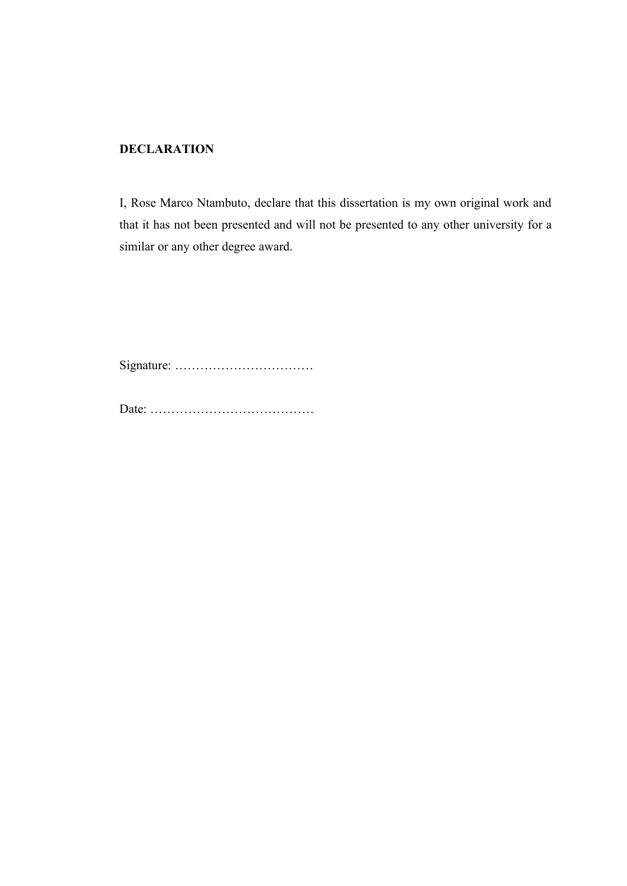## **DECLARATION**

I, Rose Marco Ntambuto, declare that this dissertation is my own original work and that it has not been presented and will not be presented to any other university for a similar or any other degree award.

Signature: ……………………………

Date: …………………………………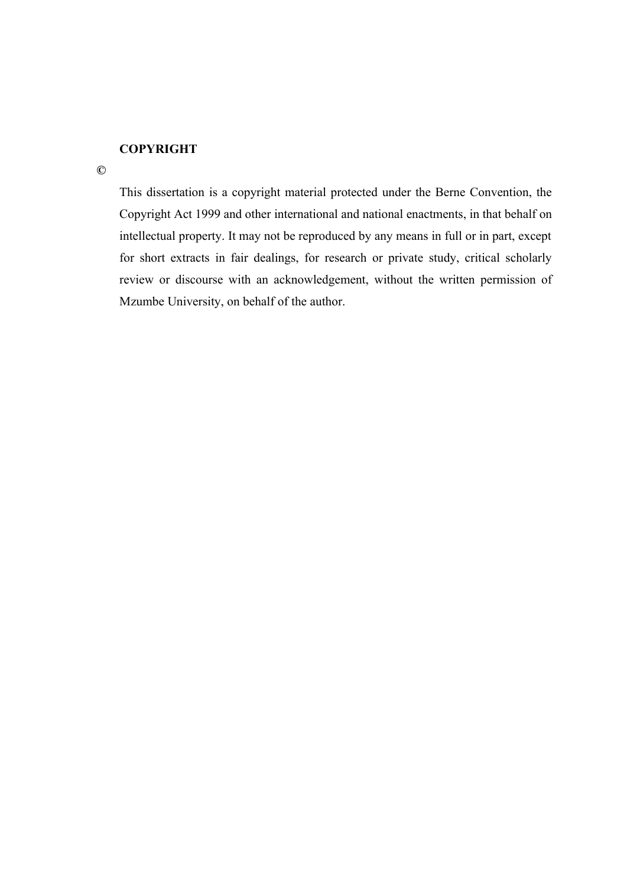## **COPYRIGHT**

**©**

This dissertation is a copyright material protected under the Berne Convention, the Copyright Act 1999 and other international and national enactments, in that behalf on intellectual property. It may not be reproduced by any means in full or in part, except for short extracts in fair dealings, for research or private study, critical scholarly review or discourse with an acknowledgement, without the written permission of Mzumbe University, on behalf of the author.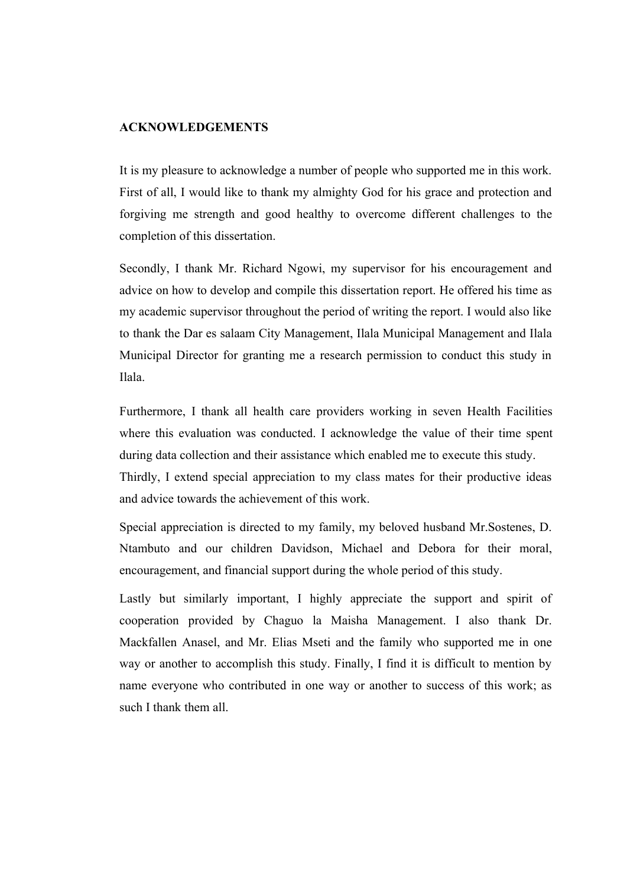#### **ACKNOWLEDGEMENTS**

It is my pleasure to acknowledge a number of people who supported me in this work. First of all, I would like to thank my almighty God for his grace and protection and forgiving me strength and good healthy to overcome different challenges to the completion of this dissertation.

Secondly, I thank Mr. Richard Ngowi, my supervisor for his encouragement and advice on how to develop and compile this dissertation report. He offered his time as my academic supervisor throughout the period of writing the report. I would also like to thank the Dar es salaam City Management, Ilala Municipal Management and Ilala Municipal Director for granting me a research permission to conduct this study in Ilala.

Furthermore, I thank all health care providers working in seven Health Facilities where this evaluation was conducted. I acknowledge the value of their time spent during data collection and their assistance which enabled me to execute this study. Thirdly, I extend special appreciation to my class mates for their productive ideas

and advice towards the achievement of this work.

Special appreciation is directed to my family, my beloved husband Mr.Sostenes, D. Ntambuto and our children Davidson, Michael and Debora for their moral, encouragement, and financial support during the whole period of this study.

Lastly but similarly important, I highly appreciate the support and spirit of cooperation provided by Chaguo la Maisha Management. I also thank Dr. Mackfallen Anasel, and Mr. Elias Mseti and the family who supported me in one way or another to accomplish this study. Finally, I find it is difficult to mention by name everyone who contributed in one way or another to success of this work; as such I thank them all.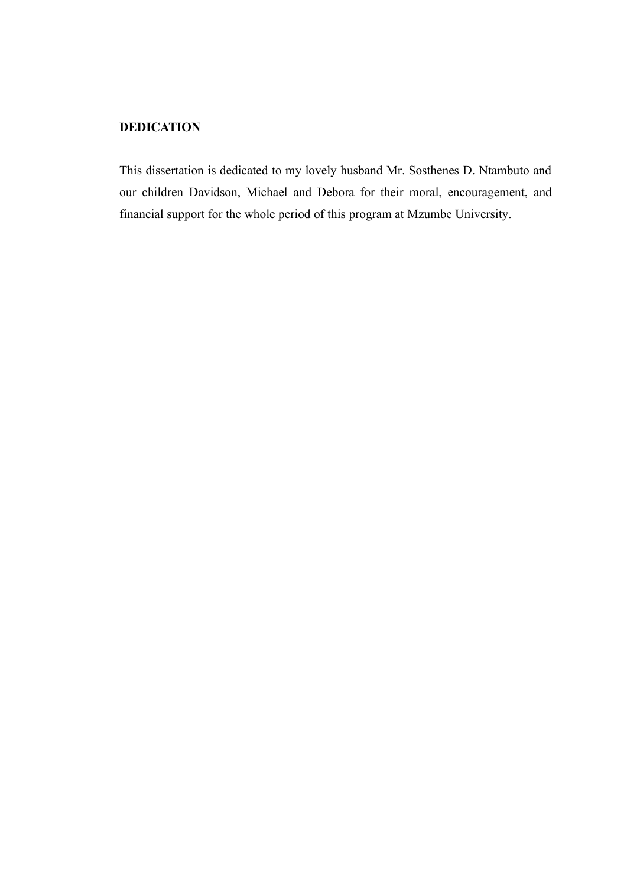## **DEDICATION**

This dissertation is dedicated to my lovely husband Mr. Sosthenes D. Ntambuto and our children Davidson, Michael and Debora for their moral, encouragement, and financial support for the whole period of this program at Mzumbe University.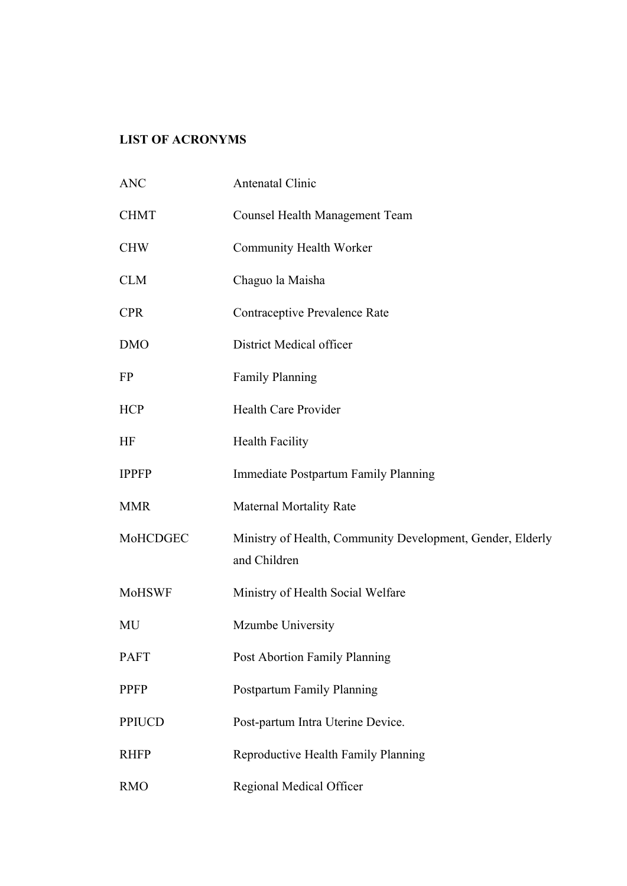## **LIST OF ACRONYMS**

| <b>ANC</b>    | Antenatal Clinic                                                           |
|---------------|----------------------------------------------------------------------------|
| <b>CHMT</b>   | <b>Counsel Health Management Team</b>                                      |
| <b>CHW</b>    | Community Health Worker                                                    |
| <b>CLM</b>    | Chaguo la Maisha                                                           |
| <b>CPR</b>    | Contraceptive Prevalence Rate                                              |
| <b>DMO</b>    | District Medical officer                                                   |
| FP            | <b>Family Planning</b>                                                     |
| <b>HCP</b>    | <b>Health Care Provider</b>                                                |
| HF            | <b>Health Facility</b>                                                     |
| <b>IPPFP</b>  | Immediate Postpartum Family Planning                                       |
| <b>MMR</b>    | <b>Maternal Mortality Rate</b>                                             |
| MoHCDGEC      | Ministry of Health, Community Development, Gender, Elderly<br>and Children |
| <b>MoHSWF</b> | Ministry of Health Social Welfare                                          |
| MU            | Mzumbe University                                                          |
| <b>PAFT</b>   | Post Abortion Family Planning                                              |
| <b>PPFP</b>   | Postpartum Family Planning                                                 |
| <b>PPIUCD</b> | Post-partum Intra Uterine Device.                                          |
| <b>RHFP</b>   | Reproductive Health Family Planning                                        |
| <b>RMO</b>    | Regional Medical Officer                                                   |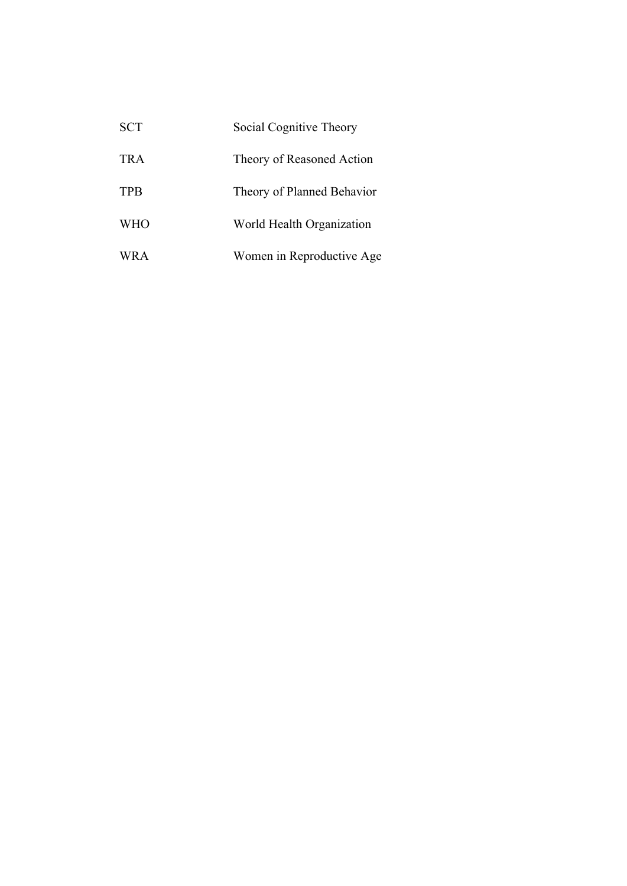| <b>SCT</b> | Social Cognitive Theory    |
|------------|----------------------------|
| TRA        | Theory of Reasoned Action  |
| <b>TPB</b> | Theory of Planned Behavior |
| <b>WHO</b> | World Health Organization  |
| WR A       | Women in Reproductive Age  |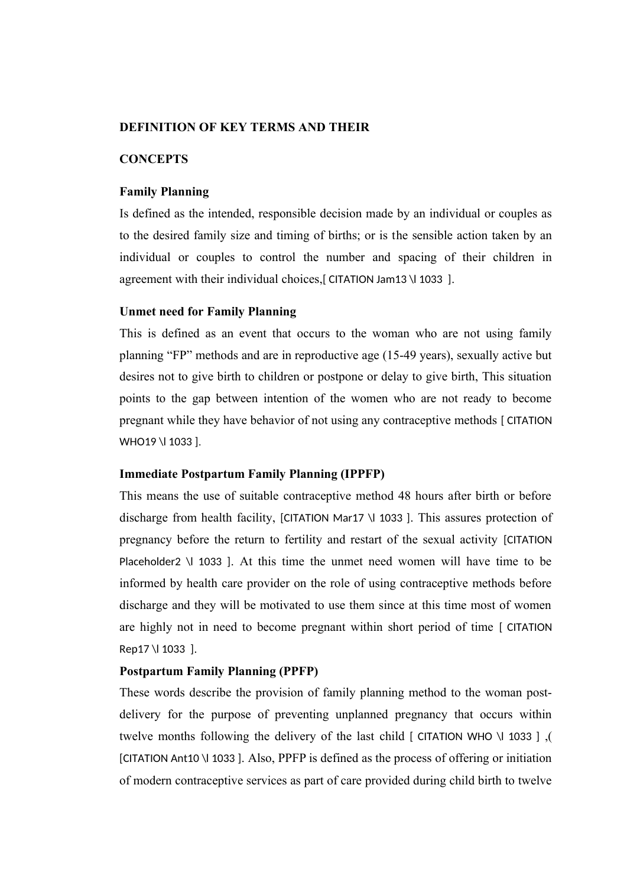### **DEFINITION OF KEY TERMS AND THEIR**

### **CONCEPTS**

### **Family Planning**

Is defined as the intended, responsible decision made by an individual or couples as to the desired family size and timing of births; or is the sensible action taken by an individual or couples to control the number and spacing of their children in agreement with their individual choices,[ CITATION Jam13 \l 1033 ].

### **Unmet need for Family Planning**

This is defined as an event that occurs to the woman who are not using family planning "FP" methods and are in reproductive age (15-49 years), sexually active but desires not to give birth to children or postpone or delay to give birth, This situation points to the gap between intention of the women who are not ready to become pregnant while they have behavior of not using any contraceptive methods [ CITATION WHO19 \I 1033 ].

### **Immediate Postpartum Family Planning (IPPFP)**

This means the use of suitable contraceptive method 48 hours after birth or before discharge from health facility, [CITATION Mar17 \l 1033 ]. This assures protection of pregnancy before the return to fertility and restart of the sexual activity [CITATION Placeholder2 \l 1033 ]. At this time the unmet need women will have time to be informed by health care provider on the role of using contraceptive methods before discharge and they will be motivated to use them since at this time most of women are highly not in need to become pregnant within short period of time [ CITATION Rep17 \l 1033 ].

#### **Postpartum Family Planning (PPFP)**

These words describe the provision of family planning method to the woman postdelivery for the purpose of preventing unplanned pregnancy that occurs within twelve months following the delivery of the last child [ CITATION WHO \l 1033 ] ,( [CITATION Ant10 \l 1033 ]. Also, PPFP is defined as the process of offering or initiation of modern contraceptive services as part of care provided during child birth to twelve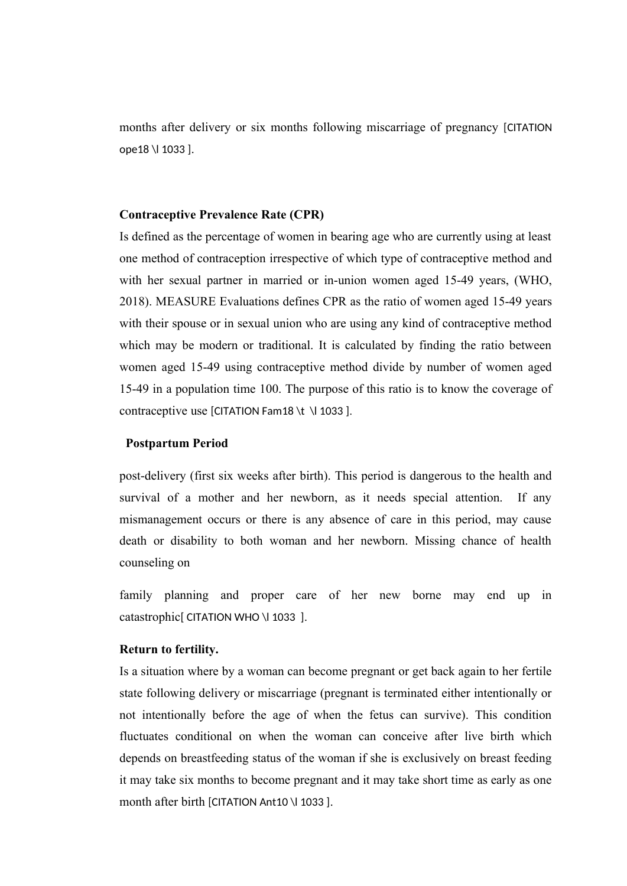months after delivery or six months following miscarriage of pregnancy [CITATION ope18 \l 1033 ].

### **Contraceptive Prevalence Rate (CPR)**

Is defined as the percentage of women in bearing age who are currently using at least one method of contraception irrespective of which type of contraceptive method and with her sexual partner in married or in-union women aged 15-49 years, (WHO, 2018). MEASURE Evaluations defines CPR as the ratio of women aged 15-49 years with their spouse or in sexual union who are using any kind of contraceptive method which may be modern or traditional. It is calculated by finding the ratio between women aged 15-49 using contraceptive method divide by number of women aged 15-49 in a population time 100. The purpose of this ratio is to know the coverage of contraceptive use [CITATION Fam18 \t \l 1033 ].

#### **Postpartum Period**

post-delivery (first six weeks after birth). This period is dangerous to the health and survival of a mother and her newborn, as it needs special attention. If any mismanagement occurs or there is any absence of care in this period, may cause death or disability to both woman and her newborn. Missing chance of health counseling on

family planning and proper care of her new borne may end up in catastrophic<sup>[</sup> CITATION WHO \l 1033 ].

### **Return to fertility.**

Is a situation where by a woman can become pregnant or get back again to her fertile state following delivery or miscarriage (pregnant is terminated either intentionally or not intentionally before the age of when the fetus can survive). This condition fluctuates conditional on when the woman can conceive after live birth which depends on breastfeeding status of the woman if she is exclusively on breast feeding it may take six months to become pregnant and it may take short time as early as one month after birth [CITATION Ant10 \| 1033 ].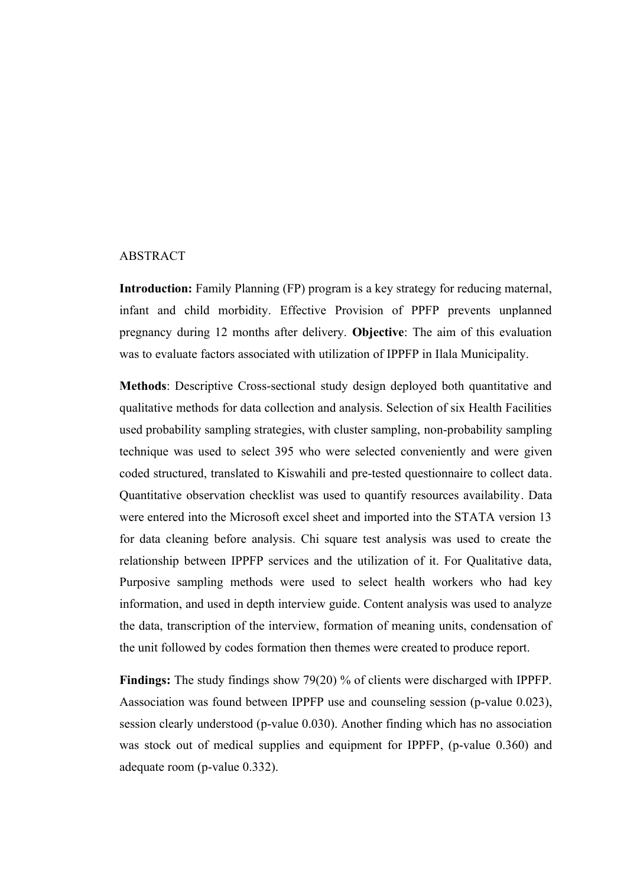### ABSTRACT

**Introduction:** Family Planning (FP) program is a key strategy for reducing maternal, infant and child morbidity. Effective Provision of PPFP prevents unplanned pregnancy during 12 months after delivery. **Objective**: The aim of this evaluation was to evaluate factors associated with utilization of IPPFP in Ilala Municipality.

**Methods**: Descriptive Cross-sectional study design deployed both quantitative and qualitative methods for data collection and analysis. Selection of six Health Facilities used probability sampling strategies, with cluster sampling, non-probability sampling technique was used to select 395 who were selected conveniently and were given coded structured, translated to Kiswahili and pre-tested questionnaire to collect data. Quantitative observation checklist was used to quantify resources availability. Data were entered into the Microsoft excel sheet and imported into the STATA version 13 for data cleaning before analysis. Chi square test analysis was used to create the relationship between IPPFP services and the utilization of it. For Qualitative data, Purposive sampling methods were used to select health workers who had key information, and used in depth interview guide. Content analysis was used to analyze the data, transcription of the interview, formation of meaning units, condensation of the unit followed by codes formation then themes were created to produce report.

**Findings:** The study findings show 79(20) % of clients were discharged with IPPFP. Aassociation was found between IPPFP use and counseling session (p-value 0.023), session clearly understood (p-value 0.030). Another finding which has no association was stock out of medical supplies and equipment for IPPFP, (p-value 0.360) and adequate room (p-value 0.332).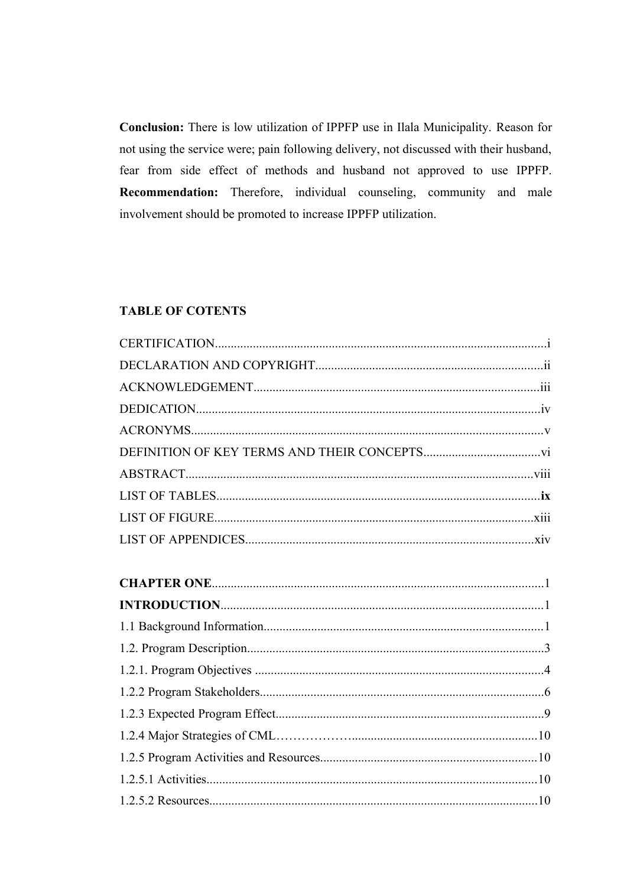Conclusion: There is low utilization of IPPFP use in Ilala Municipality. Reason for not using the service were; pain following delivery, not discussed with their husband, fear from side effect of methods and husband not approved to use IPPFP. Recommendation: Therefore, individual counseling, community and male involvement should be promoted to increase IPPFP utilization.

## **TABLE OF COTENTS**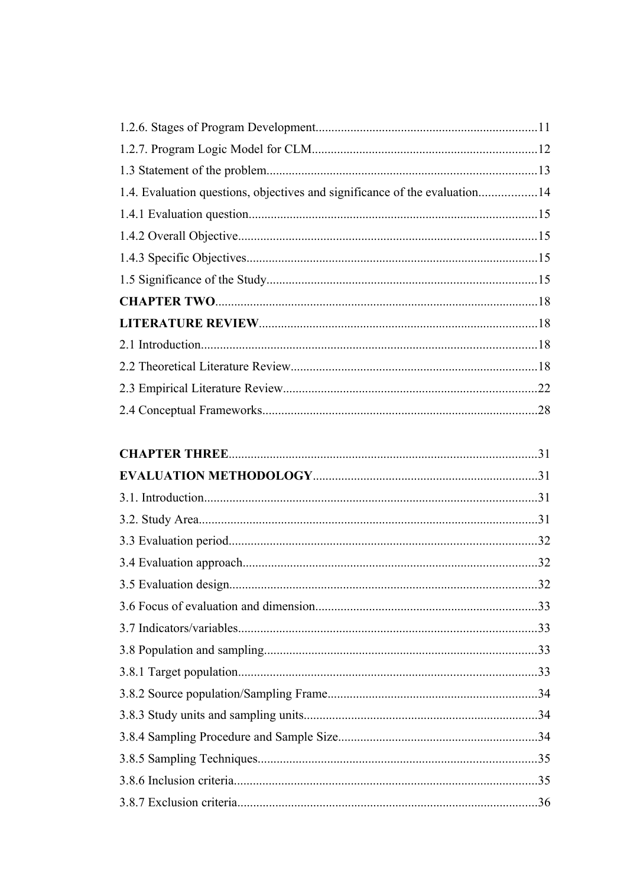| 1.4. Evaluation questions, objectives and significance of the evaluation14 |  |
|----------------------------------------------------------------------------|--|
|                                                                            |  |
|                                                                            |  |
|                                                                            |  |
|                                                                            |  |
|                                                                            |  |
|                                                                            |  |
|                                                                            |  |
|                                                                            |  |
|                                                                            |  |
|                                                                            |  |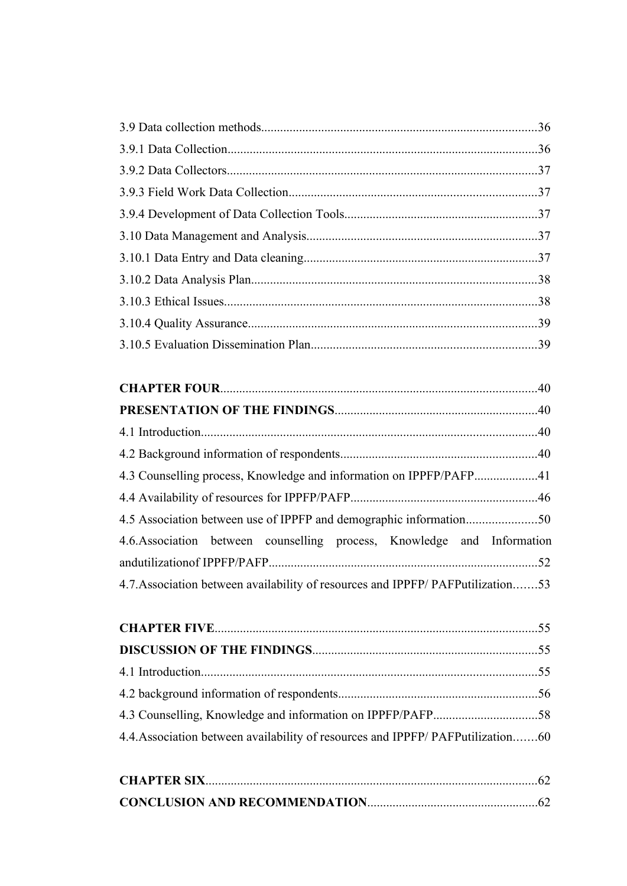| 4.3 Counselling process, Knowledge and information on IPPFP/PAFP41             |  |
|--------------------------------------------------------------------------------|--|
|                                                                                |  |
|                                                                                |  |
| 4.6. Association between counselling process, Knowledge and Information        |  |
|                                                                                |  |
| 4.7. Association between availability of resources and IPPFP/PAFPutilization53 |  |
|                                                                                |  |

| 4.4. Association between availability of resources and IPPFP/PAFPutilization60 |  |
|--------------------------------------------------------------------------------|--|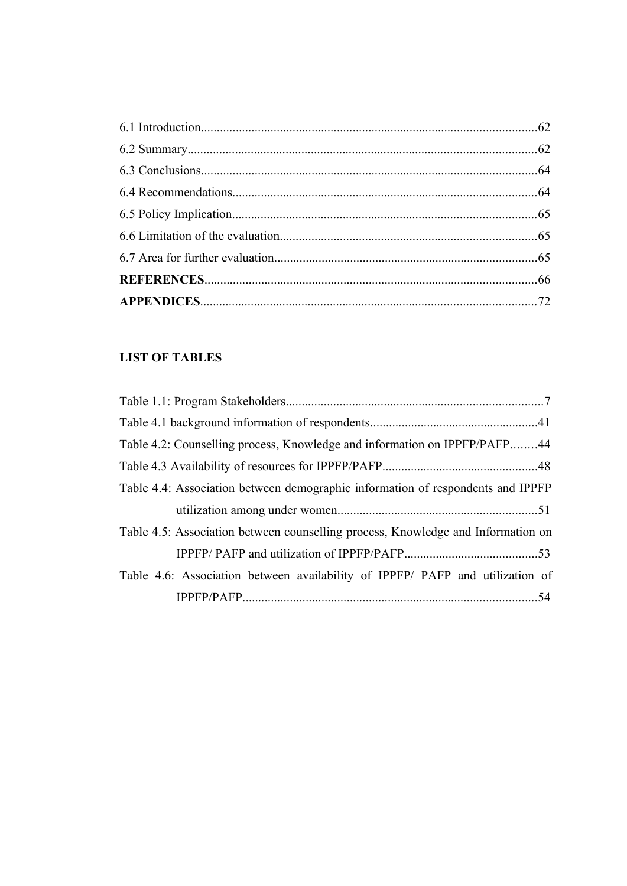## **LIST OF TABLES**

| Table 4.2: Counselling process, Knowledge and information on IPPFP/PAFP44        |  |
|----------------------------------------------------------------------------------|--|
|                                                                                  |  |
| Table 4.4: Association between demographic information of respondents and IPPFP  |  |
|                                                                                  |  |
| Table 4.5: Association between counselling process, Knowledge and Information on |  |
|                                                                                  |  |
| Table 4.6: Association between availability of IPPFP/ PAFP and utilization of    |  |
|                                                                                  |  |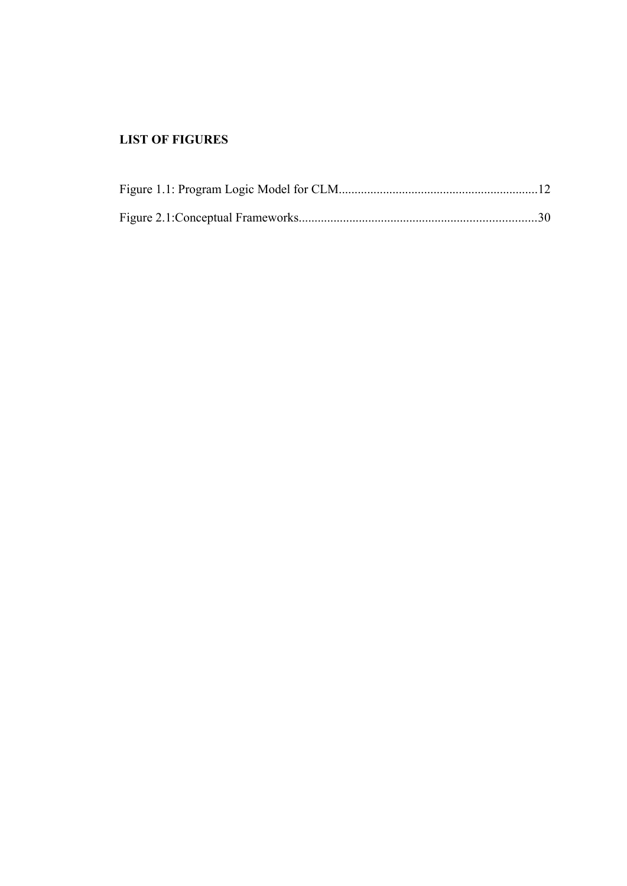## **LIST OF FIGURES**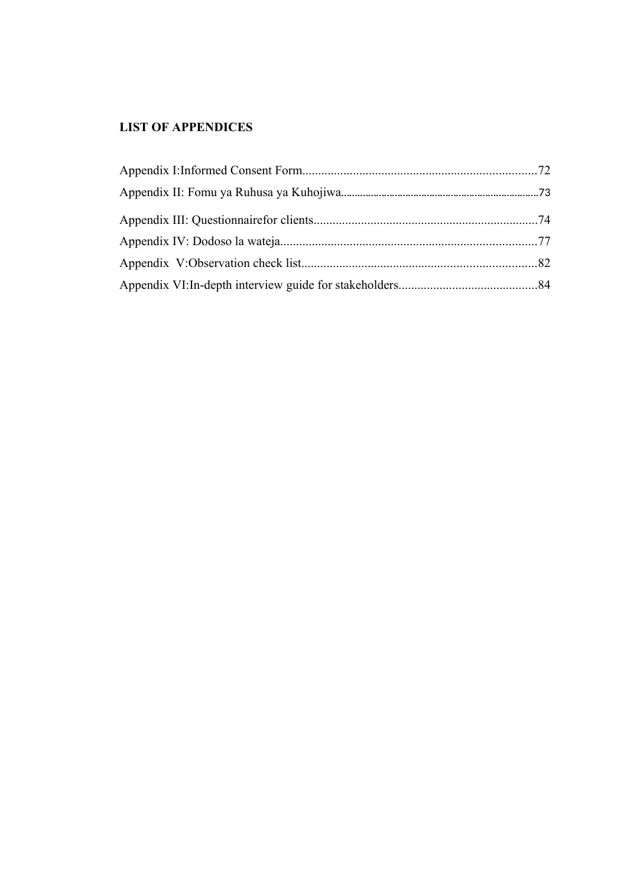## **LIST OF APPENDICES**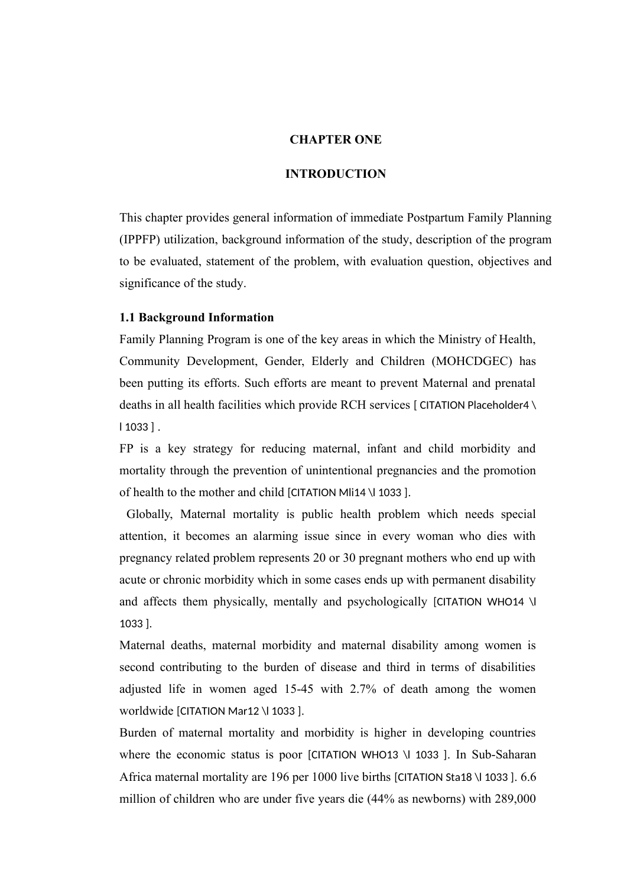#### **CHAPTER ONE**

#### **INTRODUCTION**

This chapter provides general information of immediate Postpartum Family Planning (IPPFP) utilization, background information of the study, description of the program to be evaluated, statement of the problem, with evaluation question, objectives and significance of the study.

### **1.1 Background Information**

Family Planning Program is one of the key areas in which the Ministry of Health, Community Development, Gender, Elderly and Children (MOHCDGEC) has been putting its efforts. Such efforts are meant to prevent Maternal and prenatal deaths in all health facilities which provide RCH services [ CITATION Placeholder4 \ l 1033 ] .

FP is a key strategy for reducing maternal, infant and child morbidity and mortality through the prevention of unintentional pregnancies and the promotion of health to the mother and child [CITATION Mli14 \l 1033 ].

 Globally, Maternal mortality is public health problem which needs special attention, it becomes an alarming issue since in every woman who dies with pregnancy related problem represents 20 or 30 pregnant mothers who end up with acute or chronic morbidity which in some cases ends up with permanent disability and affects them physically, mentally and psychologically [CITATION WHO14 \l 1033 ].

Maternal deaths, maternal morbidity and maternal disability among women is second contributing to the burden of disease and third in terms of disabilities adjusted life in women aged 15-45 with 2.7% of death among the women worldwide [CITATION Mar12 \l 1033 ].

Burden of maternal mortality and morbidity is higher in developing countries where the economic status is poor [CITATION WHO13 \l 1033 ]. In Sub-Saharan Africa maternal mortality are 196 per 1000 live births [CITATION Sta18 \l 1033 ]. 6.6 million of children who are under five years die (44% as newborns) with 289,000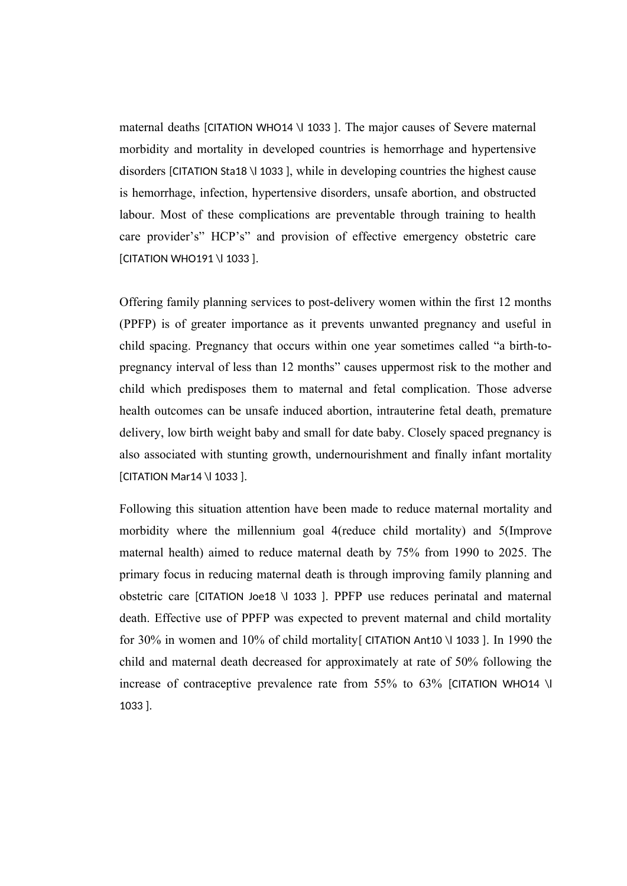maternal deaths [CITATION WHO14 \l 1033 ]. The major causes of Severe maternal morbidity and mortality in developed countries is hemorrhage and hypertensive disorders [CITATION Sta18 \l 1033 ], while in developing countries the highest cause is hemorrhage, infection, hypertensive disorders, unsafe abortion, and obstructed labour. Most of these complications are preventable through training to health care provider's" HCP's" and provision of effective emergency obstetric care [CITATION WHO191 \l 1033 ].

Offering family planning services to post-delivery women within the first 12 months (PPFP) is of greater importance as it prevents unwanted pregnancy and useful in child spacing. Pregnancy that occurs within one year sometimes called "a birth-topregnancy interval of less than 12 months" causes uppermost risk to the mother and child which predisposes them to maternal and fetal complication. Those adverse health outcomes can be unsafe induced abortion, intrauterine fetal death, premature delivery, low birth weight baby and small for date baby. Closely spaced pregnancy is also associated with stunting growth, undernourishment and finally infant mortality [CITATION Mar14 \l 1033 ].

Following this situation attention have been made to reduce maternal mortality and morbidity where the millennium goal 4(reduce child mortality) and 5(Improve maternal health) aimed to reduce maternal death by 75% from 1990 to 2025. The primary focus in reducing maternal death is through improving family planning and obstetric care [CITATION Joe18 \l 1033 ]. PPFP use reduces perinatal and maternal death. Effective use of PPFP was expected to prevent maternal and child mortality for 30% in women and 10% of child mortality[ CITATION Ant10 \l 1033 ]. In 1990 the child and maternal death decreased for approximately at rate of 50% following the increase of contraceptive prevalence rate from 55% to 63% [CITATION WHO14 \l 1033 ].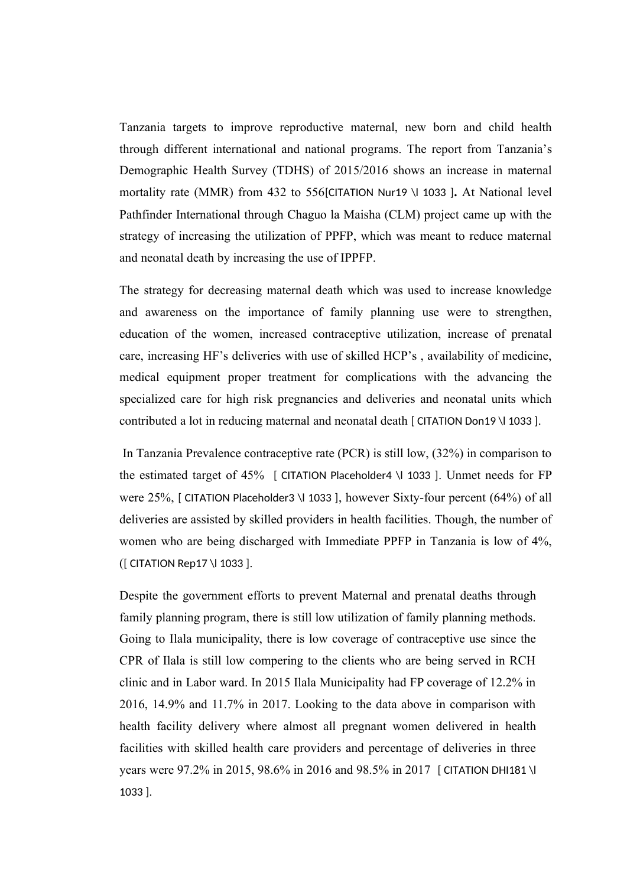Tanzania targets to improve reproductive maternal, new born and child health through different international and national programs. The report from Tanzania's Demographic Health Survey (TDHS) of 2015/2016 shows an increase in maternal mortality rate (MMR) from 432 to 556[CITATION Nur19 \l 1033 ]**.** At National level Pathfinder International through Chaguo la Maisha (CLM) project came up with the strategy of increasing the utilization of PPFP, which was meant to reduce maternal and neonatal death by increasing the use of IPPFP.

The strategy for decreasing maternal death which was used to increase knowledge and awareness on the importance of family planning use were to strengthen, education of the women, increased contraceptive utilization, increase of prenatal care, increasing HF's deliveries with use of skilled HCP's , availability of medicine, medical equipment proper treatment for complications with the advancing the specialized care for high risk pregnancies and deliveries and neonatal units which contributed a lot in reducing maternal and neonatal death [ CITATION Don19 \l 1033 ].

 In Tanzania Prevalence contraceptive rate (PCR) is still low, (32%) in comparison to the estimated target of 45% [ CITATION Placeholder4 \l 1033 ]. Unmet needs for FP were 25%, [ CITATION Placeholder3 \l 1033 ], however Sixty-four percent (64%) of all deliveries are assisted by skilled providers in health facilities. Though, the number of women who are being discharged with Immediate PPFP in Tanzania is low of 4%, ([ CITATION Rep17 \l 1033 ].

Despite the government efforts to prevent Maternal and prenatal deaths through family planning program, there is still low utilization of family planning methods. Going to Ilala municipality, there is low coverage of contraceptive use since the CPR of Ilala is still low compering to the clients who are being served in RCH clinic and in Labor ward. In 2015 Ilala Municipality had FP coverage of 12.2% in 2016, 14.9% and 11.7% in 2017. Looking to the data above in comparison with health facility delivery where almost all pregnant women delivered in health facilities with skilled health care providers and percentage of deliveries in three years were 97.2% in 2015, 98.6% in 2016 and 98.5% in 2017 [ CITATION DHI181 \l 1033 ].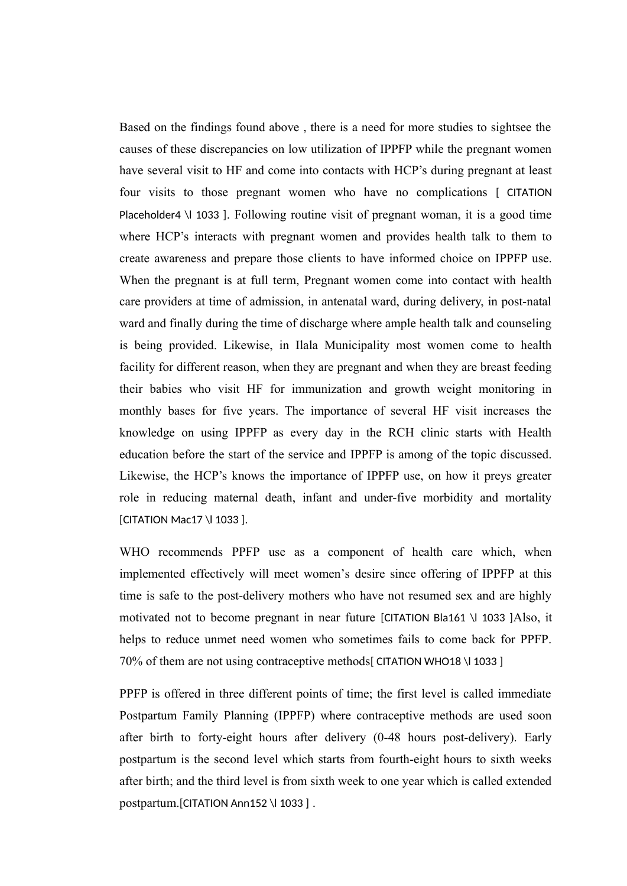Based on the findings found above , there is a need for more studies to sightsee the causes of these discrepancies on low utilization of IPPFP while the pregnant women have several visit to HF and come into contacts with HCP's during pregnant at least four visits to those pregnant women who have no complications [ CITATION Placeholder4 \l 1033 ]. Following routine visit of pregnant woman, it is a good time where HCP's interacts with pregnant women and provides health talk to them to create awareness and prepare those clients to have informed choice on IPPFP use. When the pregnant is at full term, Pregnant women come into contact with health care providers at time of admission, in antenatal ward, during delivery, in post-natal ward and finally during the time of discharge where ample health talk and counseling is being provided. Likewise, in Ilala Municipality most women come to health facility for different reason, when they are pregnant and when they are breast feeding their babies who visit HF for immunization and growth weight monitoring in monthly bases for five years. The importance of several HF visit increases the knowledge on using IPPFP as every day in the RCH clinic starts with Health education before the start of the service and IPPFP is among of the topic discussed. Likewise, the HCP's knows the importance of IPPFP use, on how it preys greater role in reducing maternal death, infant and under-five morbidity and mortality [CITATION Mac17 \l 1033 ].

WHO recommends PPFP use as a component of health care which, when implemented effectively will meet women's desire since offering of IPPFP at this time is safe to the post-delivery mothers who have not resumed sex and are highly motivated not to become pregnant in near future [CITATION Bla161 \l 1033 ]Also, it helps to reduce unmet need women who sometimes fails to come back for PPFP. 70% of them are not using contraceptive methods[ CITATION WHO18 \l 1033 ]

PPFP is offered in three different points of time; the first level is called immediate Postpartum Family Planning (IPPFP) where contraceptive methods are used soon after birth to forty-eight hours after delivery (0-48 hours post-delivery). Early postpartum is the second level which starts from fourth-eight hours to sixth weeks after birth; and the third level is from sixth week to one year which is called extended postpartum.[CITATION Ann152 \l 1033 ].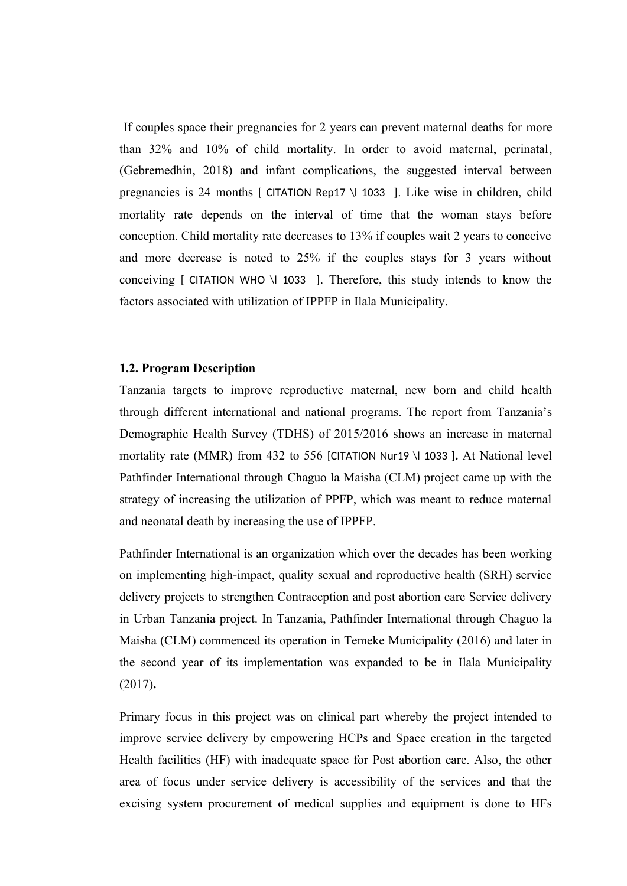If couples space their pregnancies for 2 years can prevent maternal deaths for more than 32% and 10% of child mortality. In order to avoid maternal, perinatal, (Gebremedhin, 2018) and infant complications, the suggested interval between pregnancies is 24 months [ CITATION Rep17 \l 1033 ]. Like wise in children, child mortality rate depends on the interval of time that the woman stays before conception. Child mortality rate decreases to 13% if couples wait 2 years to conceive and more decrease is noted to 25% if the couples stays for 3 years without conceiving [ CITATION WHO \l 1033 ]. Therefore, this study intends to know the factors associated with utilization of IPPFP in Ilala Municipality.

### **1.2. Program Description**

Tanzania targets to improve reproductive maternal, new born and child health through different international and national programs. The report from Tanzania's Demographic Health Survey (TDHS) of 2015/2016 shows an increase in maternal mortality rate (MMR) from 432 to 556 [CITATION Nur19 \l 1033 ]**.** At National level Pathfinder International through Chaguo la Maisha (CLM) project came up with the strategy of increasing the utilization of PPFP, which was meant to reduce maternal and neonatal death by increasing the use of IPPFP.

Pathfinder International is an organization which over the decades has been working on implementing high-impact, quality sexual and reproductive health (SRH) service delivery projects to strengthen Contraception and post abortion care Service delivery in Urban Tanzania project. In Tanzania, Pathfinder International through Chaguo la Maisha (CLM) commenced its operation in Temeke Municipality (2016) and later in the second year of its implementation was expanded to be in Ilala Municipality (2017)**.**

Primary focus in this project was on clinical part whereby the project intended to improve service delivery by empowering HCPs and Space creation in the targeted Health facilities (HF) with inadequate space for Post abortion care. Also, the other area of focus under service delivery is accessibility of the services and that the excising system procurement of medical supplies and equipment is done to HFs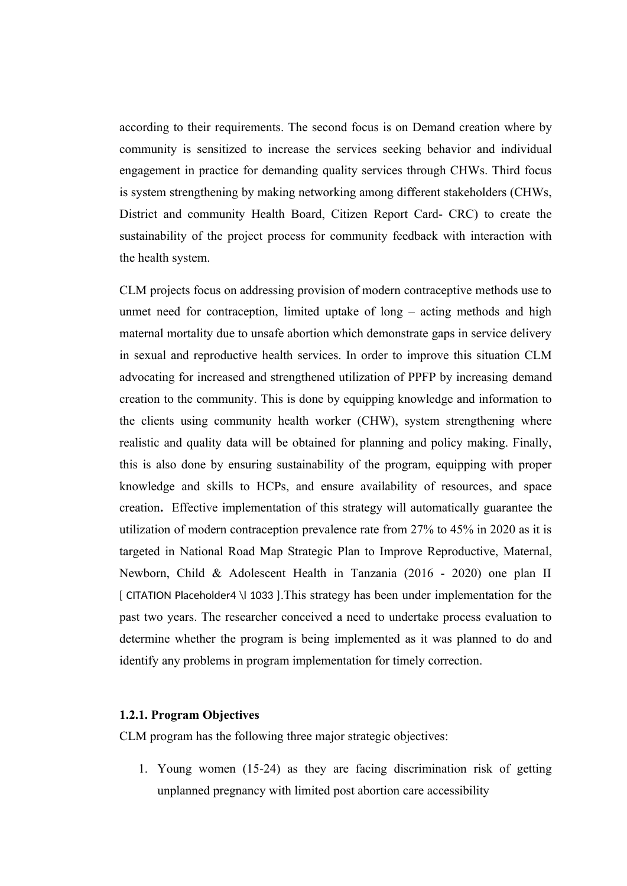according to their requirements. The second focus is on Demand creation where by community is sensitized to increase the services seeking behavior and individual engagement in practice for demanding quality services through CHWs. Third focus is system strengthening by making networking among different stakeholders (CHWs, District and community Health Board, Citizen Report Card- CRC) to create the sustainability of the project process for community feedback with interaction with the health system.

CLM projects focus on addressing provision of modern contraceptive methods use to unmet need for contraception, limited uptake of long – acting methods and high maternal mortality due to unsafe abortion which demonstrate gaps in service delivery in sexual and reproductive health services. In order to improve this situation CLM advocating for increased and strengthened utilization of PPFP by increasing demand creation to the community. This is done by equipping knowledge and information to the clients using community health worker (CHW), system strengthening where realistic and quality data will be obtained for planning and policy making. Finally, this is also done by ensuring sustainability of the program, equipping with proper knowledge and skills to HCPs, and ensure availability of resources, and space creation**.** Effective implementation of this strategy will automatically guarantee the utilization of modern contraception prevalence rate from 27% to 45% in 2020 as it is targeted in National Road Map Strategic Plan to Improve Reproductive, Maternal, Newborn, Child & Adolescent Health in Tanzania (2016 - 2020) one plan II [ CITATION Placeholder4 \l 1033 ].This strategy has been under implementation for the past two years. The researcher conceived a need to undertake process evaluation to determine whether the program is being implemented as it was planned to do and identify any problems in program implementation for timely correction.

### **1.2.1. Program Objectives**

CLM program has the following three major strategic objectives:

1. Young women (15-24) as they are facing discrimination risk of getting unplanned pregnancy with limited post abortion care accessibility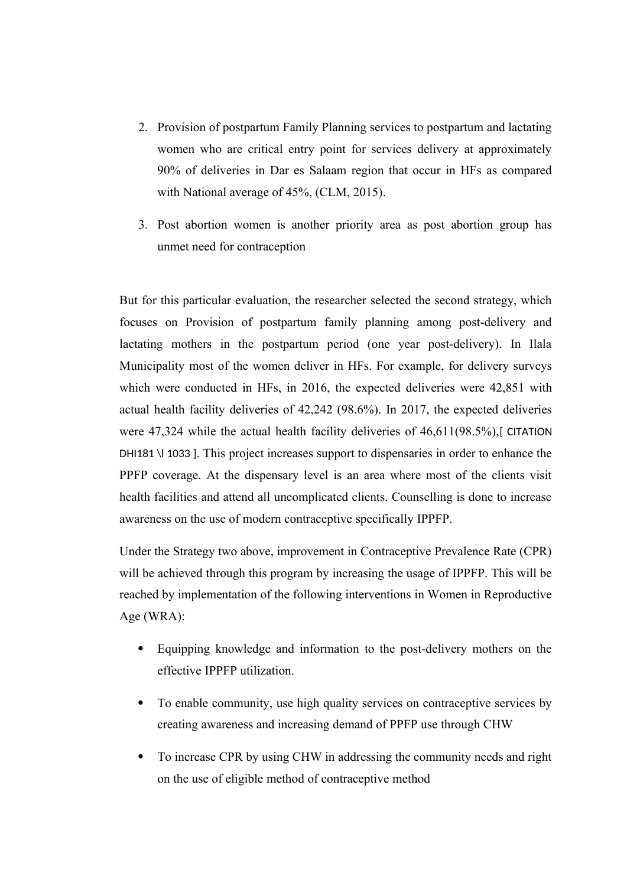- 2. Provision of postpartum Family Planning services to postpartum and lactating women who are critical entry point for services delivery at approximately 90% of deliveries in Dar es Salaam region that occur in HFs as compared with National average of 45%, (CLM, 2015).
- 3. Post abortion women is another priority area as post abortion group has unmet need for contraception

But for this particular evaluation, the researcher selected the second strategy, which focuses on Provision of postpartum family planning among post-delivery and lactating mothers in the postpartum period (one year post-delivery). In Ilala Municipality most of the women deliver in HFs. For example, for delivery surveys which were conducted in HFs, in 2016, the expected deliveries were 42,851 with actual health facility deliveries of 42,242 (98.6%). In 2017, the expected deliveries were 47,324 while the actual health facility deliveries of 46,611(98.5%),[ CITATION DHI181 \l 1033 ]. This project increases support to dispensaries in order to enhance the PPFP coverage. At the dispensary level is an area where most of the clients visit health facilities and attend all uncomplicated clients. Counselling is done to increase awareness on the use of modern contraceptive specifically IPPFP.

Under the Strategy two above, improvement in Contraceptive Prevalence Rate (CPR) will be achieved through this program by increasing the usage of IPPFP. This will be reached by implementation of the following interventions in Women in Reproductive Age (WRA):

- Equipping knowledge and information to the post-delivery mothers on the effective IPPFP utilization.
- To enable community, use high quality services on contraceptive services by creating awareness and increasing demand of PPFP use through CHW
- To increase CPR by using CHW in addressing the community needs and right on the use of eligible method of contraceptive method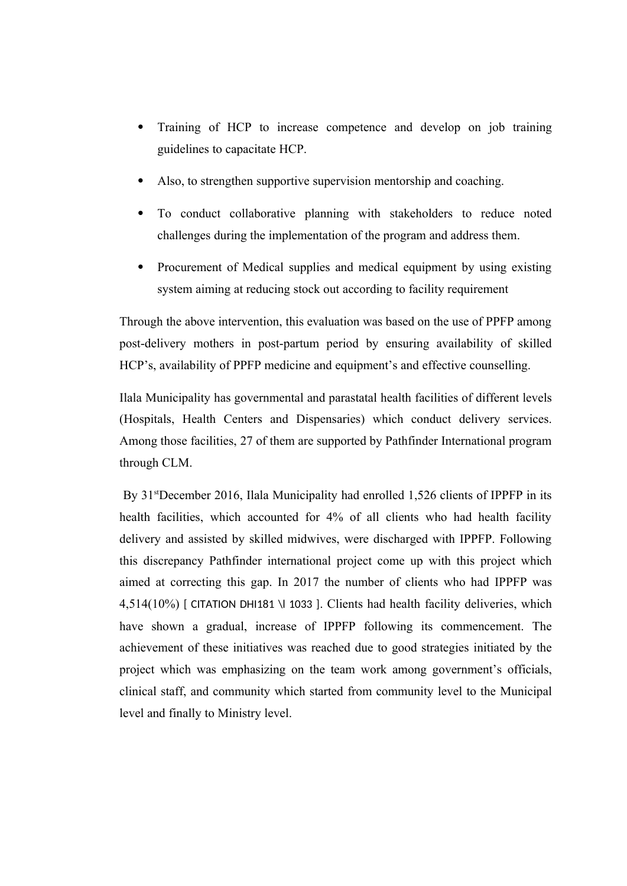- Training of HCP to increase competence and develop on job training guidelines to capacitate HCP.
- Also, to strengthen supportive supervision mentorship and coaching.
- To conduct collaborative planning with stakeholders to reduce noted challenges during the implementation of the program and address them.
- Procurement of Medical supplies and medical equipment by using existing system aiming at reducing stock out according to facility requirement

Through the above intervention, this evaluation was based on the use of PPFP among post-delivery mothers in post-partum period by ensuring availability of skilled HCP's, availability of PPFP medicine and equipment's and effective counselling.

Ilala Municipality has governmental and parastatal health facilities of different levels (Hospitals, Health Centers and Dispensaries) which conduct delivery services. Among those facilities, 27 of them are supported by Pathfinder International program through CLM.

By 31<sup>st</sup>December 2016, Ilala Municipality had enrolled 1,526 clients of IPPFP in its health facilities, which accounted for 4% of all clients who had health facility delivery and assisted by skilled midwives, were discharged with IPPFP. Following this discrepancy Pathfinder international project come up with this project which aimed at correcting this gap. In 2017 the number of clients who had IPPFP was 4,514(10%) [ CITATION DHI181 \l 1033 ]. Clients had health facility deliveries, which have shown a gradual, increase of IPPFP following its commencement. The achievement of these initiatives was reached due to good strategies initiated by the project which was emphasizing on the team work among government's officials, clinical staff, and community which started from community level to the Municipal level and finally to Ministry level.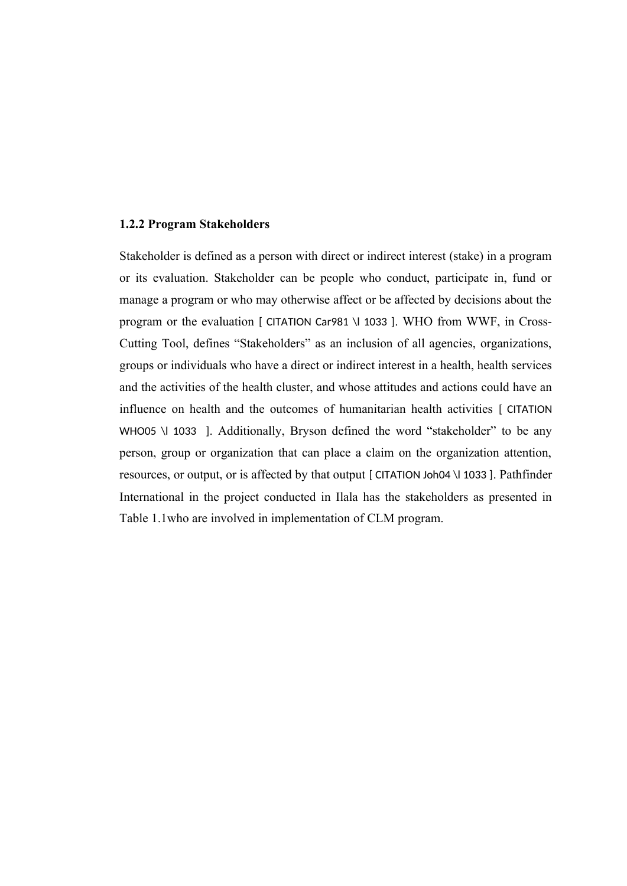### **1.2.2 Program Stakeholders**

Stakeholder is defined as a person with direct or indirect interest (stake) in a program or its evaluation. Stakeholder can be people who conduct, participate in, fund or manage a program or who may otherwise affect or be affected by decisions about the program or the evaluation [ CITATION Car981 \l 1033 ]. WHO from WWF, in Cross-Cutting Tool, defines "Stakeholders" as an inclusion of all agencies, organizations, groups or individuals who have a direct or indirect interest in a health, health services and the activities of the health cluster, and whose attitudes and actions could have an influence on health and the outcomes of humanitarian health activities [ CITATION WHO05 \l 1033 ]. Additionally, Bryson defined the word "stakeholder" to be any person, group or organization that can place a claim on the organization attention, resources, or output, or is affected by that output [ CITATION Joh04 \l 1033 ]. Pathfinder International in the project conducted in Ilala has the stakeholders as presented in Table 1.1who are involved in implementation of CLM program.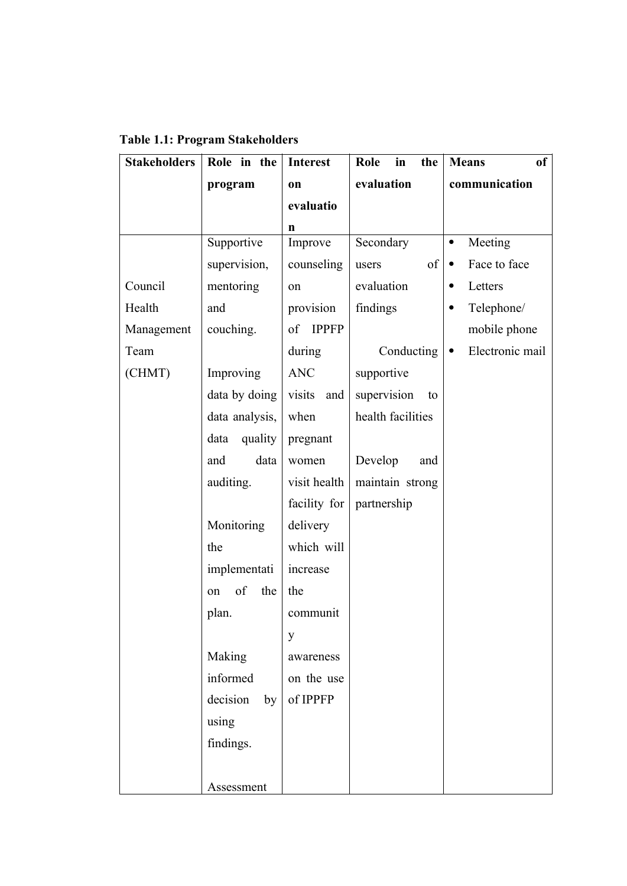| <b>Stakeholders</b> | Role in the     | <b>Interest</b>    | Role<br>in<br>the | <b>Means</b><br>of           |
|---------------------|-----------------|--------------------|-------------------|------------------------------|
|                     | program         | on                 | evaluation        | communication                |
|                     |                 | evaluatio          |                   |                              |
|                     |                 | n                  |                   |                              |
|                     | Supportive      | Improve            | Secondary         | Meeting<br>$\bullet$         |
|                     | supervision,    | counseling         | of<br>users       | Face to face                 |
| Council             | mentoring       | on                 | evaluation        | Letters<br>٠                 |
| Health              | and             | provision          | findings          | Telephone/<br>٠              |
| Management          | couching.       | <b>IPPFP</b><br>of |                   | mobile phone                 |
| Team                |                 | during             | Conducting        | Electronic mail<br>$\bullet$ |
| (CHMT)              | Improving       | <b>ANC</b>         | supportive        |                              |
|                     | data by doing   | visits<br>and      | supervision<br>to |                              |
|                     | data analysis,  | when               | health facilities |                              |
|                     | data<br>quality | pregnant           |                   |                              |
|                     | and<br>data     | women              | Develop<br>and    |                              |
|                     | auditing.       | visit health       | maintain strong   |                              |
|                     |                 | facility for       | partnership       |                              |
|                     | Monitoring      | delivery           |                   |                              |
|                     | the             | which will         |                   |                              |
|                     | implementati    | increase           |                   |                              |
|                     | of<br>the<br>on | the                |                   |                              |
|                     | plan.           | communit           |                   |                              |
|                     |                 | y                  |                   |                              |
|                     | Making          | awareness          |                   |                              |
|                     | informed        | on the use         |                   |                              |
|                     | decision<br>by  | of IPPFP           |                   |                              |
|                     | using           |                    |                   |                              |
|                     | findings.       |                    |                   |                              |
|                     |                 |                    |                   |                              |
|                     | Assessment      |                    |                   |                              |

**Table 1.1: Program Stakeholders**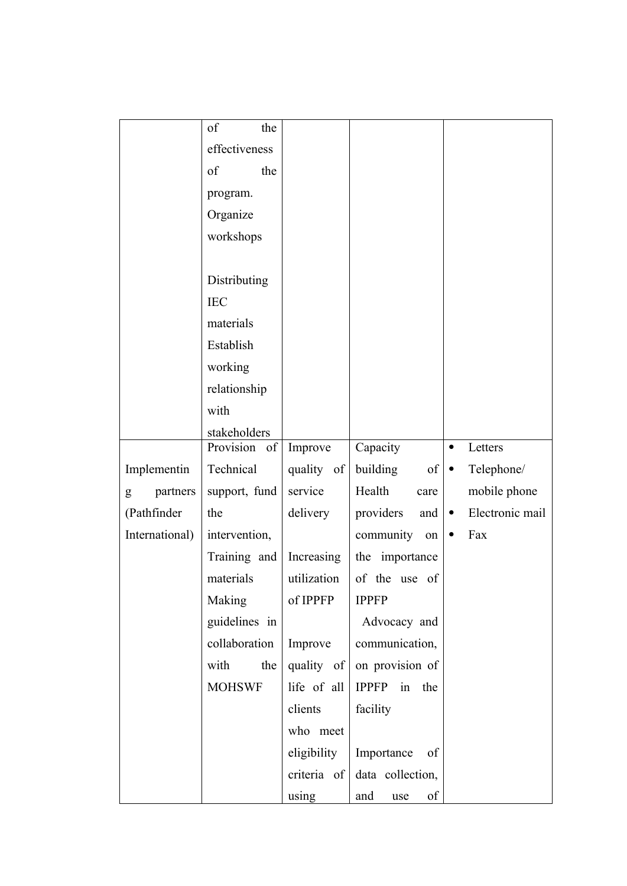|                | of<br>the     |                     |                  |   |                 |
|----------------|---------------|---------------------|------------------|---|-----------------|
|                | effectiveness |                     |                  |   |                 |
|                | of<br>the     |                     |                  |   |                 |
|                | program.      |                     |                  |   |                 |
|                | Organize      |                     |                  |   |                 |
|                | workshops     |                     |                  |   |                 |
|                |               |                     |                  |   |                 |
|                | Distributing  |                     |                  |   |                 |
|                | <b>IEC</b>    |                     |                  |   |                 |
|                | materials     |                     |                  |   |                 |
|                | Establish     |                     |                  |   |                 |
|                | working       |                     |                  |   |                 |
|                | relationship  |                     |                  |   |                 |
|                | with          |                     |                  |   |                 |
|                | stakeholders  |                     |                  |   |                 |
|                | Provision of  | Improve             | Capacity         | ٠ | Letters         |
| Implementin    | Technical     | quality of          | building<br>of   | ٠ | Telephone/      |
| partners<br>g  | support, fund | service             | Health<br>care   |   | mobile phone    |
| (Pathfinder    | the           | delivery            | providers<br>and | ٠ | Electronic mail |
| International) | intervention, |                     | community<br>on  | ٠ | Fax             |
|                | Training and  | Increasing          | the importance   |   |                 |
|                | materials     | utilization         | of the use of    |   |                 |
|                | Making        | of IPPFP            | <b>IPPFP</b>     |   |                 |
|                | guidelines in |                     | Advocacy and     |   |                 |
|                | collaboration | Improve             | communication,   |   |                 |
|                | the<br>with   | quality of          | on provision of  |   |                 |
|                | <b>MOHSWF</b> | life of all         | IPPFP in the     |   |                 |
|                |               | clients             | facility         |   |                 |
|                |               | who meet            |                  |   |                 |
|                |               | eligibility         | Importance<br>of |   |                 |
|                |               | criteria of $\vert$ | data collection, |   |                 |
|                |               | using               | and<br>of<br>use |   |                 |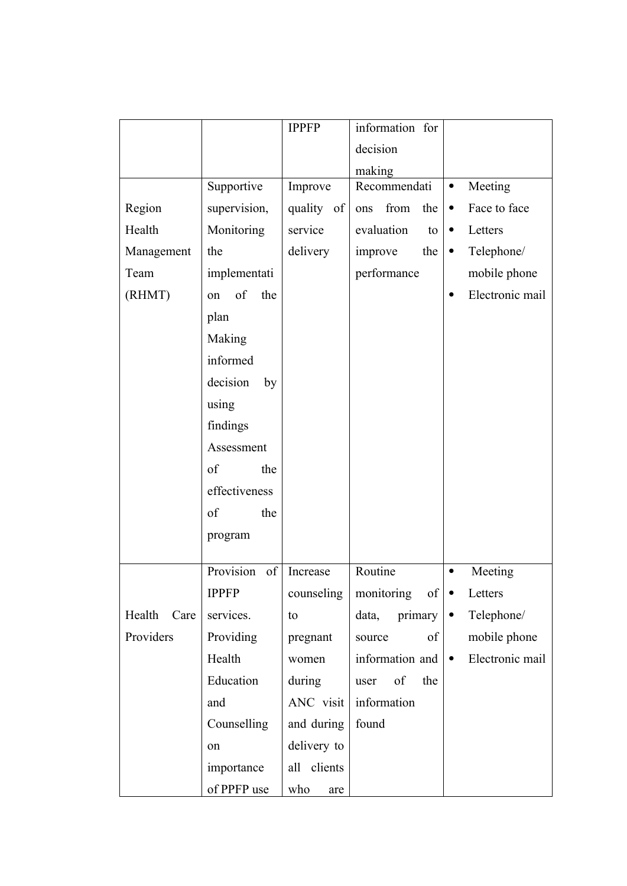|                |                 | <b>IPPFP</b> | information for    |                              |
|----------------|-----------------|--------------|--------------------|------------------------------|
|                |                 |              | decision           |                              |
|                |                 |              | making             |                              |
|                | Supportive      | Improve      | Recommendati       | Meeting<br>$\bullet$         |
| Region         | supervision,    | quality of   | from<br>the<br>ons | Face to face<br>$\bullet$    |
| Health         | Monitoring      | service      | evaluation<br>to   | Letters<br>$\bullet$         |
| Management     | the             | delivery     | improve<br>the     | Telephone/<br>$\bullet$      |
| Team           | implementati    |              | performance        | mobile phone                 |
| (RHMT)         | of<br>the<br>on |              |                    | Electronic mail              |
|                | plan            |              |                    |                              |
|                | Making          |              |                    |                              |
|                | informed        |              |                    |                              |
|                | decision<br>by  |              |                    |                              |
|                | using           |              |                    |                              |
|                | findings        |              |                    |                              |
|                | Assessment      |              |                    |                              |
|                | of<br>the       |              |                    |                              |
|                | effectiveness   |              |                    |                              |
|                | of<br>the       |              |                    |                              |
|                | program         |              |                    |                              |
|                |                 |              |                    |                              |
|                | Provision<br>of | Increase     | Routine            | Meeting                      |
|                | <b>IPPFP</b>    | counseling   | monitoring<br>of   | Letters<br>$\bullet$         |
| Health<br>Care | services.       | to           | data,<br>primary   | Telephone/<br>$\bullet$      |
| Providers      | Providing       | pregnant     | of<br>source       | mobile phone                 |
|                | Health          | women        | information and    | Electronic mail<br>$\bullet$ |
|                | Education       | during       | of<br>the<br>user  |                              |
|                | and             | ANC visit    | information        |                              |
|                | Counselling     | and during   | found              |                              |
|                | on              | delivery to  |                    |                              |
|                | importance      | all clients  |                    |                              |
|                | of PPFP use     | who<br>are   |                    |                              |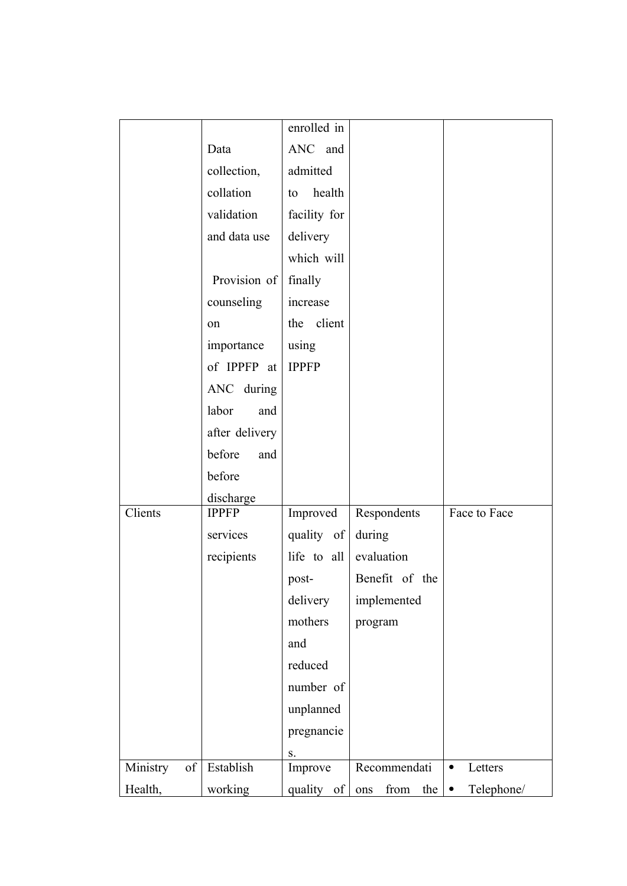|                |                | enrolled in  |                    |                         |
|----------------|----------------|--------------|--------------------|-------------------------|
|                | Data           | ANC and      |                    |                         |
|                | collection,    | admitted     |                    |                         |
|                | collation      | health<br>to |                    |                         |
|                | validation     | facility for |                    |                         |
|                | and data use   | delivery     |                    |                         |
|                |                | which will   |                    |                         |
|                | Provision of   | finally      |                    |                         |
|                | counseling     | increase     |                    |                         |
|                | on             | the client   |                    |                         |
|                | importance     | using        |                    |                         |
|                | of IPPFP at    | <b>IPPFP</b> |                    |                         |
|                | ANC during     |              |                    |                         |
|                | labor<br>and   |              |                    |                         |
|                | after delivery |              |                    |                         |
|                | before<br>and  |              |                    |                         |
|                | before         |              |                    |                         |
|                | discharge      |              |                    |                         |
| Clients        | <b>IPPFP</b>   | Improved     | Respondents        | Face to Face            |
|                | services       | quality of   | during             |                         |
|                | recipients     | life to all  | evaluation         |                         |
|                |                | post-        | Benefit of the     |                         |
|                |                | delivery     | implemented        |                         |
|                |                | mothers      | program            |                         |
|                |                | and          |                    |                         |
|                |                | reduced      |                    |                         |
|                |                | number of    |                    |                         |
|                |                | unplanned    |                    |                         |
|                |                | pregnancie   |                    |                         |
|                |                | ${\bf S}.$   |                    |                         |
| Ministry<br>of | Establish      | Improve      | Recommendati       | Letters<br>٠            |
| Health,        | working        | quality of   | from<br>the<br>ons | Telephone/<br>$\bullet$ |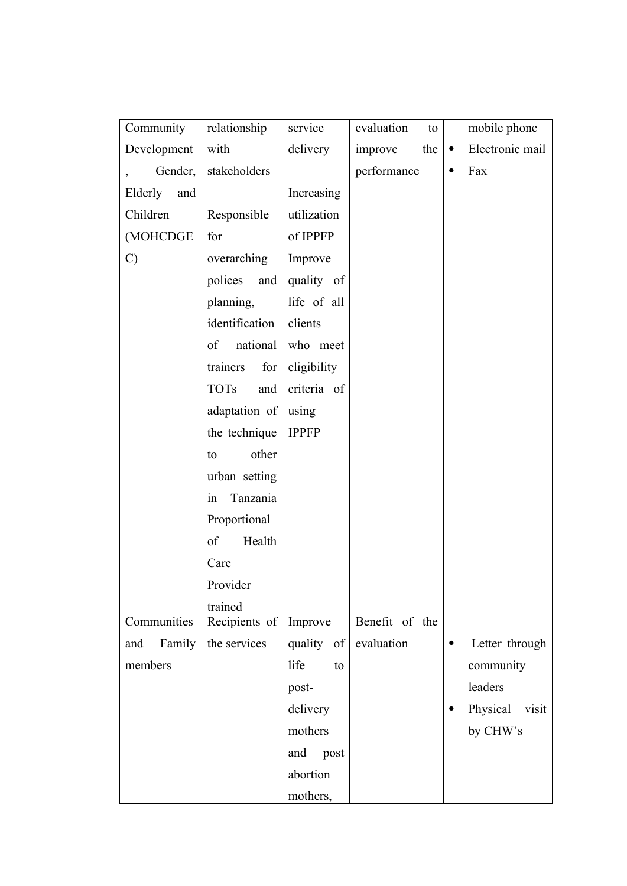| Community      | relationship       | service      | evaluation<br>to | mobile phone                 |
|----------------|--------------------|--------------|------------------|------------------------------|
| Development    | with               | delivery     | the<br>improve   | Electronic mail<br>$\bullet$ |
| Gender,        | stakeholders       |              | performance      | Fax<br>$\bullet$             |
| Elderly<br>and |                    | Increasing   |                  |                              |
| Children       | Responsible        | utilization  |                  |                              |
| (MOHCDGE       | for                | of IPPFP     |                  |                              |
| $\mathcal{C}$  | overarching        | Improve      |                  |                              |
|                | polices and        | quality of   |                  |                              |
|                | planning,          | life of all  |                  |                              |
|                | identification     | clients      |                  |                              |
|                | national<br>of     | who meet     |                  |                              |
|                | trainers<br>for    | eligibility  |                  |                              |
|                | <b>TOTs</b><br>and | criteria of  |                  |                              |
|                | adaptation of      | using        |                  |                              |
|                | the technique      | <b>IPPFP</b> |                  |                              |
|                | other<br>to        |              |                  |                              |
|                | urban setting      |              |                  |                              |
|                | Tanzania<br>in     |              |                  |                              |
|                | Proportional       |              |                  |                              |
|                | of<br>Health       |              |                  |                              |
|                | Care               |              |                  |                              |
|                | Provider           |              |                  |                              |
|                | trained            |              |                  |                              |
| Communities    | Recipients of      | Improve      | Benefit of the   |                              |
| Family<br>and  | the services       | quality of   | evaluation       | Letter through<br>٠          |
| members        |                    | life<br>to   |                  | community                    |
|                |                    | post-        |                  | leaders                      |
|                |                    | delivery     |                  | Physical<br>visit            |
|                |                    | mothers      |                  | by CHW's                     |
|                |                    | post<br>and  |                  |                              |
|                |                    | abortion     |                  |                              |
|                |                    | mothers,     |                  |                              |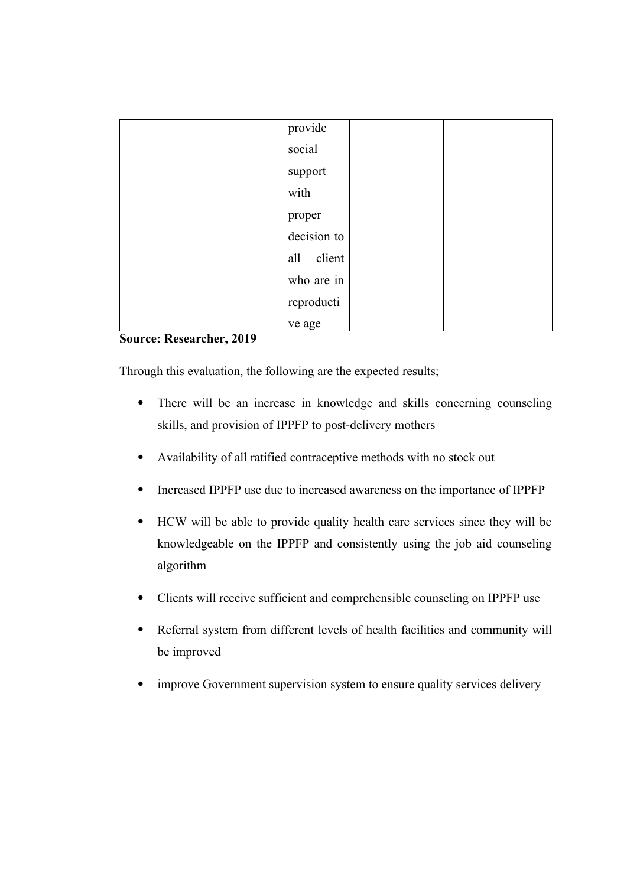| provide       |
|---------------|
| social        |
| support       |
| with          |
| proper        |
| decision to   |
| client<br>all |
| who are in    |
| reproducti    |
| ve age        |

## **Source: Researcher, 2019**

Through this evaluation, the following are the expected results;

- There will be an increase in knowledge and skills concerning counseling skills, and provision of IPPFP to post-delivery mothers
- Availability of all ratified contraceptive methods with no stock out
- Increased IPPFP use due to increased awareness on the importance of IPPFP
- HCW will be able to provide quality health care services since they will be knowledgeable on the IPPFP and consistently using the job aid counseling algorithm
- Clients will receive sufficient and comprehensible counseling on IPPFP use
- Referral system from different levels of health facilities and community will be improved
- improve Government supervision system to ensure quality services delivery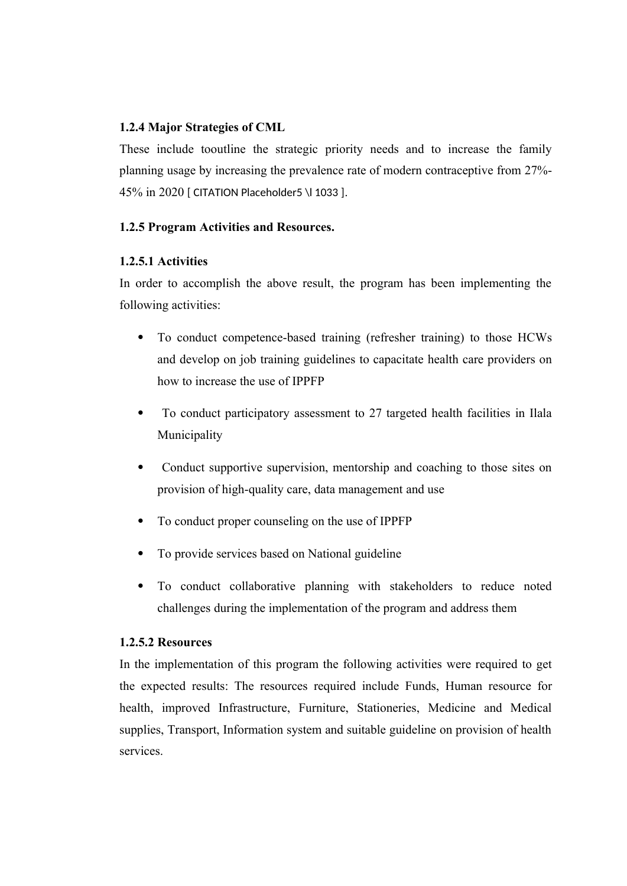### **1.2.4 Major Strategies of CML**

These include tooutline the strategic priority needs and to increase the family planning usage by increasing the prevalence rate of modern contraceptive from 27%- 45% in 2020 [ CITATION Placeholder5 \l 1033 ].

### **1.2.5 Program Activities and Resources.**

### **1.2.5.1 Activities**

In order to accomplish the above result, the program has been implementing the following activities:

- To conduct competence-based training (refresher training) to those HCWs and develop on job training guidelines to capacitate health care providers on how to increase the use of IPPFP
- To conduct participatory assessment to 27 targeted health facilities in Ilala Municipality
- Conduct supportive supervision, mentorship and coaching to those sites on provision of high-quality care, data management and use
- To conduct proper counseling on the use of IPPFP
- To provide services based on National guideline
- To conduct collaborative planning with stakeholders to reduce noted challenges during the implementation of the program and address them

### **1.2.5.2 Resources**

In the implementation of this program the following activities were required to get the expected results: The resources required include Funds, Human resource for health, improved Infrastructure, Furniture, Stationeries, Medicine and Medical supplies, Transport, Information system and suitable guideline on provision of health services.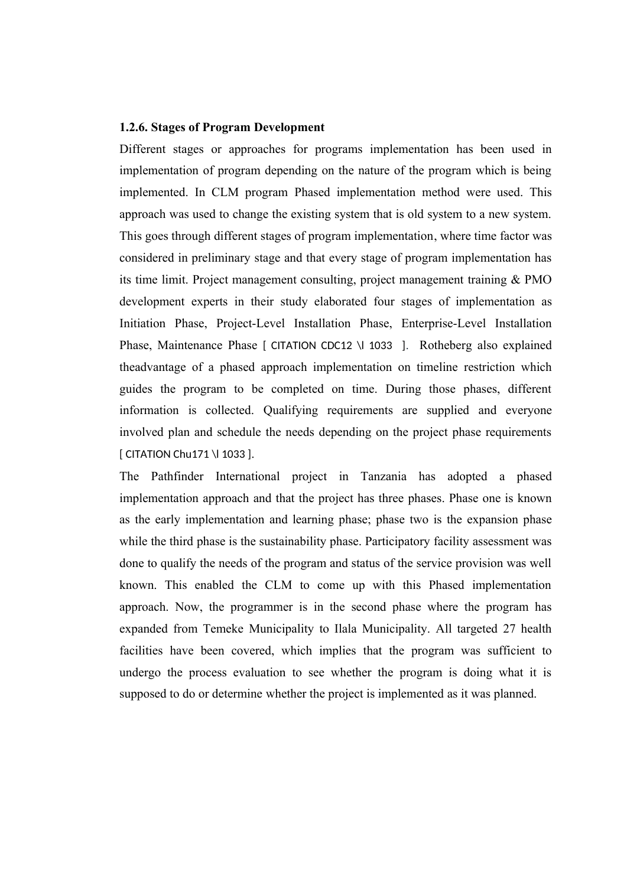### **1.2.6. Stages of Program Development**

Different stages or approaches for programs implementation has been used in implementation of program depending on the nature of the program which is being implemented. In CLM program Phased implementation method were used. This approach was used to change the existing system that is old system to a new system. This goes through different stages of program implementation, where time factor was considered in preliminary stage and that every stage of program implementation has its time limit. Project management consulting, project management training & PMO development experts in their study elaborated four stages of implementation as Initiation Phase, Project-Level Installation Phase, Enterprise-Level Installation Phase, Maintenance Phase [ CITATION CDC12 \l 1033 ]. Rotheberg also explained theadvantage of a phased approach implementation on timeline restriction which guides the program to be completed on time. During those phases, different information is collected. Qualifying requirements are supplied and everyone involved plan and schedule the needs depending on the project phase requirements [ CITATION Chu171 \l 1033 ].

The Pathfinder International project in Tanzania has adopted a phased implementation approach and that the project has three phases. Phase one is known as the early implementation and learning phase; phase two is the expansion phase while the third phase is the sustainability phase. Participatory facility assessment was done to qualify the needs of the program and status of the service provision was well known. This enabled the CLM to come up with this Phased implementation approach. Now, the programmer is in the second phase where the program has expanded from Temeke Municipality to Ilala Municipality. All targeted 27 health facilities have been covered, which implies that the program was sufficient to undergo the process evaluation to see whether the program is doing what it is supposed to do or determine whether the project is implemented as it was planned.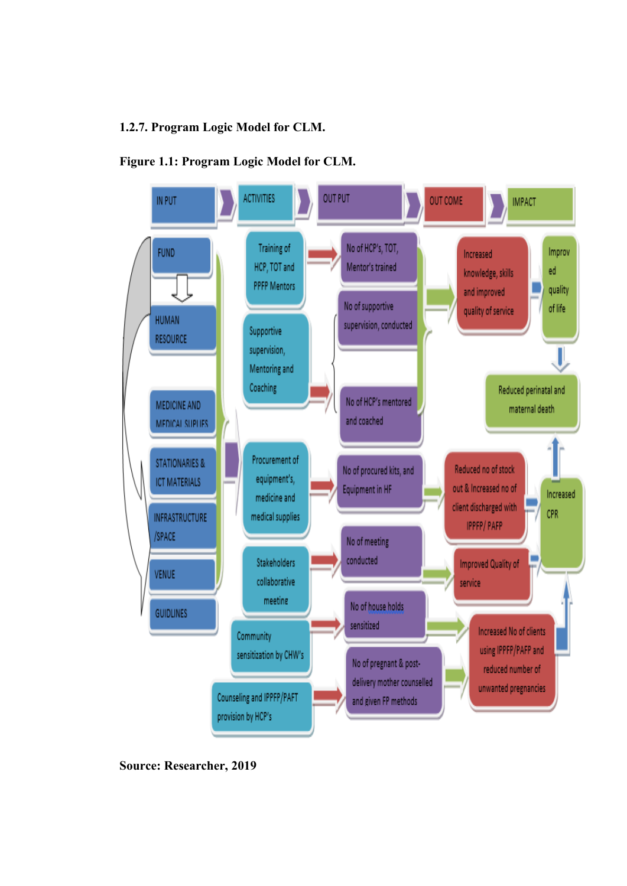## **1.2.7. Program Logic Model for CLM.**





**Source: Researcher, 2019**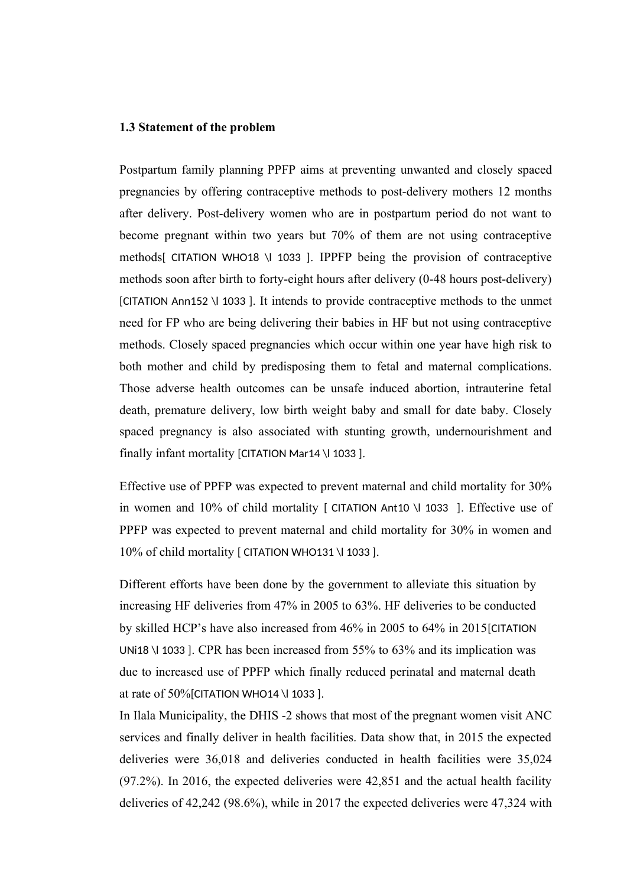### **1.3 Statement of the problem**

Postpartum family planning PPFP aims at preventing unwanted and closely spaced pregnancies by offering contraceptive methods to post-delivery mothers 12 months after delivery. Post-delivery women who are in postpartum period do not want to become pregnant within two years but 70% of them are not using contraceptive methods[ CITATION WHO18 \l 1033 ]. IPPFP being the provision of contraceptive methods soon after birth to forty-eight hours after delivery (0-48 hours post-delivery) [CITATION Ann152 \l 1033 ]. It intends to provide contraceptive methods to the unmet need for FP who are being delivering their babies in HF but not using contraceptive methods. Closely spaced pregnancies which occur within one year have high risk to both mother and child by predisposing them to fetal and maternal complications. Those adverse health outcomes can be unsafe induced abortion, intrauterine fetal death, premature delivery, low birth weight baby and small for date baby. Closely spaced pregnancy is also associated with stunting growth, undernourishment and finally infant mortality [CITATION Mar14 \l 1033 ].

Effective use of PPFP was expected to prevent maternal and child mortality for 30% in women and 10% of child mortality [ CITATION Ant10 \l 1033 ]. Effective use of PPFP was expected to prevent maternal and child mortality for 30% in women and 10% of child mortality [ CITATION WHO131 \l 1033 ].

Different efforts have been done by the government to alleviate this situation by increasing HF deliveries from 47% in 2005 to 63%. HF deliveries to be conducted by skilled HCP's have also increased from 46% in 2005 to 64% in 2015[CITATION UNi18 \l 1033 ]. CPR has been increased from 55% to 63% and its implication was due to increased use of PPFP which finally reduced perinatal and maternal death at rate of 50%[CITATION WHO14 \l 1033 ].

In Ilala Municipality, the DHIS -2 shows that most of the pregnant women visit ANC services and finally deliver in health facilities. Data show that, in 2015 the expected deliveries were 36,018 and deliveries conducted in health facilities were 35,024 (97.2%). In 2016, the expected deliveries were 42,851 and the actual health facility deliveries of 42,242 (98.6%), while in 2017 the expected deliveries were 47,324 with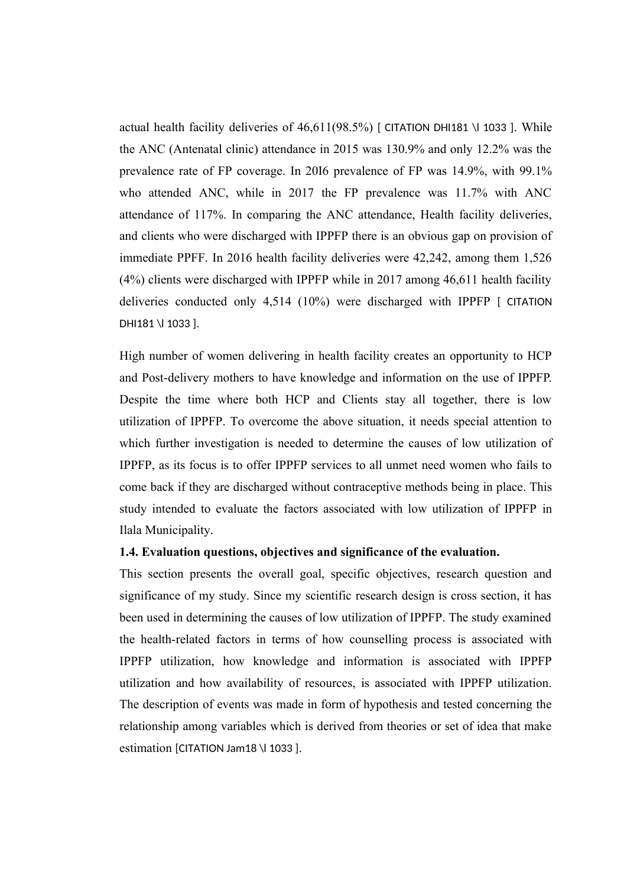actual health facility deliveries of  $46,611(98.5%)$  [ CITATION DHI181 \| 1033 ]. While the ANC (Antenatal clinic) attendance in 2015 was 130.9% and only 12.2% was the prevalence rate of FP coverage. In 20I6 prevalence of FP was 14.9%, with 99.1% who attended ANC, while in 2017 the FP prevalence was 11.7% with ANC attendance of 117%. In comparing the ANC attendance, Health facility deliveries, and clients who were discharged with IPPFP there is an obvious gap on provision of immediate PPFF. In 2016 health facility deliveries were 42,242, among them 1,526 (4%) clients were discharged with IPPFP while in 2017 among 46,611 health facility deliveries conducted only 4,514 (10%) were discharged with IPPFP [ CITATION DHI181 \l 1033 ].

High number of women delivering in health facility creates an opportunity to HCP and Post-delivery mothers to have knowledge and information on the use of IPPFP. Despite the time where both HCP and Clients stay all together, there is low utilization of IPPFP. To overcome the above situation, it needs special attention to which further investigation is needed to determine the causes of low utilization of IPPFP, as its focus is to offer IPPFP services to all unmet need women who fails to come back if they are discharged without contraceptive methods being in place. This study intended to evaluate the factors associated with low utilization of IPPFP in Ilala Municipality.

#### **1.4. Evaluation questions, objectives and significance of the evaluation.**

This section presents the overall goal, specific objectives, research question and significance of my study. Since my scientific research design is cross section, it has been used in determining the causes of low utilization of IPPFP. The study examined the health-related factors in terms of how counselling process is associated with IPPFP utilization, how knowledge and information is associated with IPPFP utilization and how availability of resources, is associated with IPPFP utilization. The description of events was made in form of hypothesis and tested concerning the relationship among variables which is derived from theories or set of idea that make estimation [CITATION Jam18 \l 1033 ].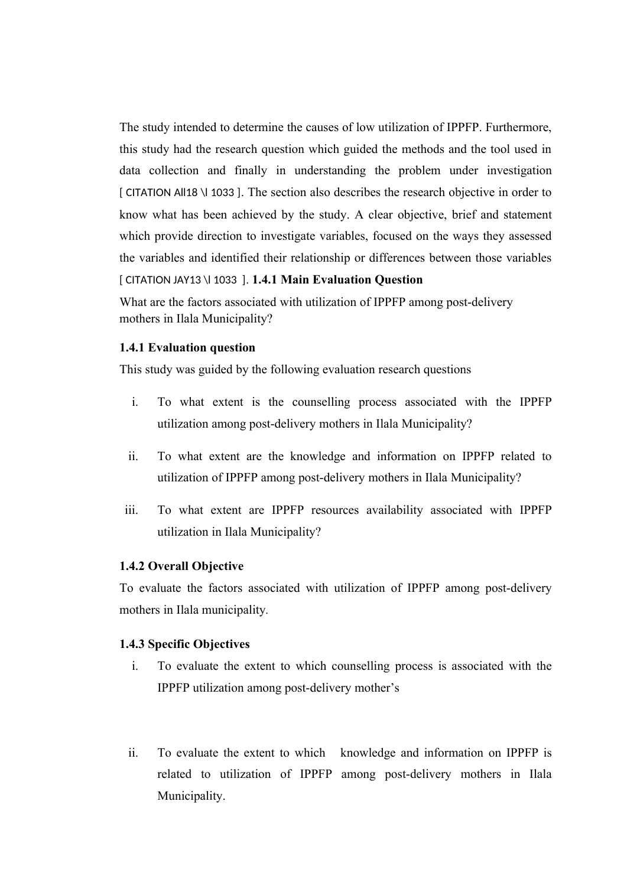The study intended to determine the causes of low utilization of IPPFP. Furthermore, this study had the research question which guided the methods and the tool used in data collection and finally in understanding the problem under investigation [ CITATION All18 \l 1033 ]. The section also describes the research objective in order to know what has been achieved by the study. A clear objective, brief and statement which provide direction to investigate variables, focused on the ways they assessed the variables and identified their relationship or differences between those variables [ CITATION JAY13 \l 1033 ]. **1.4.1 Main Evaluation Question**

What are the factors associated with utilization of IPPFP among post-delivery mothers in Ilala Municipality?

#### **1.4.1 Evaluation question**

This study was guided by the following evaluation research questions

- i. To what extent is the counselling process associated with the IPPFP utilization among post-delivery mothers in Ilala Municipality?
- ii. To what extent are the knowledge and information on IPPFP related to utilization of IPPFP among post-delivery mothers in Ilala Municipality?
- iii. To what extent are IPPFP resources availability associated with IPPFP utilization in Ilala Municipality?

#### **1.4.2 Overall Objective**

To evaluate the factors associated with utilization of IPPFP among post-delivery mothers in Ilala municipality*.*

## **1.4.3 Specific Objectives**

- i. To evaluate the extent to which counselling process is associated with the IPPFP utilization among post-delivery mother's
- ii. To evaluate the extent to which knowledge and information on IPPFP is related to utilization of IPPFP among post-delivery mothers in Ilala Municipality.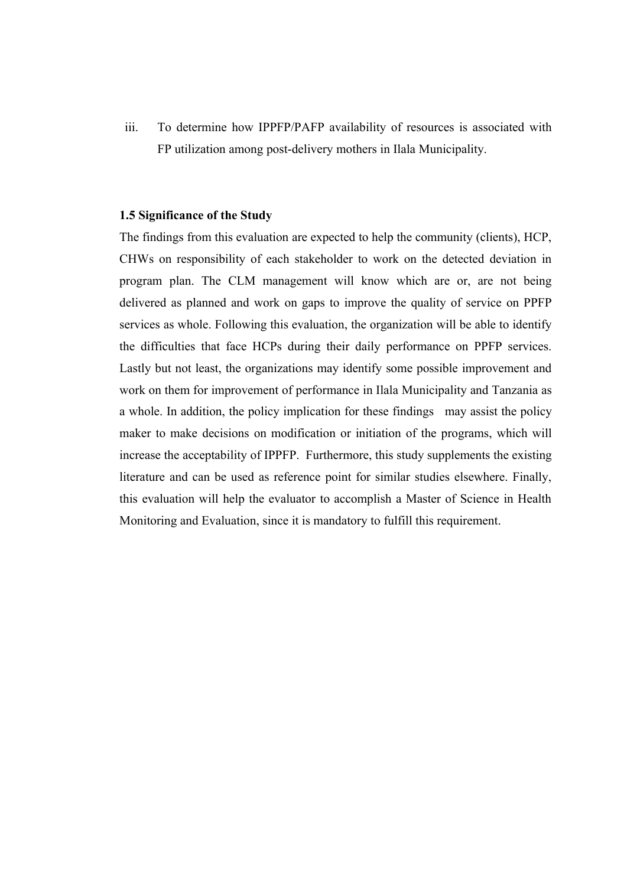iii. To determine how IPPFP/PAFP availability of resources is associated with FP utilization among post-delivery mothers in Ilala Municipality.

## **1.5 Significance of the Study**

The findings from this evaluation are expected to help the community (clients), HCP, CHWs on responsibility of each stakeholder to work on the detected deviation in program plan. The CLM management will know which are or, are not being delivered as planned and work on gaps to improve the quality of service on PPFP services as whole. Following this evaluation, the organization will be able to identify the difficulties that face HCPs during their daily performance on PPFP services. Lastly but not least, the organizations may identify some possible improvement and work on them for improvement of performance in Ilala Municipality and Tanzania as a whole. In addition, the policy implication for these findings may assist the policy maker to make decisions on modification or initiation of the programs, which will increase the acceptability of IPPFP. Furthermore, this study supplements the existing literature and can be used as reference point for similar studies elsewhere. Finally, this evaluation will help the evaluator to accomplish a Master of Science in Health Monitoring and Evaluation, since it is mandatory to fulfill this requirement.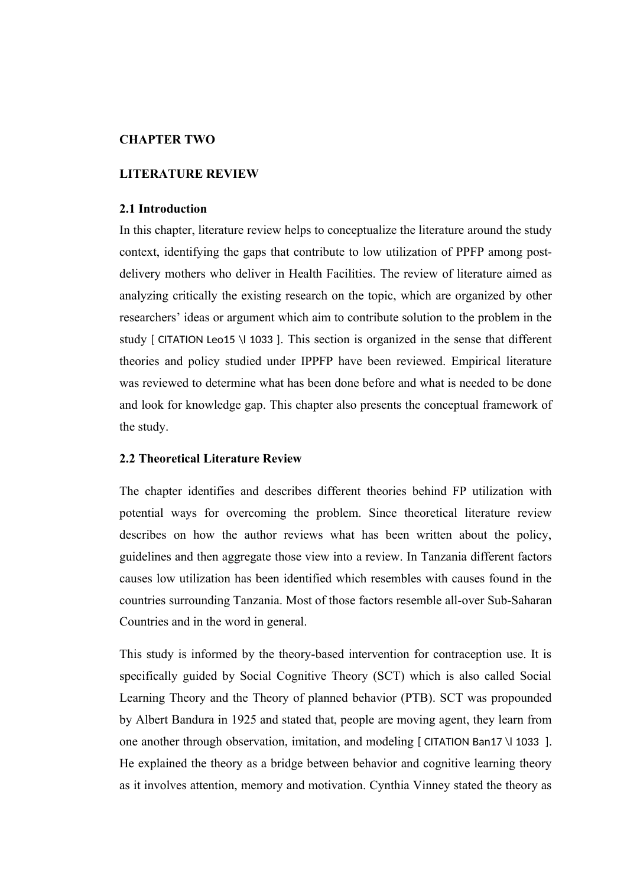#### **CHAPTER TWO**

#### **LITERATURE REVIEW**

#### **2.1 Introduction**

In this chapter, literature review helps to conceptualize the literature around the study context, identifying the gaps that contribute to low utilization of PPFP among postdelivery mothers who deliver in Health Facilities. The review of literature aimed as analyzing critically the existing research on the topic, which are organized by other researchers' ideas or argument which aim to contribute solution to the problem in the study [ CITATION Leo15 \l 1033 ]. This section is organized in the sense that different theories and policy studied under IPPFP have been reviewed. Empirical literature was reviewed to determine what has been done before and what is needed to be done and look for knowledge gap. This chapter also presents the conceptual framework of the study.

## **2.2 Theoretical Literature Review**

The chapter identifies and describes different theories behind FP utilization with potential ways for overcoming the problem. Since theoretical literature review describes on how the author reviews what has been written about the policy, guidelines and then aggregate those view into a review. In Tanzania different factors causes low utilization has been identified which resembles with causes found in the countries surrounding Tanzania. Most of those factors resemble all-over Sub-Saharan Countries and in the word in general.

This study is informed by the theory-based intervention for contraception use. It is specifically guided by Social Cognitive Theory (SCT) which is also called Social Learning Theory and the Theory of planned behavior (PTB). SCT was propounded by Albert Bandura in 1925 and stated that, people are moving agent, they learn from one another through observation, imitation, and modeling [ CITATION Ban17 \l 1033 ]. He explained the theory as a bridge between behavior and cognitive learning theory as it involves attention, memory and motivation. Cynthia Vinney stated the theory as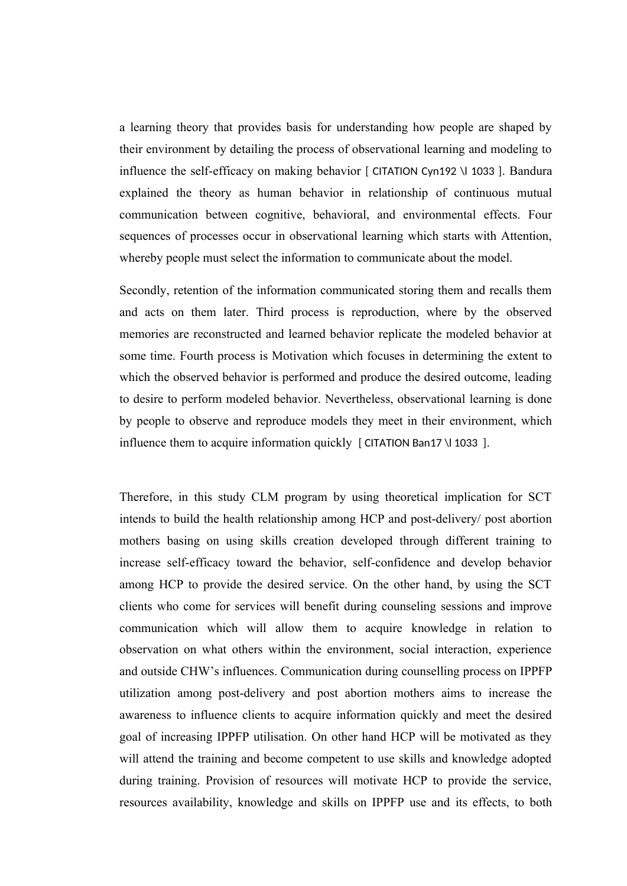a learning theory that provides basis for understanding how people are shaped by their environment by detailing the process of observational learning and modeling to influence the self-efficacy on making behavior [ CITATION Cyn192 \l 1033 ]. Bandura explained the theory as human behavior in relationship of continuous mutual communication between cognitive, behavioral, and environmental effects. Four sequences of processes occur in observational learning which starts with Attention, whereby people must select the information to communicate about the model.

Secondly, retention of the information communicated storing them and recalls them and acts on them later. Third process is reproduction, where by the observed memories are reconstructed and learned behavior replicate the modeled behavior at some time. Fourth process is Motivation which focuses in determining the extent to which the observed behavior is performed and produce the desired outcome, leading to desire to perform modeled behavior. Nevertheless, observational learning is done by people to observe and reproduce models they meet in their environment, which influence them to acquire information quickly [ CITATION Ban17 \l 1033 ].

Therefore, in this study CLM program by using theoretical implication for SCT intends to build the health relationship among HCP and post-delivery/ post abortion mothers basing on using skills creation developed through different training to increase self-efficacy toward the behavior, self-confidence and develop behavior among HCP to provide the desired service. On the other hand, by using the SCT clients who come for services will benefit during counseling sessions and improve communication which will allow them to acquire knowledge in relation to observation on what others within the environment, social interaction, experience and outside CHW's influences. Communication during counselling process on IPPFP utilization among post-delivery and post abortion mothers aims to increase the awareness to influence clients to acquire information quickly and meet the desired goal of increasing IPPFP utilisation. On other hand HCP will be motivated as they will attend the training and become competent to use skills and knowledge adopted during training. Provision of resources will motivate HCP to provide the service, resources availability, knowledge and skills on IPPFP use and its effects, to both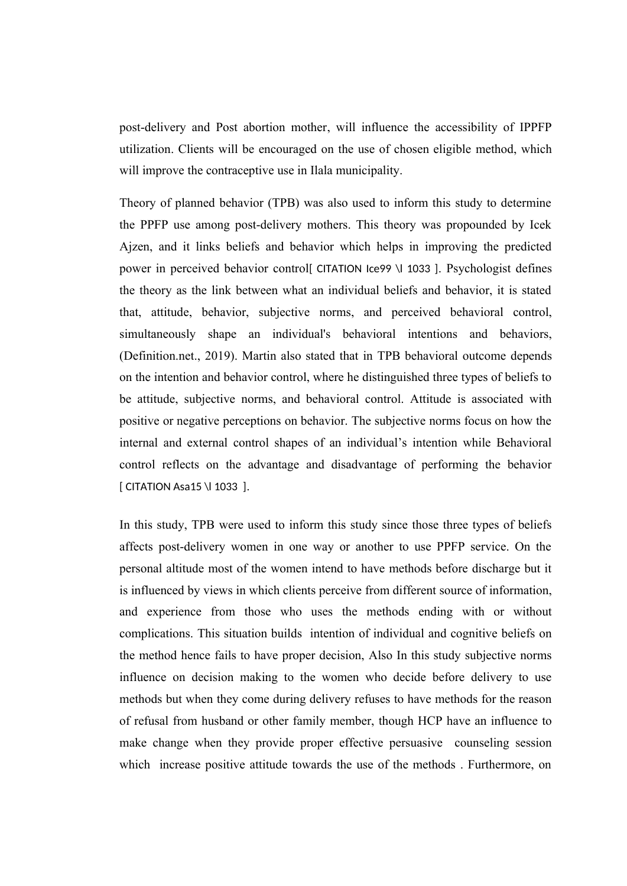post-delivery and Post abortion mother, will influence the accessibility of IPPFP utilization. Clients will be encouraged on the use of chosen eligible method, which will improve the contraceptive use in Ilala municipality.

Theory of planned behavior (TPB) was also used to inform this study to determine the PPFP use among post-delivery mothers. This theory was propounded by Icek Ajzen, and it links beliefs and behavior which helps in improving the predicted power in perceived behavior control[ CITATION Ice99 \l 1033 ]. Psychologist defines the theory as the link between what an individual beliefs and behavior, it is stated that, attitude, behavior, subjective norms, and perceived behavioral control, simultaneously shape an individual's behavioral intentions and behaviors, (Definition.net., 2019). Martin also stated that in TPB behavioral outcome depends on the intention and behavior control, where he distinguished three types of beliefs to be attitude, subjective norms, and behavioral control. Attitude is associated with positive or negative perceptions on behavior. The subjective norms focus on how the internal and external control shapes of an individual's intention while Behavioral control reflects on the advantage and disadvantage of performing the behavior [ CITATION Asa15 \l 1033 ].

In this study, TPB were used to inform this study since those three types of beliefs affects post-delivery women in one way or another to use PPFP service. On the personal altitude most of the women intend to have methods before discharge but it is influenced by views in which clients perceive from different source of information, and experience from those who uses the methods ending with or without complications. This situation builds intention of individual and cognitive beliefs on the method hence fails to have proper decision, Also In this study subjective norms influence on decision making to the women who decide before delivery to use methods but when they come during delivery refuses to have methods for the reason of refusal from husband or other family member, though HCP have an influence to make change when they provide proper effective persuasive counseling session which increase positive attitude towards the use of the methods . Furthermore, on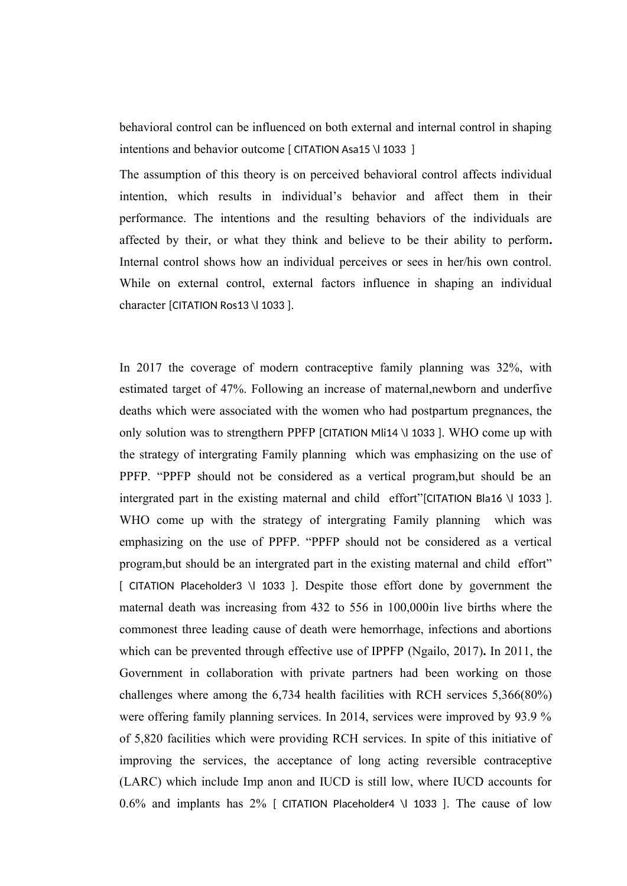behavioral control can be influenced on both external and internal control in shaping intentions and behavior outcome [ CITATION Asa15 \l 1033 ]

The assumption of this theory is on perceived behavioral control affects individual intention, which results in individual's behavior and affect them in their performance. The intentions and the resulting behaviors of the individuals are affected by their, or what they think and believe to be their ability to perform**.** Internal control shows how an individual perceives or sees in her/his own control. While on external control, external factors influence in shaping an individual character [CITATION Ros13 \l 1033 ].

In 2017 the coverage of modern contraceptive family planning was 32%, with estimated target of 47%. Following an increase of maternal,newborn and underfive deaths which were associated with the women who had postpartum pregnances, the only solution was to strengthern PPFP [CITATION Mli14 \l 1033 ]. WHO come up with the strategy of intergrating Family planning which was emphasizing on the use of PPFP. "PPFP should not be considered as a vertical program,but should be an intergrated part in the existing maternal and child effort"[CITATION Bla16 \l 1033 ]. WHO come up with the strategy of intergrating Family planning which was emphasizing on the use of PPFP. "PPFP should not be considered as a vertical program,but should be an intergrated part in the existing maternal and child effort" [ CITATION Placeholder3 \l 1033 ]. Despite those effort done by government the maternal death was increasing from 432 to 556 in 100,000in live births where the commonest three leading cause of death were hemorrhage, infections and abortions which can be prevented through effective use of IPPFP (Ngailo, 2017)**.** In 2011, the Government in collaboration with private partners had been working on those challenges where among the 6,734 health facilities with RCH services 5,366(80%) were offering family planning services. In 2014, services were improved by 93.9 % of 5,820 facilities which were providing RCH services. In spite of this initiative of improving the services, the acceptance of long acting reversible contraceptive (LARC) which include Imp anon and IUCD is still low, where IUCD accounts for  $0.6\%$  and implants has 2% [ CITATION Placeholder4 \| 1033 ]. The cause of low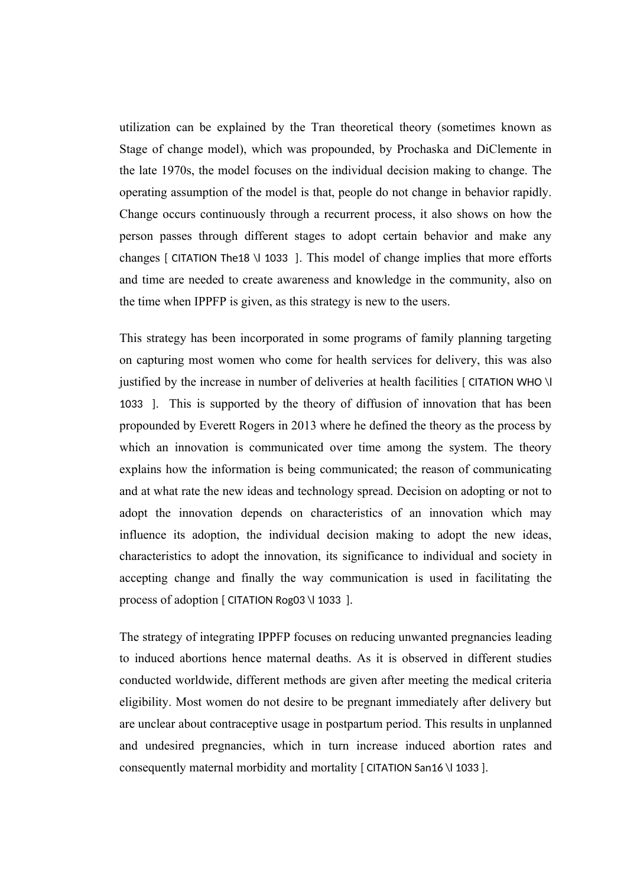utilization can be explained by the Tran theoretical theory (sometimes known as Stage of change model), which was propounded, by Prochaska and DiClemente in the late 1970s, the model focuses on the individual decision making to change. The operating assumption of the model is that, people do not change in behavior rapidly. Change occurs continuously through a recurrent process, it also shows on how the person passes through different stages to adopt certain behavior and make any changes [ CITATION The18 \l 1033 ]. This model of change implies that more efforts and time are needed to create awareness and knowledge in the community, also on the time when IPPFP is given, as this strategy is new to the users.

This strategy has been incorporated in some programs of family planning targeting on capturing most women who come for health services for delivery, this was also justified by the increase in number of deliveries at health facilities [ CITATION WHO \l 1033 ]. This is supported by the theory of diffusion of innovation that has been propounded by Everett Rogers in 2013 where he defined the theory as the process by which an innovation is communicated over time among the system. The theory explains how the information is being communicated; the reason of communicating and at what rate the new ideas and technology spread. Decision on adopting or not to adopt the innovation depends on characteristics of an innovation which may influence its adoption, the individual decision making to adopt the new ideas, characteristics to adopt the innovation, its significance to individual and society in accepting change and finally the way communication is used in facilitating the process of adoption [ CITATION Rog03 \l 1033 ].

The strategy of integrating IPPFP focuses on reducing unwanted pregnancies leading to induced abortions hence maternal deaths. As it is observed in different studies conducted worldwide, different methods are given after meeting the medical criteria eligibility. Most women do not desire to be pregnant immediately after delivery but are unclear about contraceptive usage in postpartum period. This results in unplanned and undesired pregnancies, which in turn increase induced abortion rates and consequently maternal morbidity and mortality [ CITATION San16 \l 1033 ].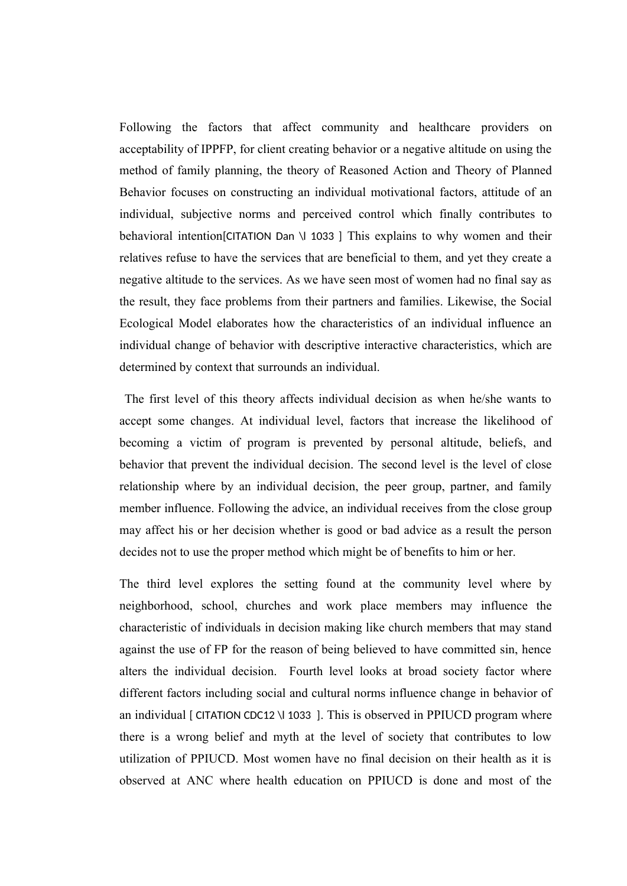Following the factors that affect community and healthcare providers on acceptability of IPPFP, for client creating behavior or a negative altitude on using the method of family planning, the theory of Reasoned Action and Theory of Planned Behavior focuses on constructing an individual motivational factors, attitude of an individual, subjective norms and perceived control which finally contributes to behavioral intention[CITATION Dan \l 1033 ] This explains to why women and their relatives refuse to have the services that are beneficial to them, and yet they create a negative altitude to the services. As we have seen most of women had no final say as the result, they face problems from their partners and families. Likewise, the Social Ecological Model elaborates how the characteristics of an individual influence an individual change of behavior with descriptive interactive characteristics, which are determined by context that surrounds an individual.

 The first level of this theory affects individual decision as when he/she wants to accept some changes. At individual level, factors that increase the likelihood of becoming a victim of program is prevented by personal altitude, beliefs, and behavior that prevent the individual decision. The second level is the level of close relationship where by an individual decision, the peer group, partner, and family member influence. Following the advice, an individual receives from the close group may affect his or her decision whether is good or bad advice as a result the person decides not to use the proper method which might be of benefits to him or her.

The third level explores the setting found at the community level where by neighborhood, school, churches and work place members may influence the characteristic of individuals in decision making like church members that may stand against the use of FP for the reason of being believed to have committed sin, hence alters the individual decision. Fourth level looks at broad society factor where different factors including social and cultural norms influence change in behavior of an individual [ CITATION CDC12 \l 1033 ]. This is observed in PPIUCD program where there is a wrong belief and myth at the level of society that contributes to low utilization of PPIUCD. Most women have no final decision on their health as it is observed at ANC where health education on PPIUCD is done and most of the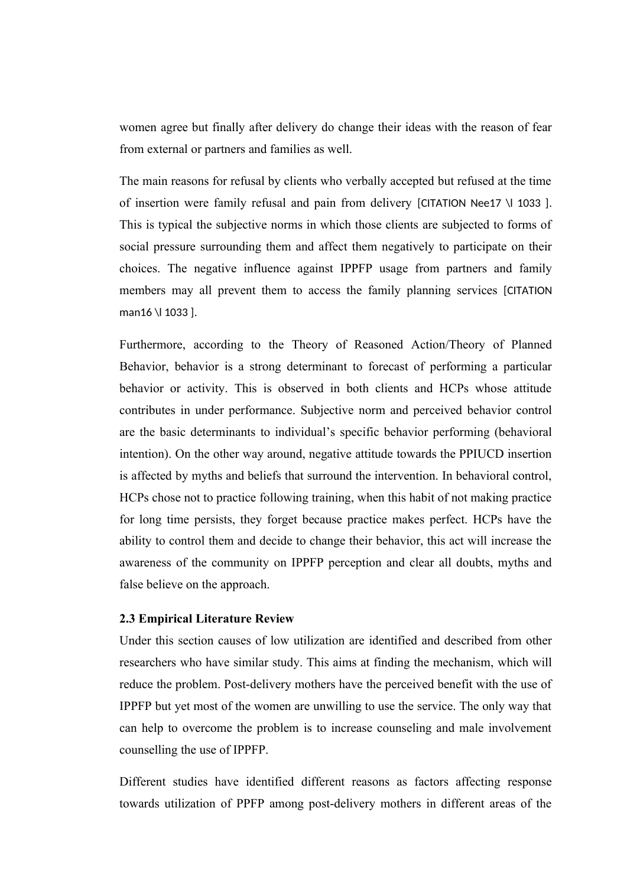women agree but finally after delivery do change their ideas with the reason of fear from external or partners and families as well.

The main reasons for refusal by clients who verbally accepted but refused at the time of insertion were family refusal and pain from delivery [CITATION Nee17 \l 1033 ]. This is typical the subjective norms in which those clients are subjected to forms of social pressure surrounding them and affect them negatively to participate on their choices. The negative influence against IPPFP usage from partners and family members may all prevent them to access the family planning services [CITATION man16 \l 1033 ].

Furthermore, according to the Theory of Reasoned Action/Theory of Planned Behavior, behavior is a strong determinant to forecast of performing a particular behavior or activity. This is observed in both clients and HCPs whose attitude contributes in under performance. Subjective norm and perceived behavior control are the basic determinants to individual's specific behavior performing (behavioral intention). On the other way around, negative attitude towards the PPIUCD insertion is affected by myths and beliefs that surround the intervention. In behavioral control, HCPs chose not to practice following training, when this habit of not making practice for long time persists, they forget because practice makes perfect. HCPs have the ability to control them and decide to change their behavior, this act will increase the awareness of the community on IPPFP perception and clear all doubts, myths and false believe on the approach.

#### **2.3 Empirical Literature Review**

Under this section causes of low utilization are identified and described from other researchers who have similar study. This aims at finding the mechanism, which will reduce the problem. Post-delivery mothers have the perceived benefit with the use of IPPFP but yet most of the women are unwilling to use the service. The only way that can help to overcome the problem is to increase counseling and male involvement counselling the use of IPPFP.

Different studies have identified different reasons as factors affecting response towards utilization of PPFP among post-delivery mothers in different areas of the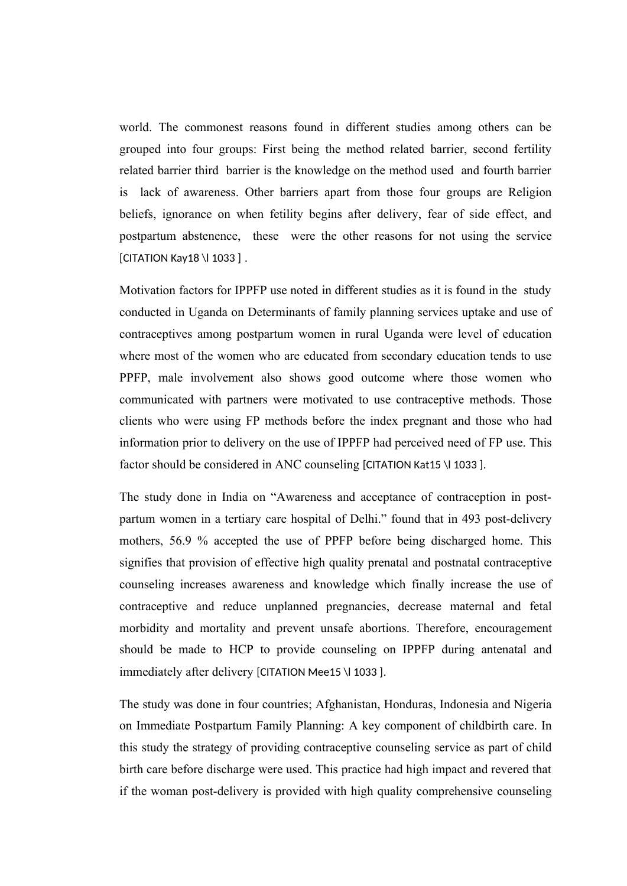world. The commonest reasons found in different studies among others can be grouped into four groups: First being the method related barrier, second fertility related barrier third barrier is the knowledge on the method used and fourth barrier is lack of awareness. Other barriers apart from those four groups are Religion beliefs, ignorance on when fetility begins after delivery, fear of side effect, and postpartum abstenence, these were the other reasons for not using the service [CITATION Kay18 \l 1033 ] .

Motivation factors for IPPFP use noted in different studies as it is found in the study conducted in Uganda on Determinants of family planning services uptake and use of contraceptives among postpartum women in rural Uganda were level of education where most of the women who are educated from secondary education tends to use PPFP, male involvement also shows good outcome where those women who communicated with partners were motivated to use contraceptive methods. Those clients who were using FP methods before the index pregnant and those who had information prior to delivery on the use of IPPFP had perceived need of FP use. This factor should be considered in ANC counseling [CITATION Kat15 \l 1033 ].

The study done in India on "Awareness and acceptance of contraception in postpartum women in a tertiary care hospital of Delhi." found that in 493 post-delivery mothers, 56.9 % accepted the use of PPFP before being discharged home. This signifies that provision of effective high quality prenatal and postnatal contraceptive counseling increases awareness and knowledge which finally increase the use of contraceptive and reduce unplanned pregnancies, decrease maternal and fetal morbidity and mortality and prevent unsafe abortions. Therefore, encouragement should be made to HCP to provide counseling on IPPFP during antenatal and immediately after delivery [CITATION Mee15 \l 1033 ].

The study was done in four countries; Afghanistan, Honduras, Indonesia and Nigeria on Immediate Postpartum Family Planning: A key component of childbirth care. In this study the strategy of providing contraceptive counseling service as part of child birth care before discharge were used. This practice had high impact and revered that if the woman post-delivery is provided with high quality comprehensive counseling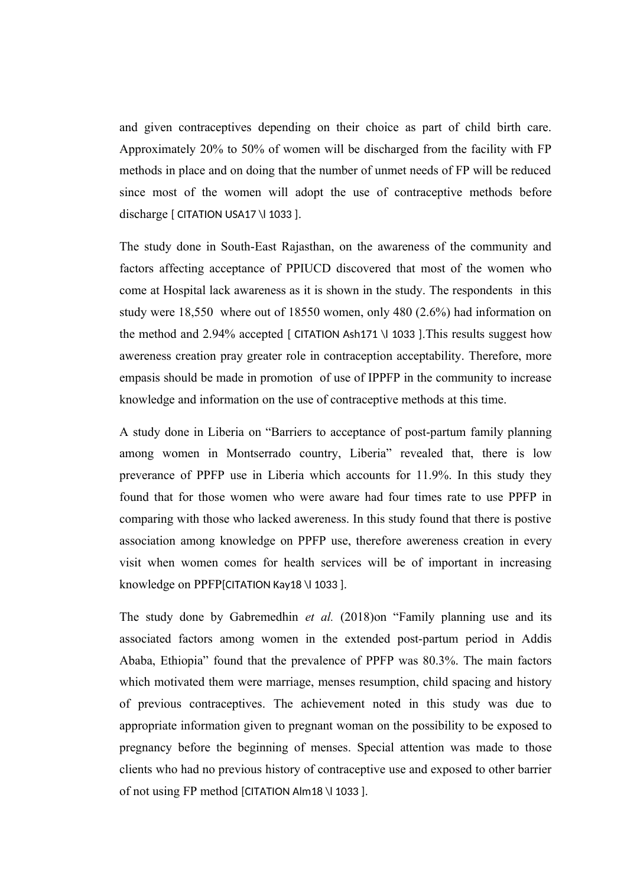and given contraceptives depending on their choice as part of child birth care. Approximately 20% to 50% of women will be discharged from the facility with FP methods in place and on doing that the number of unmet needs of FP will be reduced since most of the women will adopt the use of contraceptive methods before discharge [ CITATION USA17 \| 1033 ].

The study done in South-East Rajasthan, on the awareness of the community and factors affecting acceptance of PPIUCD discovered that most of the women who come at Hospital lack awareness as it is shown in the study. The respondents in this study were 18,550 where out of 18550 women, only 480 (2.6%) had information on the method and  $2.94\%$  accepted [ CITATION Ash171 \l 1033 ]. This results suggest how awereness creation pray greater role in contraception acceptability. Therefore, more empasis should be made in promotion of use of IPPFP in the community to increase knowledge and information on the use of contraceptive methods at this time.

A study done in Liberia on "Barriers to acceptance of post-partum family planning among women in Montserrado country, Liberia" revealed that, there is low preverance of PPFP use in Liberia which accounts for 11.9%. In this study they found that for those women who were aware had four times rate to use PPFP in comparing with those who lacked awereness. In this study found that there is postive association among knowledge on PPFP use, therefore awereness creation in every visit when women comes for health services will be of important in increasing knowledge on PPFP[CITATION Kay18 \| 1033 ].

The study done by Gabremedhin *et al.* (2018)on "Family planning use and its associated factors among women in the extended post-partum period in Addis Ababa, Ethiopia" found that the prevalence of PPFP was 80.3%. The main factors which motivated them were marriage, menses resumption, child spacing and history of previous contraceptives. The achievement noted in this study was due to appropriate information given to pregnant woman on the possibility to be exposed to pregnancy before the beginning of menses. Special attention was made to those clients who had no previous history of contraceptive use and exposed to other barrier of not using FP method [CITATION Alm18 \l 1033 ].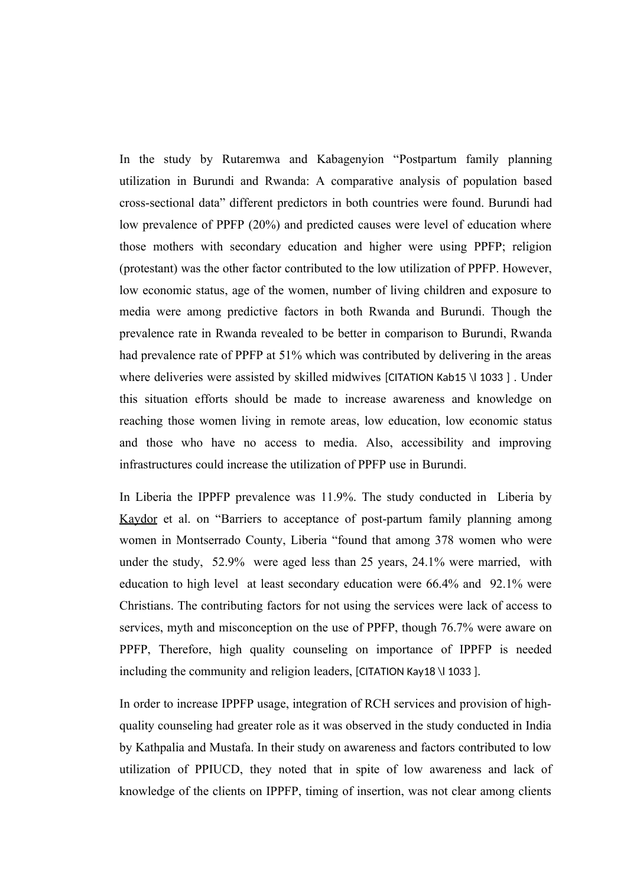In the study by Rutaremwa and Kabagenyion "Postpartum family planning utilization in Burundi and Rwanda: A comparative analysis of population based cross-sectional data" different predictors in both countries were found. Burundi had low prevalence of PPFP (20%) and predicted causes were level of education where those mothers with secondary education and higher were using PPFP; religion (protestant) was the other factor contributed to the low utilization of PPFP. However, low economic status, age of the women, number of living children and exposure to media were among predictive factors in both Rwanda and Burundi. Though the prevalence rate in Rwanda revealed to be better in comparison to Burundi, Rwanda had prevalence rate of PPFP at 51% which was contributed by delivering in the areas where deliveries were assisted by skilled midwives [CITATION Kab15 \l 1033 ] . Under this situation efforts should be made to increase awareness and knowledge on reaching those women living in remote areas, low education, low economic status and those who have no access to media. Also, accessibility and improving infrastructures could increase the utilization of PPFP use in Burundi.

In Liberia the IPPFP prevalence was 11.9%. The study conducted in Liberia by [Kaydor](http://www.npmj.org/searchresult.asp?search=&author=Virginia+K+Kaydor&journal=Y&but_search=Search&entries=10&pg=1&s=0) et al. on "Barriers to acceptance of post-partum family planning among women in Montserrado County, Liberia "found that among 378 women who were under the study, 52.9% were aged less than 25 years, 24.1% were married, with education to high level at least secondary education were 66.4% and 92.1% were Christians. The contributing factors for not using the services were lack of access to services, myth and misconception on the use of PPFP, though 76.7% were aware on PPFP, Therefore, high quality counseling on importance of IPPFP is needed including the community and religion leaders, [CITATION Kay18 \l 1033 ].

In order to increase IPPFP usage, integration of RCH services and provision of highquality counseling had greater role as it was observed in the study conducted in India by Kathpalia and Mustafa. In their study on awareness and factors contributed to low utilization of PPIUCD, they noted that in spite of low awareness and lack of knowledge of the clients on IPPFP, timing of insertion, was not clear among clients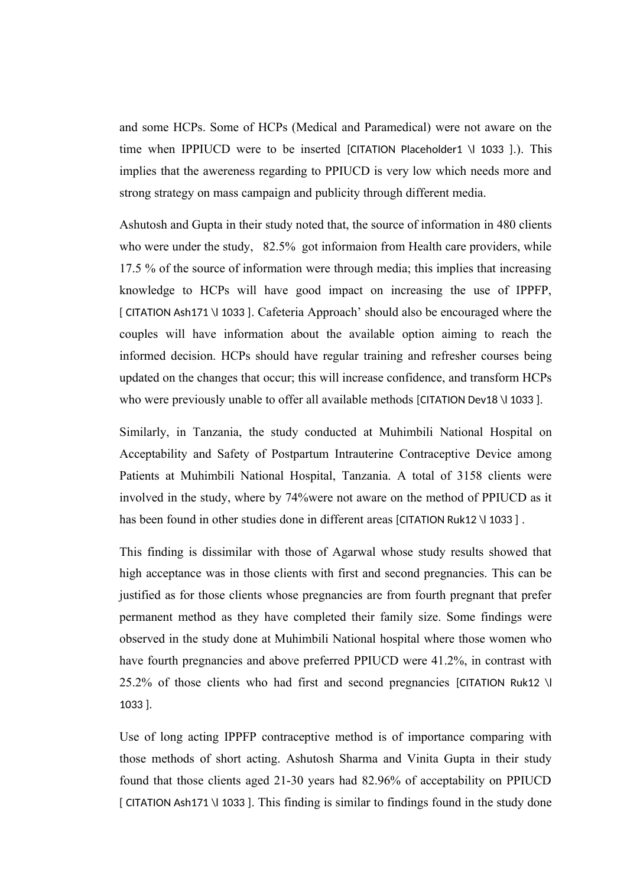and some HCPs. Some of HCPs (Medical and Paramedical) were not aware on the time when IPPIUCD were to be inserted [CITATION Placeholder1 \l 1033 ].). This implies that the awereness regarding to PPIUCD is very low which needs more and strong strategy on mass campaign and publicity through different media.

Ashutosh and Gupta in their study noted that, the source of information in 480 clients who were under the study, 82.5% got informaion from Health care providers, while 17.5 % of the source of information were through media; this implies that increasing knowledge to HCPs will have good impact on increasing the use of IPPFP, [ CITATION Ash171 \l 1033 ]. Cafeteria Approach' should also be encouraged where the couples will have information about the available option aiming to reach the informed decision. HCPs should have regular training and refresher courses being updated on the changes that occur; this will increase confidence, and transform HCPs who were previously unable to offer all available methods [CITATION Dev18 \| 1033 ].

Similarly, in Tanzania, the study conducted at Muhimbili National Hospital on Acceptability and Safety of Postpartum Intrauterine Contraceptive Device among Patients at Muhimbili National Hospital, Tanzania. A total of 3158 clients were involved in the study, where by 74%were not aware on the method of PPIUCD as it has been found in other studies done in different areas [CITATION Ruk12 \l 1033 ].

This finding is dissimilar with those of Agarwal whose study results showed that high acceptance was in those clients with first and second pregnancies. This can be justified as for those clients whose pregnancies are from fourth pregnant that prefer permanent method as they have completed their family size. Some findings were observed in the study done at Muhimbili National hospital where those women who have fourth pregnancies and above preferred PPIUCD were 41.2%, in contrast with 25.2% of those clients who had first and second pregnancies [CITATION Ruk12 \l 1033 ].

Use of long acting IPPFP contraceptive method is of importance comparing with those methods of short acting. Ashutosh Sharma and Vinita Gupta in their study found that those clients aged 21-30 years had 82.96% of acceptability on PPIUCD [ CITATION Ash171 \l 1033 ]. This finding is similar to findings found in the study done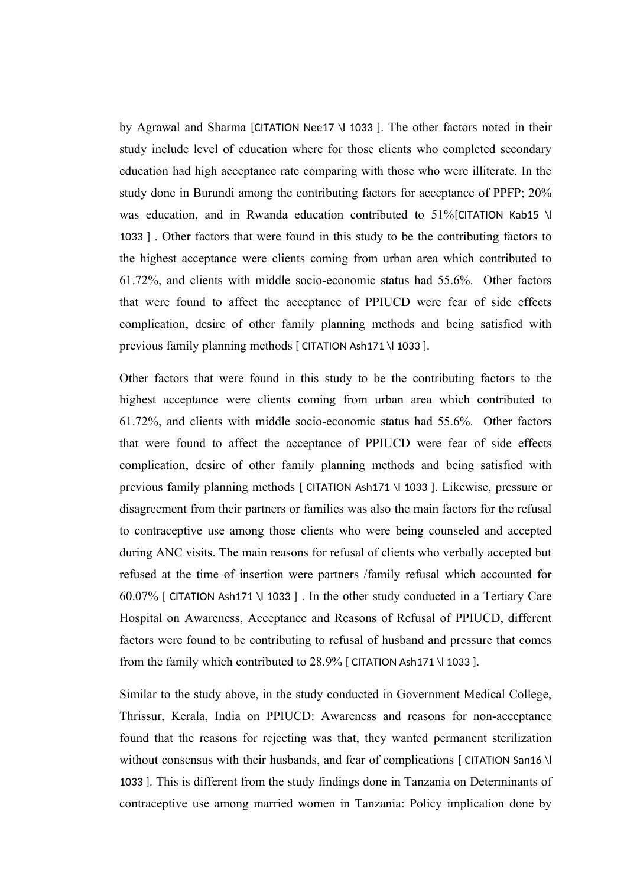by Agrawal and Sharma [CITATION Nee17 \l 1033 ]. The other factors noted in their study include level of education where for those clients who completed secondary education had high acceptance rate comparing with those who were illiterate. In the study done in Burundi among the contributing factors for acceptance of PPFP; 20% was education, and in Rwanda education contributed to 51%[CITATION Kab15 \l 1033 ] . Other factors that were found in this study to be the contributing factors to the highest acceptance were clients coming from urban area which contributed to 61.72%, and clients with middle socio-economic status had 55.6%. Other factors that were found to affect the acceptance of PPIUCD were fear of side effects complication, desire of other family planning methods and being satisfied with previous family planning methods [ CITATION Ash171 \l 1033 ].

Other factors that were found in this study to be the contributing factors to the highest acceptance were clients coming from urban area which contributed to 61.72%, and clients with middle socio-economic status had 55.6%. Other factors that were found to affect the acceptance of PPIUCD were fear of side effects complication, desire of other family planning methods and being satisfied with previous family planning methods [ CITATION Ash171 \l 1033 ]. Likewise, pressure or disagreement from their partners or families was also the main factors for the refusal to contraceptive use among those clients who were being counseled and accepted during ANC visits. The main reasons for refusal of clients who verbally accepted but refused at the time of insertion were partners /family refusal which accounted for 60.07% [ CITATION Ash171 \l 1033 ] . In the other study conducted in a Tertiary Care Hospital on Awareness, Acceptance and Reasons of Refusal of PPIUCD, different factors were found to be contributing to refusal of husband and pressure that comes from the family which contributed to 28.9% [ CITATION Ash171 \l 1033 ].

Similar to the study above, in the study conducted in Government Medical College, Thrissur, Kerala, India on PPIUCD: Awareness and reasons for non-acceptance found that the reasons for rejecting was that, they wanted permanent sterilization without consensus with their husbands, and fear of complications [ CITATION San16 \l 1033 ]. This is different from the study findings done in Tanzania on Determinants of contraceptive use among married women in Tanzania: Policy implication done by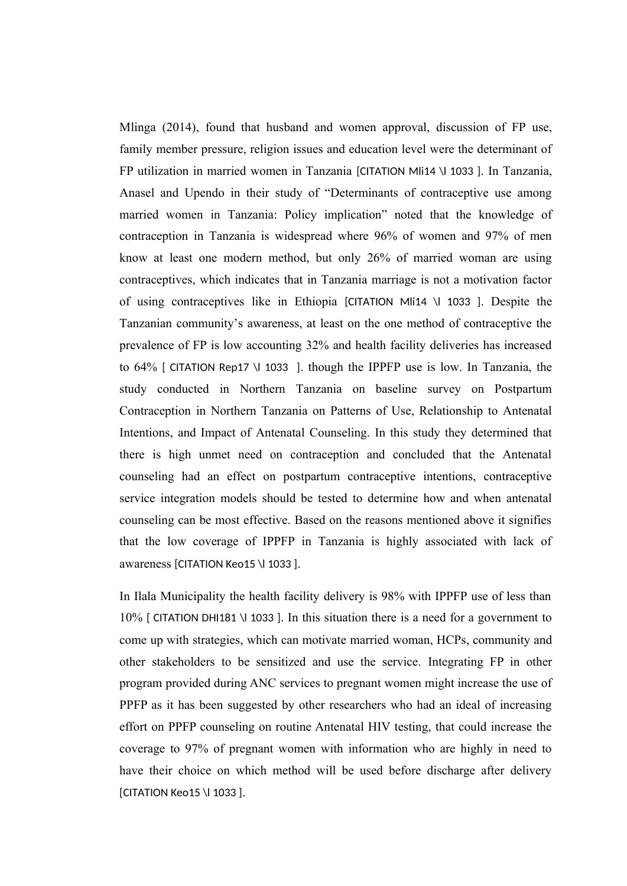Mlinga (2014), found that husband and women approval, discussion of FP use, family member pressure, religion issues and education level were the determinant of FP utilization in married women in Tanzania [CITATION Mli14 \l 1033 ]. In Tanzania, Anasel and Upendo in their study of "Determinants of contraceptive use among married women in Tanzania: Policy implication" noted that the knowledge of contraception in Tanzania is widespread where 96% of women and 97% of men know at least one modern method, but only 26% of married woman are using contraceptives, which indicates that in Tanzania marriage is not a motivation factor of using contraceptives like in Ethiopia [CITATION Mli14 \l 1033 ]. Despite the Tanzanian community's awareness, at least on the one method of contraceptive the prevalence of FP is low accounting 32% and health facility deliveries has increased to 64% [ CITATION Rep17 \l 1033 ]. though the IPPFP use is low. In Tanzania, the study conducted in Northern Tanzania on baseline survey on Postpartum Contraception in Northern Tanzania on Patterns of Use, Relationship to Antenatal Intentions, and Impact of Antenatal Counseling. In this study they determined that there is high unmet need on contraception and concluded that the Antenatal counseling had an effect on postpartum contraceptive intentions, contraceptive service integration models should be tested to determine how and when antenatal counseling can be most effective. Based on the reasons mentioned above it signifies that the low coverage of IPPFP in Tanzania is highly associated with lack of awareness [CITATION Keo15 \l 1033 ].

In Ilala Municipality the health facility delivery is 98% with IPPFP use of less than 10% [ CITATION DHI181 \l 1033 ]. In this situation there is a need for a government to come up with strategies, which can motivate married woman, HCPs, community and other stakeholders to be sensitized and use the service. Integrating FP in other program provided during ANC services to pregnant women might increase the use of PPFP as it has been suggested by other researchers who had an ideal of increasing effort on PPFP counseling on routine Antenatal HIV testing, that could increase the coverage to 97% of pregnant women with information who are highly in need to have their choice on which method will be used before discharge after delivery [CITATION Keo15 \l 1033 ].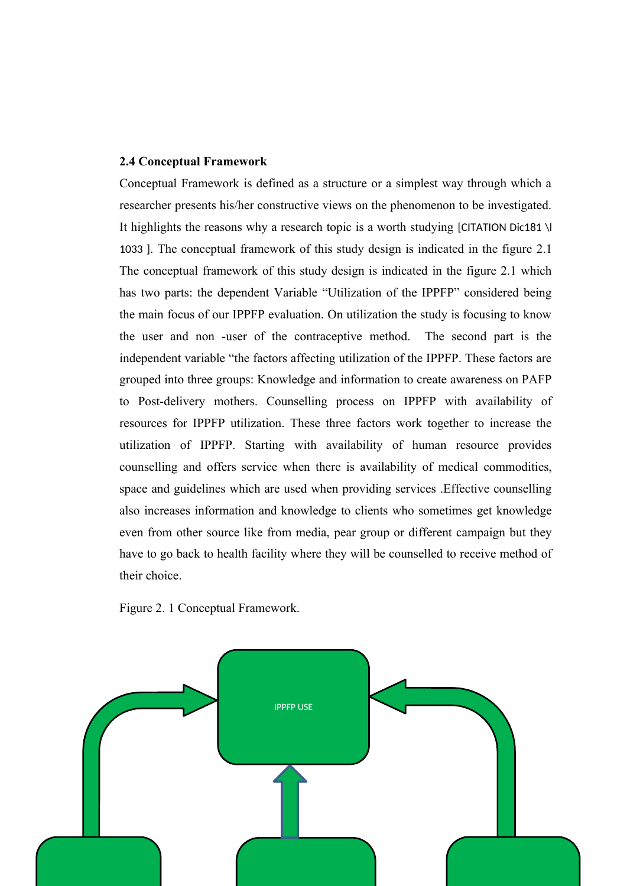#### **2.4 Conceptual Framework**

Conceptual Framework is defined as a structure or a simplest way through which a researcher presents his/her constructive views on the phenomenon to be investigated. It highlights the reasons why a research topic is a worth studying [CITATION Dic181 \l 1033 ]. The conceptual framework of this study design is indicated in the figure 2.1 The conceptual framework of this study design is indicated in the figure 2.1 which has two parts: the dependent Variable "Utilization of the IPPFP" considered being the main focus of our IPPFP evaluation. On utilization the study is focusing to know the user and non -user of the contraceptive method. The second part is the independent variable "the factors affecting utilization of the IPPFP. These factors are grouped into three groups: Knowledge and information to create awareness on PAFP to Post-delivery mothers. Counselling process on IPPFP with availability of resources for IPPFP utilization. These three factors work together to increase the utilization of IPPFP. Starting with availability of human resource provides counselling and offers service when there is availability of medical commodities, space and guidelines which are used when providing services .Effective counselling also increases information and knowledge to clients who sometimes get knowledge even from other source like from media, pear group or different campaign but they have to go back to health facility where they will be counselled to receive method of their choice.

Figure 2. 1 Conceptual Framework.

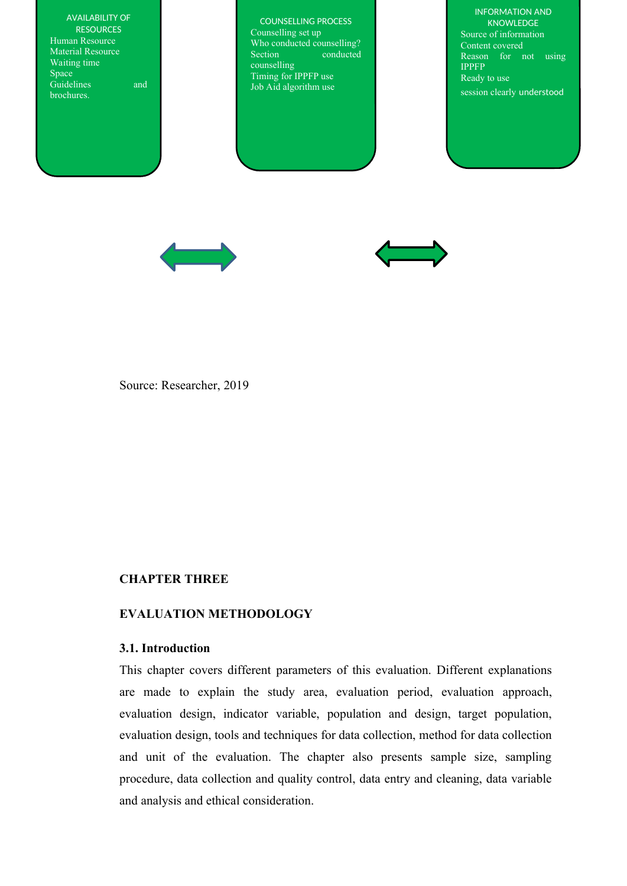AVAILABILITY OF **RESOURCES** Human Resource Material Resource Waiting time Space Guidelines and brochures.

COUNSELLING PROCESS Counselling set up Who conducted counselling? Section conducted counselling Timing for IPPFP use Job Aid algorithm use

INFORMATION AND KNOWLEDGE Source of information Content covered Reason for not using IPPFP Ready to use session clearly understood





Source: Researcher, 2019

## **CHAPTER THREE**

# **EVALUATION METHODOLOGY**

#### **3.1. Introduction**

This chapter covers different parameters of this evaluation. Different explanations are made to explain the study area, evaluation period, evaluation approach, evaluation design, indicator variable, population and design, target population, evaluation design, tools and techniques for data collection, method for data collection and unit of the evaluation. The chapter also presents sample size, sampling procedure, data collection and quality control, data entry and cleaning, data variable and analysis and ethical consideration.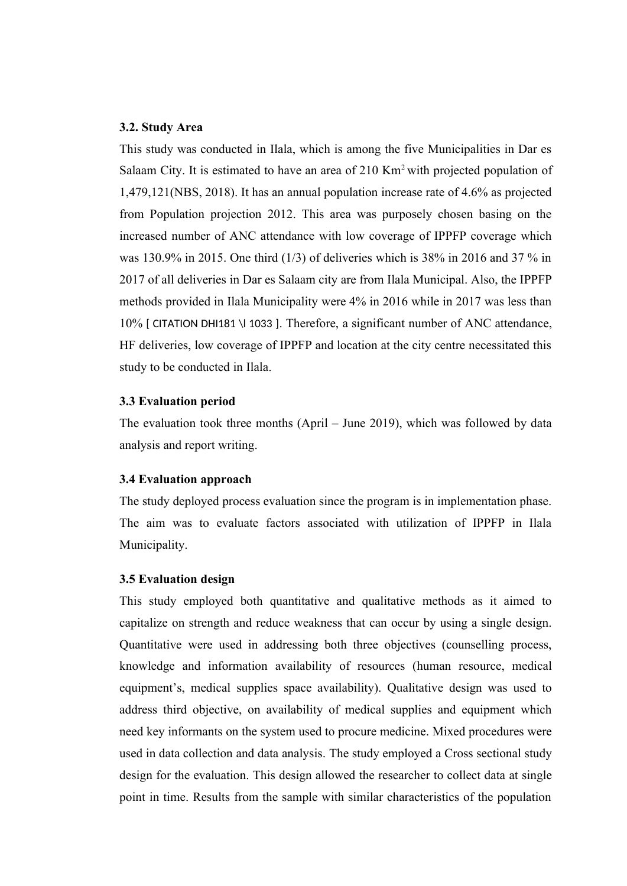## **3.2. Study Area**

This study was conducted in Ilala, which is among the five Municipalities in Dar es Salaam City. It is estimated to have an area of  $210$  Km<sup>2</sup> with projected population of 1,479,121(NBS, 2018). It has an annual population increase rate of 4.6% as projected from Population projection 2012. This area was purposely chosen basing on the increased number of ANC attendance with low coverage of IPPFP coverage which was 130.9% in 2015. One third (1/3) of deliveries which is 38% in 2016 and 37 % in 2017 of all deliveries in Dar es Salaam city are from Ilala Municipal. Also, the IPPFP methods provided in Ilala Municipality were 4% in 2016 while in 2017 was less than 10% [ CITATION DHI181 \l 1033 ]. Therefore, a significant number of ANC attendance, HF deliveries, low coverage of IPPFP and location at the city centre necessitated this study to be conducted in Ilala.

#### **3.3 Evaluation period**

The evaluation took three months (April – June 2019), which was followed by data analysis and report writing.

# **3.4 Evaluation approach**

The study deployed process evaluation since the program is in implementation phase. The aim was to evaluate factors associated with utilization of IPPFP in Ilala Municipality.

#### **3.5 Evaluation design**

This study employed both quantitative and qualitative methods as it aimed to capitalize on strength and reduce weakness that can occur by using a single design. Quantitative were used in addressing both three objectives (counselling process, knowledge and information availability of resources (human resource, medical equipment's, medical supplies space availability). Qualitative design was used to address third objective, on availability of medical supplies and equipment which need key informants on the system used to procure medicine. Mixed procedures were used in data collection and data analysis. The study employed a Cross sectional study design for the evaluation. This design allowed the researcher to collect data at single point in time. Results from the sample with similar characteristics of the population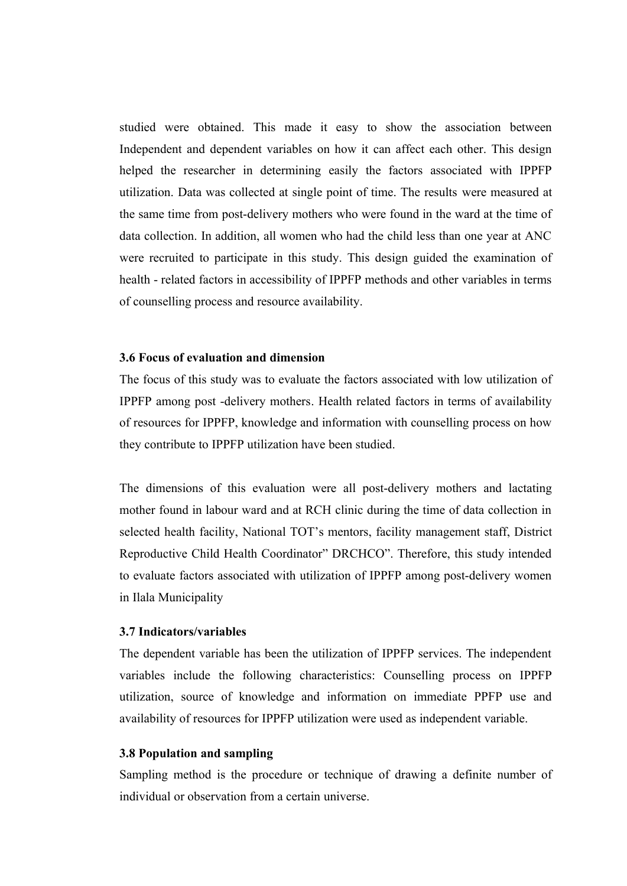studied were obtained. This made it easy to show the association between Independent and dependent variables on how it can affect each other. This design helped the researcher in determining easily the factors associated with IPPFP utilization. Data was collected at single point of time. The results were measured at the same time from post-delivery mothers who were found in the ward at the time of data collection. In addition, all women who had the child less than one year at ANC were recruited to participate in this study. This design guided the examination of health - related factors in accessibility of IPPFP methods and other variables in terms of counselling process and resource availability.

#### **3.6 Focus of evaluation and dimension**

The focus of this study was to evaluate the factors associated with low utilization of IPPFP among post -delivery mothers. Health related factors in terms of availability of resources for IPPFP, knowledge and information with counselling process on how they contribute to IPPFP utilization have been studied.

The dimensions of this evaluation were all post-delivery mothers and lactating mother found in labour ward and at RCH clinic during the time of data collection in selected health facility, National TOT's mentors, facility management staff, District Reproductive Child Health Coordinator" DRCHCO". Therefore, this study intended to evaluate factors associated with utilization of IPPFP among post-delivery women in Ilala Municipality

#### **3.7 Indicators/variables**

The dependent variable has been the utilization of IPPFP services. The independent variables include the following characteristics: Counselling process on IPPFP utilization, source of knowledge and information on immediate PPFP use and availability of resources for IPPFP utilization were used as independent variable.

## **3.8 Population and sampling**

Sampling method is the procedure or technique of drawing a definite number of individual or observation from a certain universe.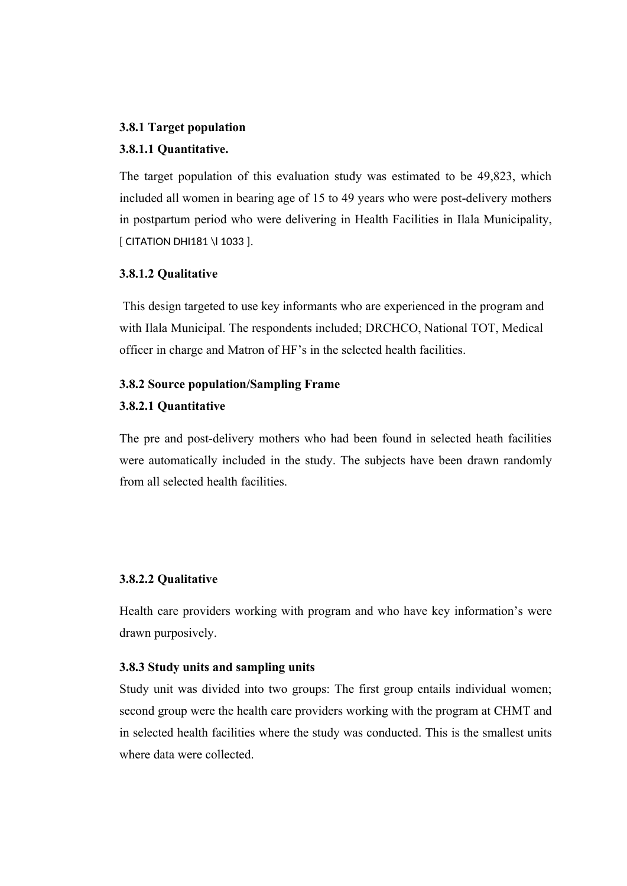#### **3.8.1 Target population**

## **3.8.1.1 Quantitative.**

The target population of this evaluation study was estimated to be 49,823, which included all women in bearing age of 15 to 49 years who were post-delivery mothers in postpartum period who were delivering in Health Facilities in Ilala Municipality, [ CITATION DHI181 \l 1033 ].

#### **3.8.1.2 Qualitative**

 This design targeted to use key informants who are experienced in the program and with Ilala Municipal. The respondents included; DRCHCO, National TOT, Medical officer in charge and Matron of HF's in the selected health facilities.

# **3.8.2 Source population/Sampling Frame**

## **3.8.2.1 Quantitative**

The pre and post-delivery mothers who had been found in selected heath facilities were automatically included in the study. The subjects have been drawn randomly from all selected health facilities.

#### **3.8.2.2 Qualitative**

Health care providers working with program and who have key information's were drawn purposively.

#### **3.8.3 Study units and sampling units**

Study unit was divided into two groups: The first group entails individual women; second group were the health care providers working with the program at CHMT and in selected health facilities where the study was conducted. This is the smallest units where data were collected.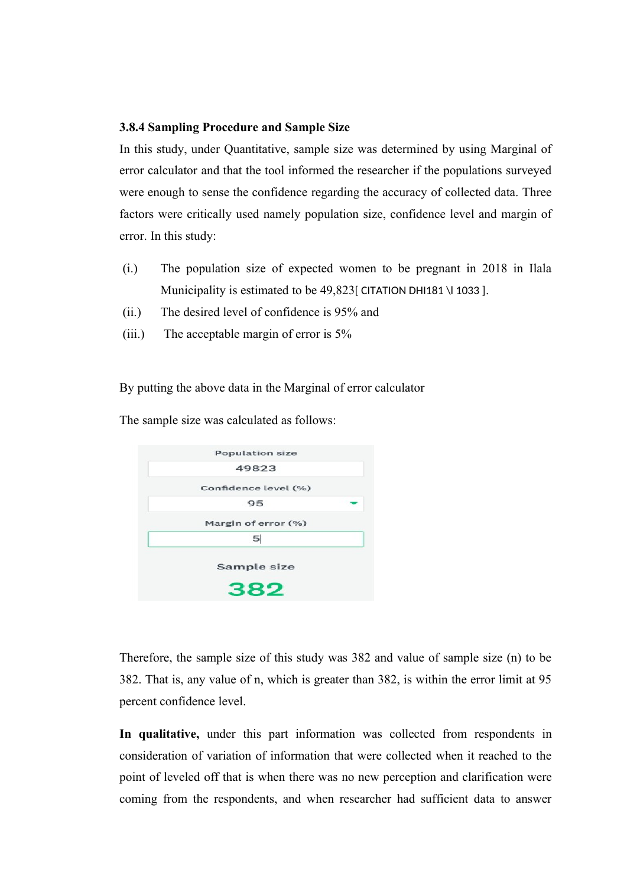#### **3.8.4 Sampling Procedure and Sample Size**

In this study, under Quantitative, sample size was determined by using Marginal of error calculator and that the tool informed the researcher if the populations surveyed were enough to sense the confidence regarding the accuracy of collected data. Three factors were critically used namely population size, confidence level and margin of error. In this study:

- (i.) The population size of expected women to be pregnant in 2018 in Ilala Municipality is estimated to be 49,823[ CITATION DHI181 \l 1033 ].
- (ii.) The desired level of confidence is 95% and
- (iii.) The acceptable margin of error is 5%

By putting the above data in the Marginal of error calculator

The sample size was calculated as follows:

| <b>Population size</b> |
|------------------------|
| 49823                  |
| Confidence level (%)   |
| 95                     |
| Margin of error (%)    |
| 5 <sup>1</sup>         |
| Sample size            |
| 382                    |

Therefore, the sample size of this study was 382 and value of sample size (n) to be 382. That is, any value of n, which is greater than 382, is within the error limit at 95 percent confidence level.

**In qualitative,** under this part information was collected from respondents in consideration of variation of information that were collected when it reached to the point of leveled off that is when there was no new perception and clarification were coming from the respondents, and when researcher had sufficient data to answer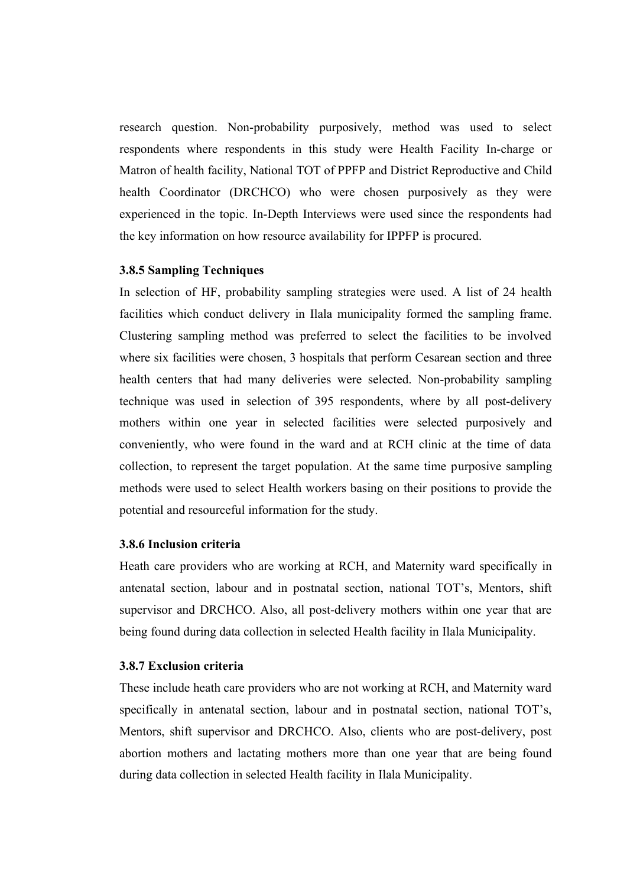research question. Non-probability purposively, method was used to select respondents where respondents in this study were Health Facility In-charge or Matron of health facility, National TOT of PPFP and District Reproductive and Child health Coordinator (DRCHCO) who were chosen purposively as they were experienced in the topic. In-Depth Interviews were used since the respondents had the key information on how resource availability for IPPFP is procured.

# **3.8.5 Sampling Techniques**

In selection of HF, probability sampling strategies were used. A list of 24 health facilities which conduct delivery in Ilala municipality formed the sampling frame. Clustering sampling method was preferred to select the facilities to be involved where six facilities were chosen, 3 hospitals that perform Cesarean section and three health centers that had many deliveries were selected. Non-probability sampling technique was used in selection of 395 respondents, where by all post-delivery mothers within one year in selected facilities were selected purposively and conveniently, who were found in the ward and at RCH clinic at the time of data collection, to represent the target population. At the same time purposive sampling methods were used to select Health workers basing on their positions to provide the potential and resourceful information for the study.

#### **3.8.6 Inclusion criteria**

Heath care providers who are working at RCH, and Maternity ward specifically in antenatal section, labour and in postnatal section, national TOT's, Mentors, shift supervisor and DRCHCO. Also, all post-delivery mothers within one year that are being found during data collection in selected Health facility in Ilala Municipality.

## **3.8.7 Exclusion criteria**

These include heath care providers who are not working at RCH, and Maternity ward specifically in antenatal section, labour and in postnatal section, national TOT's, Mentors, shift supervisor and DRCHCO. Also, clients who are post-delivery, post abortion mothers and lactating mothers more than one year that are being found during data collection in selected Health facility in Ilala Municipality.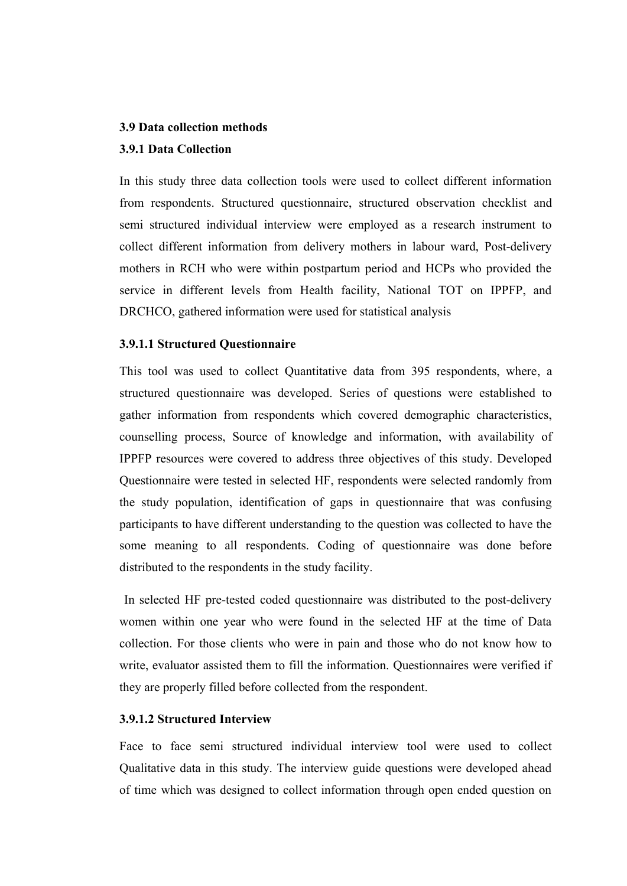#### **3.9 Data collection methods**

# **3.9.1 Data Collection**

In this study three data collection tools were used to collect different information from respondents. Structured questionnaire, structured observation checklist and semi structured individual interview were employed as a research instrument to collect different information from delivery mothers in labour ward, Post-delivery mothers in RCH who were within postpartum period and HCPs who provided the service in different levels from Health facility, National TOT on IPPFP, and DRCHCO, gathered information were used for statistical analysis

# **3.9.1.1 Structured Questionnaire**

This tool was used to collect Quantitative data from 395 respondents, where, a structured questionnaire was developed. Series of questions were established to gather information from respondents which covered demographic characteristics, counselling process, Source of knowledge and information, with availability of IPPFP resources were covered to address three objectives of this study. Developed Questionnaire were tested in selected HF, respondents were selected randomly from the study population, identification of gaps in questionnaire that was confusing participants to have different understanding to the question was collected to have the some meaning to all respondents. Coding of questionnaire was done before distributed to the respondents in the study facility.

 In selected HF pre-tested coded questionnaire was distributed to the post-delivery women within one year who were found in the selected HF at the time of Data collection. For those clients who were in pain and those who do not know how to write, evaluator assisted them to fill the information. Questionnaires were verified if they are properly filled before collected from the respondent.

## **3.9.1.2 Structured Interview**

Face to face semi structured individual interview tool were used to collect Qualitative data in this study. The interview guide questions were developed ahead of time which was designed to collect information through open ended question on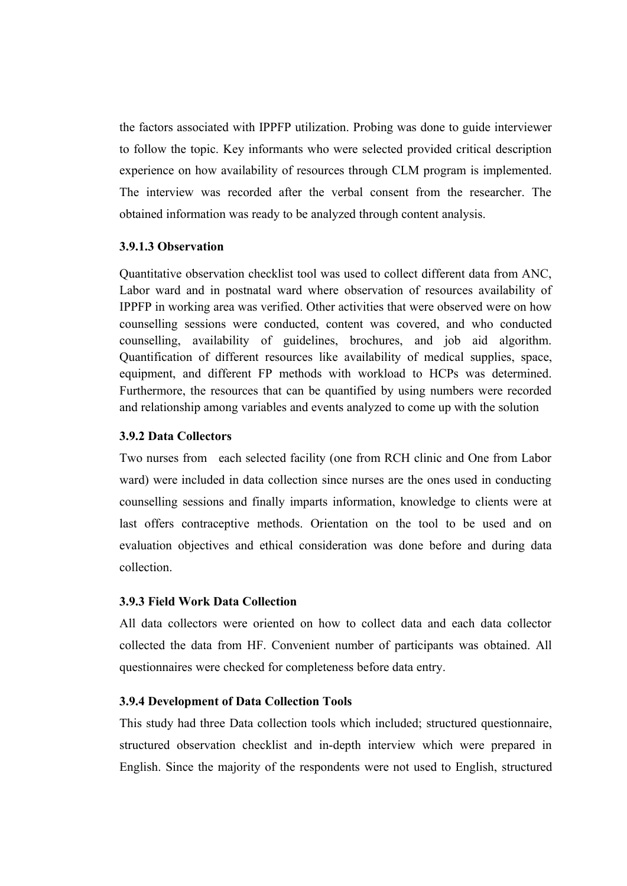the factors associated with IPPFP utilization. Probing was done to guide interviewer to follow the topic. Key informants who were selected provided critical description experience on how availability of resources through CLM program is implemented. The interview was recorded after the verbal consent from the researcher. The obtained information was ready to be analyzed through content analysis.

## **3.9.1.3 Observation**

Quantitative observation checklist tool was used to collect different data from ANC, Labor ward and in postnatal ward where observation of resources availability of IPPFP in working area was verified. Other activities that were observed were on how counselling sessions were conducted, content was covered, and who conducted counselling, availability of guidelines, brochures, and job aid algorithm. Quantification of different resources like availability of medical supplies, space, equipment, and different FP methods with workload to HCPs was determined. Furthermore, the resources that can be quantified by using numbers were recorded and relationship among variables and events analyzed to come up with the solution

# **3.9.2 Data Collectors**

Two nurses from each selected facility (one from RCH clinic and One from Labor ward) were included in data collection since nurses are the ones used in conducting counselling sessions and finally imparts information, knowledge to clients were at last offers contraceptive methods. Orientation on the tool to be used and on evaluation objectives and ethical consideration was done before and during data collection.

#### **3.9.3 Field Work Data Collection**

All data collectors were oriented on how to collect data and each data collector collected the data from HF. Convenient number of participants was obtained. All questionnaires were checked for completeness before data entry.

#### **3.9.4 Development of Data Collection Tools**

This study had three Data collection tools which included; structured questionnaire, structured observation checklist and in-depth interview which were prepared in English. Since the majority of the respondents were not used to English, structured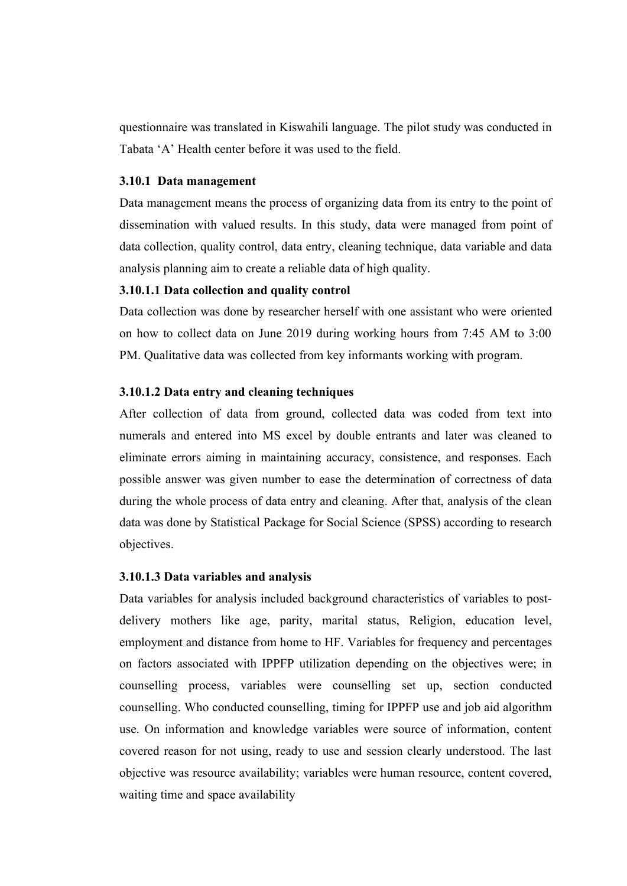questionnaire was translated in Kiswahili language. The pilot study was conducted in Tabata 'A' Health center before it was used to the field.

#### **3.10.1 Data management**

Data management means the process of organizing data from its entry to the point of dissemination with valued results. In this study, data were managed from point of data collection, quality control, data entry, cleaning technique, data variable and data analysis planning aim to create a reliable data of high quality.

# **3.10.1.1 Data collection and quality control**

Data collection was done by researcher herself with one assistant who were oriented on how to collect data on June 2019 during working hours from 7:45 AM to 3:00 PM. Qualitative data was collected from key informants working with program.

# **3.10.1.2 Data entry and cleaning techniques**

After collection of data from ground, collected data was coded from text into numerals and entered into MS excel by double entrants and later was cleaned to eliminate errors aiming in maintaining accuracy, consistence, and responses. Each possible answer was given number to ease the determination of correctness of data during the whole process of data entry and cleaning. After that, analysis of the clean data was done by Statistical Package for Social Science (SPSS) according to research objectives.

## **3.10.1.3 Data variables and analysis**

Data variables for analysis included background characteristics of variables to postdelivery mothers like age, parity, marital status, Religion, education level, employment and distance from home to HF. Variables for frequency and percentages on factors associated with IPPFP utilization depending on the objectives were; in counselling process, variables were counselling set up, section conducted counselling. Who conducted counselling, timing for IPPFP use and job aid algorithm use. On information and knowledge variables were source of information, content covered reason for not using, ready to use and session clearly understood. The last objective was resource availability; variables were human resource, content covered, waiting time and space availability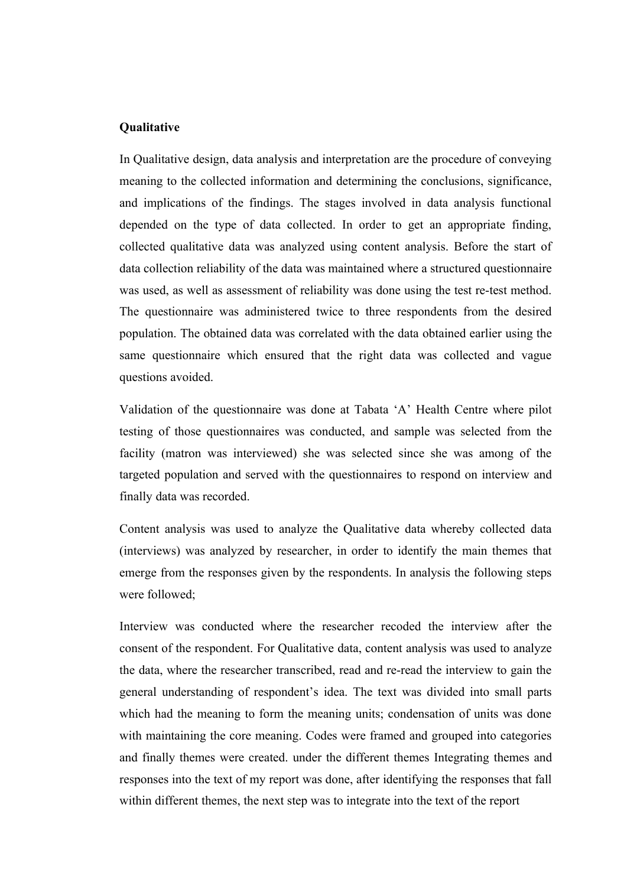## **Qualitative**

In Qualitative design, data analysis and interpretation are the procedure of conveying meaning to the collected information and determining the conclusions, significance, and implications of the findings. The stages involved in data analysis functional depended on the type of data collected. In order to get an appropriate finding, collected qualitative data was analyzed using content analysis. Before the start of data collection reliability of the data was maintained where a structured questionnaire was used, as well as assessment of reliability was done using the test re-test method. The questionnaire was administered twice to three respondents from the desired population. The obtained data was correlated with the data obtained earlier using the same questionnaire which ensured that the right data was collected and vague questions avoided.

Validation of the questionnaire was done at Tabata 'A' Health Centre where pilot testing of those questionnaires was conducted, and sample was selected from the facility (matron was interviewed) she was selected since she was among of the targeted population and served with the questionnaires to respond on interview and finally data was recorded.

Content analysis was used to analyze the Qualitative data whereby collected data (interviews) was analyzed by researcher, in order to identify the main themes that emerge from the responses given by the respondents. In analysis the following steps were followed;

Interview was conducted where the researcher recoded the interview after the consent of the respondent. For Qualitative data, content analysis was used to analyze the data, where the researcher transcribed, read and re-read the interview to gain the general understanding of respondent's idea. The text was divided into small parts which had the meaning to form the meaning units; condensation of units was done with maintaining the core meaning. Codes were framed and grouped into categories and finally themes were created. under the different themes Integrating themes and responses into the text of my report was done, after identifying the responses that fall within different themes, the next step was to integrate into the text of the report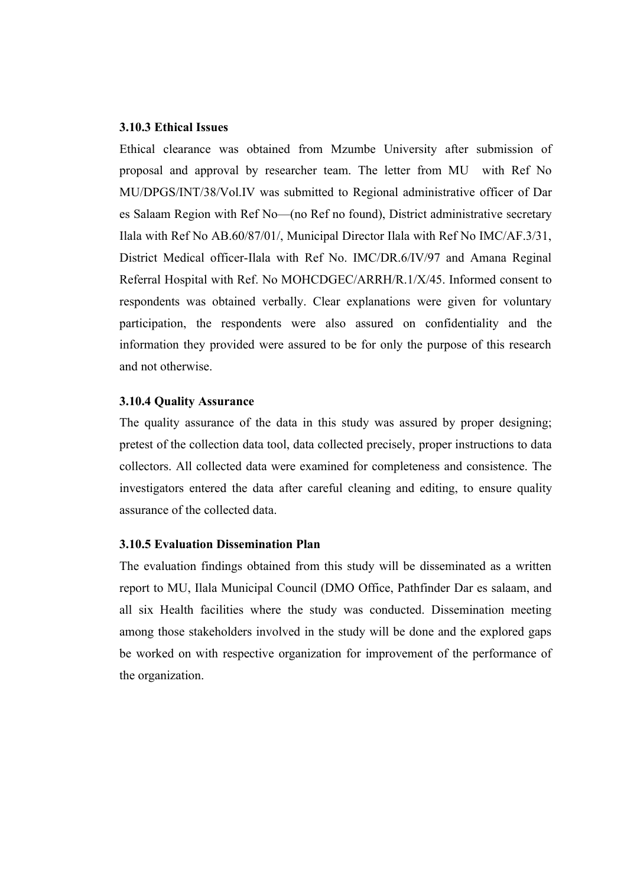#### **3.10.3 Ethical Issues**

Ethical clearance was obtained from Mzumbe University after submission of proposal and approval by researcher team. The letter from MU with Ref No MU/DPGS/INT/38/Vol.IV was submitted to Regional administrative officer of Dar es Salaam Region with Ref No—(no Ref no found), District administrative secretary Ilala with Ref No AB.60/87/01/, Municipal Director Ilala with Ref No IMC/AF.3/31, District Medical officer-Ilala with Ref No. IMC/DR.6/IV/97 and Amana Reginal Referral Hospital with Ref. No MOHCDGEC/ARRH/R.1/X/45. Informed consent to respondents was obtained verbally. Clear explanations were given for voluntary participation, the respondents were also assured on confidentiality and the information they provided were assured to be for only the purpose of this research and not otherwise.

#### **3.10.4 Quality Assurance**

The quality assurance of the data in this study was assured by proper designing; pretest of the collection data tool, data collected precisely, proper instructions to data collectors. All collected data were examined for completeness and consistence. The investigators entered the data after careful cleaning and editing, to ensure quality assurance of the collected data.

#### **3.10.5 Evaluation Dissemination Plan**

The evaluation findings obtained from this study will be disseminated as a written report to MU, Ilala Municipal Council (DMO Office, Pathfinder Dar es salaam, and all six Health facilities where the study was conducted. Dissemination meeting among those stakeholders involved in the study will be done and the explored gaps be worked on with respective organization for improvement of the performance of the organization.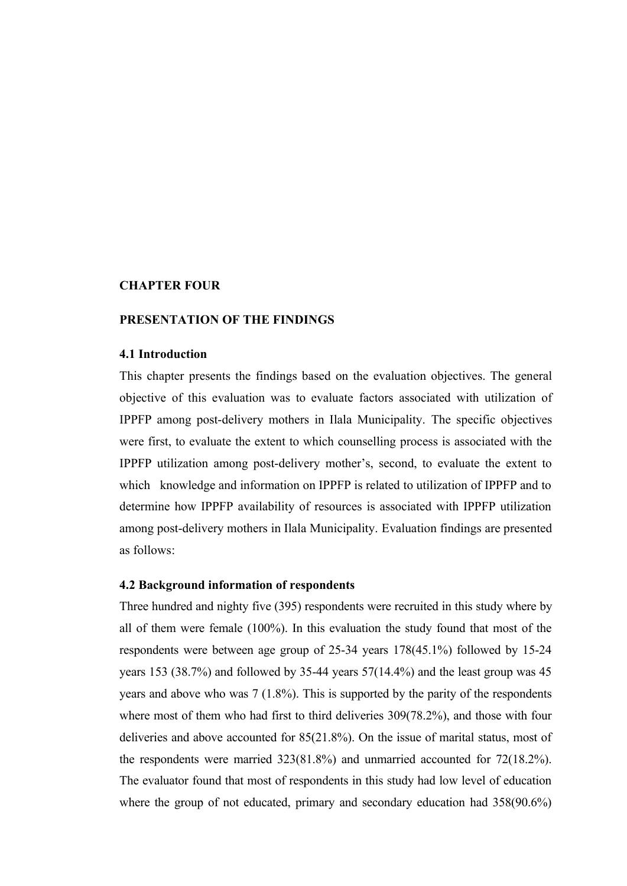## **CHAPTER FOUR**

#### **PRESENTATION OF THE FINDINGS**

#### **4.1 Introduction**

This chapter presents the findings based on the evaluation objectives. The general objective of this evaluation was to evaluate factors associated with utilization of IPPFP among post-delivery mothers in Ilala Municipality. The specific objectives were first, to evaluate the extent to which counselling process is associated with the IPPFP utilization among post-delivery mother's, second, to evaluate the extent to which knowledge and information on IPPFP is related to utilization of IPPFP and to determine how IPPFP availability of resources is associated with IPPFP utilization among post-delivery mothers in Ilala Municipality. Evaluation findings are presented as follows:

#### **4.2 Background information of respondents**

Three hundred and nighty five (395) respondents were recruited in this study where by all of them were female (100%). In this evaluation the study found that most of the respondents were between age group of 25-34 years 178(45.1%) followed by 15-24 years 153 (38.7%) and followed by 35-44 years 57(14.4%) and the least group was 45 years and above who was 7 (1.8%). This is supported by the parity of the respondents where most of them who had first to third deliveries 309(78.2%), and those with four deliveries and above accounted for 85(21.8%). On the issue of marital status, most of the respondents were married 323(81.8%) and unmarried accounted for 72(18.2%). The evaluator found that most of respondents in this study had low level of education where the group of not educated, primary and secondary education had 358(90.6%)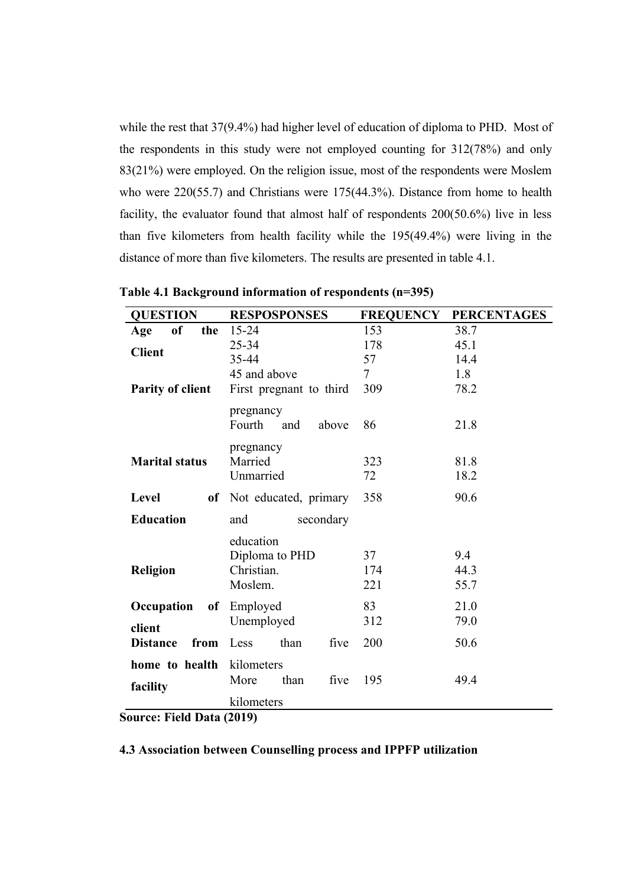while the rest that 37(9.4%) had higher level of education of diploma to PHD. Most of the respondents in this study were not employed counting for 312(78%) and only 83(21%) were employed. On the religion issue, most of the respondents were Moslem who were 220(55.7) and Christians were 175(44.3%). Distance from home to health facility, the evaluator found that almost half of respondents 200(50.6%) live in less than five kilometers from health facility while the 195(49.4%) were living in the distance of more than five kilometers. The results are presented in table 4.1.

| <b>QUESTION</b>               | <b>RESPOSPONSES</b>      | <b>FREQUENCY</b> | <b>PERCENTAGES</b> |
|-------------------------------|--------------------------|------------------|--------------------|
| of<br>Age<br>the              | 15-24                    | 153              | 38.7               |
| <b>Client</b>                 | 25-34                    | 178              | 45.1               |
|                               | 35-44                    | 57               | 14.4               |
|                               | 45 and above             | $\tau$           | 1.8                |
| <b>Parity of client</b>       | First pregnant to third  | 309              | 78.2               |
|                               | pregnancy                |                  |                    |
|                               | Fourth<br>and<br>above   | 86               | 21.8               |
|                               |                          |                  |                    |
|                               | pregnancy                |                  |                    |
| <b>Marital status</b>         | Married                  | 323              | 81.8               |
|                               | Unmarried                | 72               | 18.2               |
| Level                         | of Not educated, primary | 358              | 90.6               |
| <b>Education</b>              | and<br>secondary         |                  |                    |
|                               | education                |                  |                    |
|                               | Diploma to PHD           | 37               | 9.4                |
| Christian.<br><b>Religion</b> |                          | 174              | 44.3               |
|                               | Moslem.                  | 221              | 55.7               |
| Occupation<br>of              | Employed                 | 83               | 21.0               |
| client                        | Unemployed               | 312              | 79.0               |
| <b>Distance</b><br>from       | than<br>five<br>Less     | 200              | 50.6               |
| home to health                | kilometers               |                  |                    |
|                               |                          |                  |                    |
| facility                      | More<br>than<br>five     | 195              | 49.4               |
|                               | kilometers               |                  |                    |

**Source: Field Data (2019)**

### **4.3 Association between Counselling process and IPPFP utilization**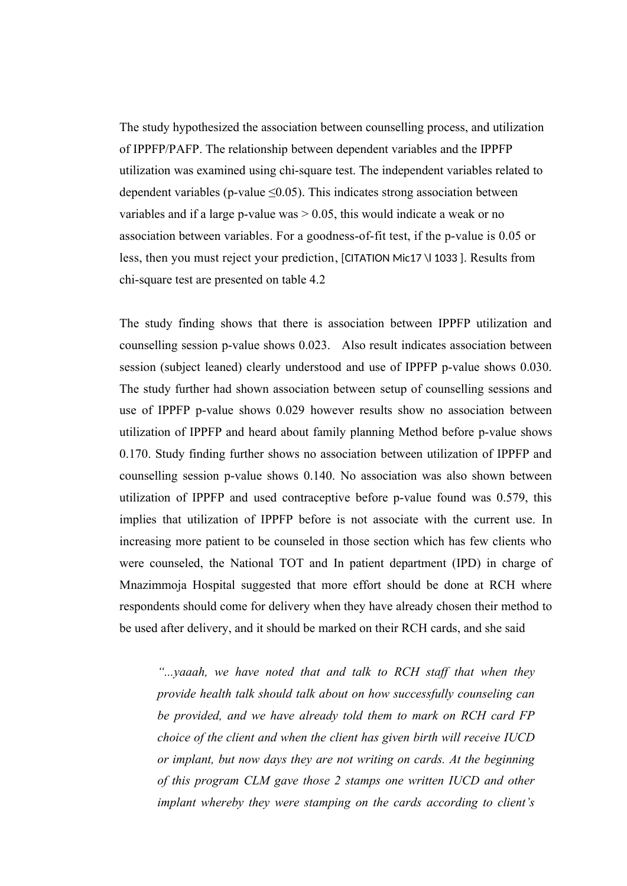The study hypothesized the association between counselling process, and utilization of IPPFP/PAFP. The relationship between dependent variables and the IPPFP utilization was examined using chi-square test. The independent variables related to dependent variables (p-value  $\leq 0.05$ ). This indicates strong association between variables and if a large p-value was  $> 0.05$ , this would indicate a weak or no association between variables. For a goodness-of-fit test, if the p-value is 0.05 or less, then you must reject your prediction, [CITATION Mic17 \l 1033 ]. Results from chi-square test are presented on table 4.2

The study finding shows that there is association between IPPFP utilization and counselling session p-value shows 0.023. Also result indicates association between session (subject leaned) clearly understood and use of IPPFP p-value shows 0.030. The study further had shown association between setup of counselling sessions and use of IPPFP p-value shows 0.029 however results show no association between utilization of IPPFP and heard about family planning Method before p-value shows 0.170. Study finding further shows no association between utilization of IPPFP and counselling session p-value shows 0.140. No association was also shown between utilization of IPPFP and used contraceptive before p-value found was 0.579, this implies that utilization of IPPFP before is not associate with the current use. In increasing more patient to be counseled in those section which has few clients who were counseled, the National TOT and In patient department (IPD) in charge of Mnazimmoja Hospital suggested that more effort should be done at RCH where respondents should come for delivery when they have already chosen their method to be used after delivery, and it should be marked on their RCH cards, and she said

*"...yaaah, we have noted that and talk to RCH staff that when they provide health talk should talk about on how successfully counseling can be provided, and we have already told them to mark on RCH card FP choice of the client and when the client has given birth will receive IUCD or implant, but now days they are not writing on cards. At the beginning of this program CLM gave those 2 stamps one written IUCD and other implant whereby they were stamping on the cards according to client's*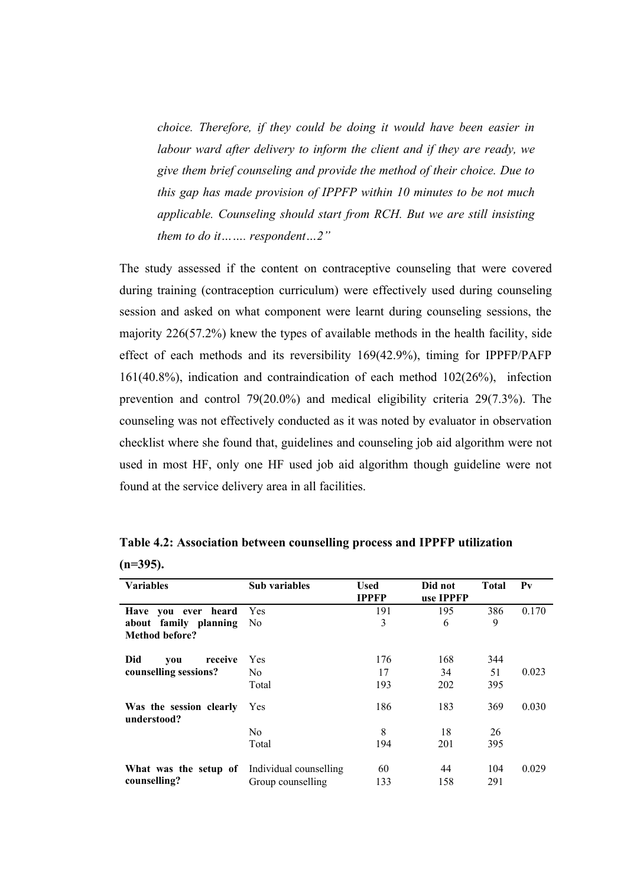*choice. Therefore, if they could be doing it would have been easier in labour ward after delivery to inform the client and if they are ready, we give them brief counseling and provide the method of their choice. Due to this gap has made provision of IPPFP within 10 minutes to be not much applicable. Counseling should start from RCH. But we are still insisting them to do it……. respondent…2"*

The study assessed if the content on contraceptive counseling that were covered during training (contraception curriculum) were effectively used during counseling session and asked on what component were learnt during counseling sessions, the majority 226(57.2%) knew the types of available methods in the health facility, side effect of each methods and its reversibility 169(42.9%), timing for IPPFP/PAFP 161(40.8%), indication and contraindication of each method 102(26%), infection prevention and control 79(20.0%) and medical eligibility criteria 29(7.3%). The counseling was not effectively conducted as it was noted by evaluator in observation checklist where she found that, guidelines and counseling job aid algorithm were not used in most HF, only one HF used job aid algorithm though guideline were not found at the service delivery area in all facilities.

| <b>Variables</b>                             | Sub variables     | <b>Used</b><br><b>IPPFP</b> | Did not<br>use IPPFP | Total | $P_{V}$ |
|----------------------------------------------|-------------------|-----------------------------|----------------------|-------|---------|
| Have you ever heard                          | Yes               | 191                         | 195                  | 386   | 0.170   |
| about family planning                        | No.               | 3                           | 6                    | 9     |         |
| <b>Method before?</b>                        |                   |                             |                      |       |         |
| Did<br>receive<br>you                        | Yes               | 176                         | 168                  | 344   |         |
| counselling sessions?                        | No.               | 17                          | 34                   | 51    | 0.023   |
|                                              | Total             | 193                         | 202                  | 395   |         |
| Was the session clearly<br>understood?       | Yes               | 186                         | 183                  | 369   | 0.030   |
|                                              | N <sub>0</sub>    | 8                           | 18                   | 26    |         |
|                                              | Total             | 194                         | 201                  | 395   |         |
| What was the setup of Individual counselling |                   | 60                          | 44                   | 104   | 0.029   |
| counselling?                                 | Group counselling | 133                         | 158                  | 291   |         |

**Table 4.2: Association between counselling process and IPPFP utilization** 

**(n=395).**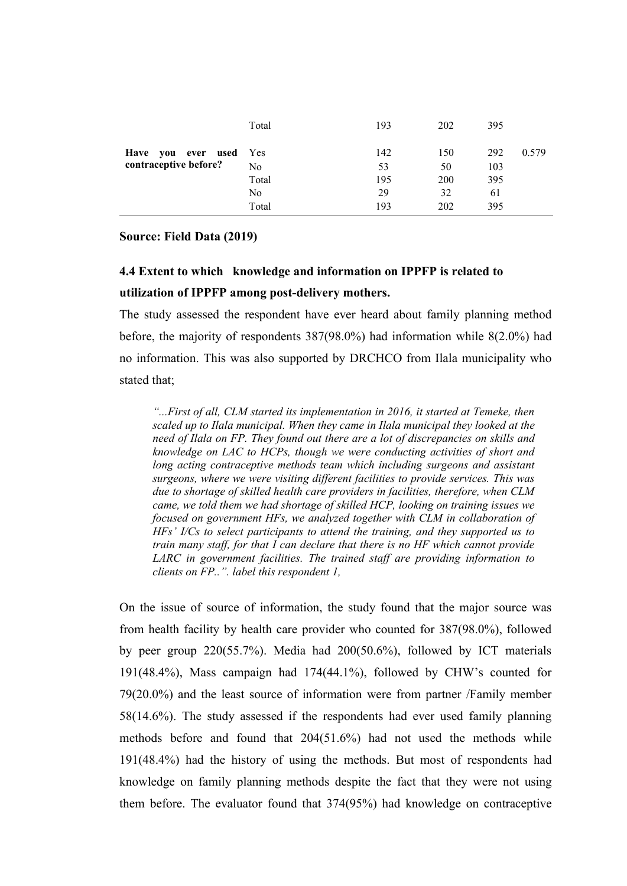|                        | Total          | 193 | 202 | 395 |       |
|------------------------|----------------|-----|-----|-----|-------|
| Have you ever used Yes |                | 142 | 150 | 292 | 0.579 |
| contraceptive before?  | N <sub>o</sub> | 53  | 50  | 103 |       |
|                        | Total          | 195 | 200 | 395 |       |
|                        | No.            | 29  | 32  | 61  |       |
|                        | Total          | 193 | 202 | 395 |       |

#### **Source: Field Data (2019)**

# **4.4 Extent to which knowledge and information on IPPFP is related to utilization of IPPFP among post-delivery mothers.**

The study assessed the respondent have ever heard about family planning method before, the majority of respondents 387(98.0%) had information while 8(2.0%) had no information. This was also supported by DRCHCO from Ilala municipality who stated that;

*"...First of all, CLM started its implementation in 2016, it started at Temeke, then scaled up to Ilala municipal. When they came in Ilala municipal they looked at the need of Ilala on FP. They found out there are a lot of discrepancies on skills and knowledge on LAC to HCPs, though we were conducting activities of short and long acting contraceptive methods team which including surgeons and assistant surgeons, where we were visiting different facilities to provide services. This was due to shortage of skilled health care providers in facilities, therefore, when CLM came, we told them we had shortage of skilled HCP, looking on training issues we focused on government HFs, we analyzed together with CLM in collaboration of HFs' I/Cs to select participants to attend the training, and they supported us to train many staff, for that I can declare that there is no HF which cannot provide LARC in government facilities. The trained staff are providing information to clients on FP..". label this respondent 1,*

On the issue of source of information, the study found that the major source was from health facility by health care provider who counted for 387(98.0%), followed by peer group 220(55.7%). Media had 200(50.6%), followed by ICT materials 191(48.4%), Mass campaign had 174(44.1%), followed by CHW's counted for 79(20.0%) and the least source of information were from partner /Family member 58(14.6%). The study assessed if the respondents had ever used family planning methods before and found that 204(51.6%) had not used the methods while 191(48.4%) had the history of using the methods. But most of respondents had knowledge on family planning methods despite the fact that they were not using them before. The evaluator found that 374(95%) had knowledge on contraceptive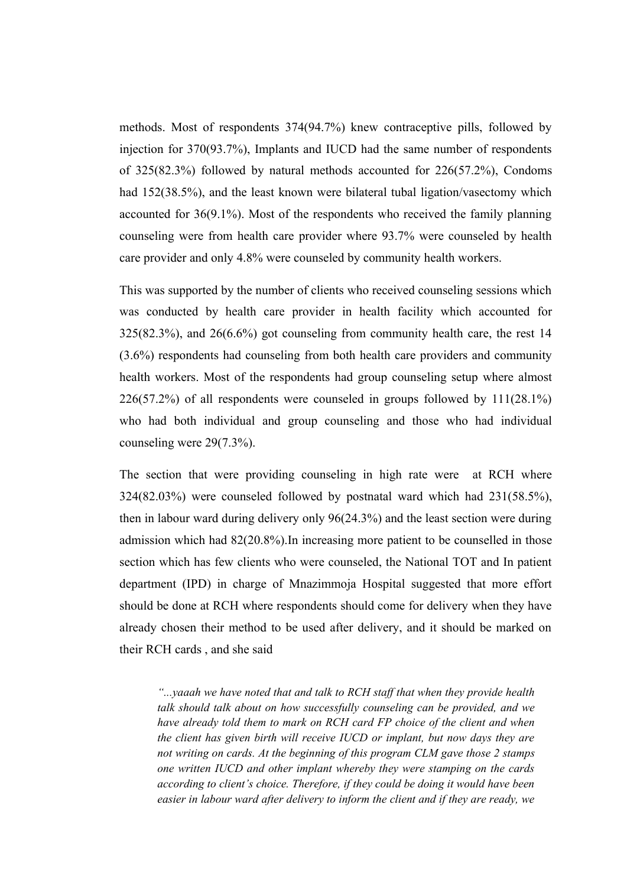methods. Most of respondents 374(94.7%) knew contraceptive pills, followed by injection for 370(93.7%), Implants and IUCD had the same number of respondents of 325(82.3%) followed by natural methods accounted for 226(57.2%), Condoms had 152(38.5%), and the least known were bilateral tubal ligation/vasectomy which accounted for 36(9.1%). Most of the respondents who received the family planning counseling were from health care provider where 93.7% were counseled by health care provider and only 4.8% were counseled by community health workers.

This was supported by the number of clients who received counseling sessions which was conducted by health care provider in health facility which accounted for 325(82.3%), and 26(6.6%) got counseling from community health care, the rest 14 (3.6%) respondents had counseling from both health care providers and community health workers. Most of the respondents had group counseling setup where almost 226(57.2%) of all respondents were counseled in groups followed by 111(28.1%) who had both individual and group counseling and those who had individual counseling were 29(7.3%).

The section that were providing counseling in high rate were at RCH where 324(82.03%) were counseled followed by postnatal ward which had 231(58.5%), then in labour ward during delivery only 96(24.3%) and the least section were during admission which had 82(20.8%).In increasing more patient to be counselled in those section which has few clients who were counseled, the National TOT and In patient department (IPD) in charge of Mnazimmoja Hospital suggested that more effort should be done at RCH where respondents should come for delivery when they have already chosen their method to be used after delivery, and it should be marked on their RCH cards , and she said

*"...yaaah we have noted that and talk to RCH staff that when they provide health talk should talk about on how successfully counseling can be provided, and we have already told them to mark on RCH card FP choice of the client and when the client has given birth will receive IUCD or implant, but now days they are not writing on cards. At the beginning of this program CLM gave those 2 stamps one written IUCD and other implant whereby they were stamping on the cards according to client's choice. Therefore, if they could be doing it would have been easier in labour ward after delivery to inform the client and if they are ready, we*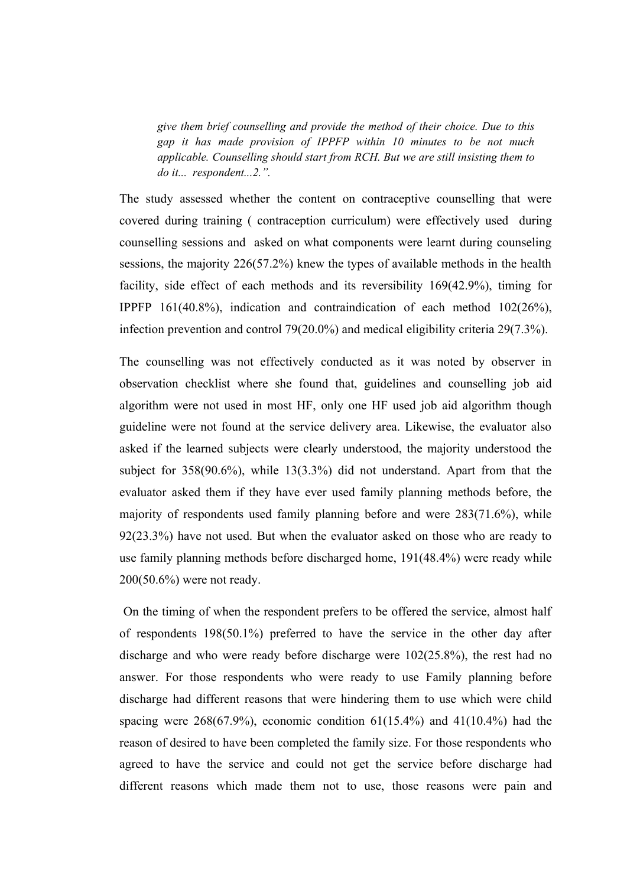*give them brief counselling and provide the method of their choice. Due to this gap it has made provision of IPPFP within 10 minutes to be not much applicable. Counselling should start from RCH. But we are still insisting them to do it... respondent...2.".*

The study assessed whether the content on contraceptive counselling that were covered during training ( contraception curriculum) were effectively used during counselling sessions and asked on what components were learnt during counseling sessions, the majority 226(57.2%) knew the types of available methods in the health facility, side effect of each methods and its reversibility 169(42.9%), timing for IPPFP 161(40.8%), indication and contraindication of each method 102(26%), infection prevention and control 79(20.0%) and medical eligibility criteria 29(7.3%).

The counselling was not effectively conducted as it was noted by observer in observation checklist where she found that, guidelines and counselling job aid algorithm were not used in most HF, only one HF used job aid algorithm though guideline were not found at the service delivery area. Likewise, the evaluator also asked if the learned subjects were clearly understood, the majority understood the subject for 358(90.6%), while 13(3.3%) did not understand. Apart from that the evaluator asked them if they have ever used family planning methods before, the majority of respondents used family planning before and were 283(71.6%), while 92(23.3%) have not used. But when the evaluator asked on those who are ready to use family planning methods before discharged home, 191(48.4%) were ready while 200(50.6%) were not ready.

 On the timing of when the respondent prefers to be offered the service, almost half of respondents 198(50.1%) preferred to have the service in the other day after discharge and who were ready before discharge were 102(25.8%), the rest had no answer. For those respondents who were ready to use Family planning before discharge had different reasons that were hindering them to use which were child spacing were  $268(67.9%)$ , economic condition  $61(15.4%)$  and  $41(10.4%)$  had the reason of desired to have been completed the family size. For those respondents who agreed to have the service and could not get the service before discharge had different reasons which made them not to use, those reasons were pain and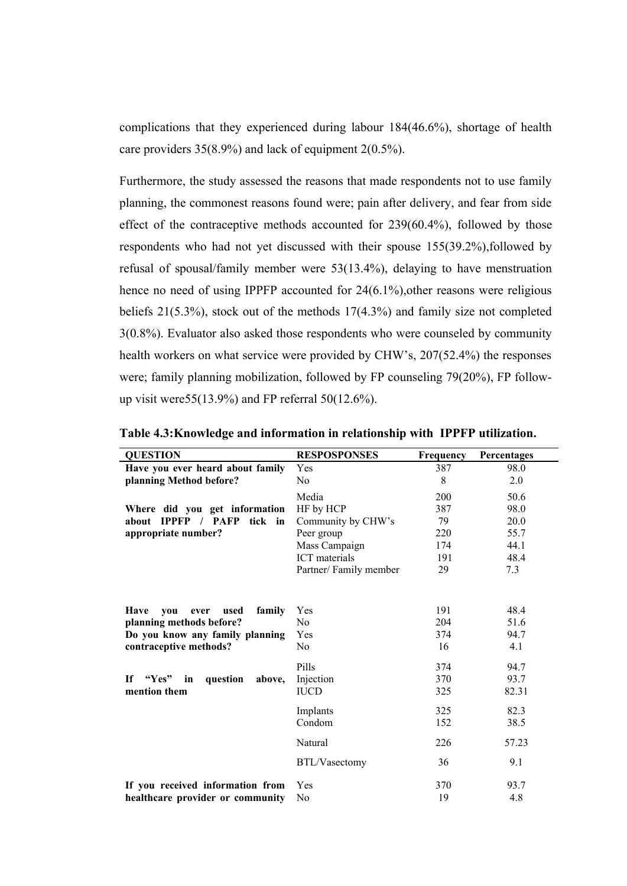complications that they experienced during labour 184(46.6%), shortage of health care providers 35(8.9%) and lack of equipment 2(0.5%).

Furthermore, the study assessed the reasons that made respondents not to use family planning, the commonest reasons found were; pain after delivery, and fear from side effect of the contraceptive methods accounted for 239(60.4%), followed by those respondents who had not yet discussed with their spouse 155(39.2%),followed by refusal of spousal/family member were 53(13.4%), delaying to have menstruation hence no need of using IPPFP accounted for 24(6.1%), other reasons were religious beliefs 21(5.3%), stock out of the methods 17(4.3%) and family size not completed 3(0.8%). Evaluator also asked those respondents who were counseled by community health workers on what service were provided by CHW's, 207(52.4%) the responses were; family planning mobilization, followed by FP counseling 79(20%), FP followup visit were55(13.9%) and FP referral 50(12.6%).

| <b>QUESTION</b>                              | <b>RESPOSPONSES</b>   | <b>Frequency</b> | Percentages |
|----------------------------------------------|-----------------------|------------------|-------------|
| Have you ever heard about family             | Yes                   | 387              | 98.0        |
| planning Method before?                      | N <sub>0</sub>        | 8                | 2.0         |
|                                              | Media                 | 200              | 50.6        |
| Where did you get information                | HF by HCP             | 387              | 98.0        |
| about IPPFP / PAFP tick in                   | Community by CHW's    | 79               | 20.0        |
| appropriate number?                          | Peer group            | 220              | 55.7        |
|                                              | Mass Campaign         | 174              | 44.1        |
|                                              | <b>ICT</b> materials  | 191              | 48.4        |
|                                              | Partner/Family member | 29               | 7.3         |
|                                              |                       |                  |             |
| <b>Have</b><br>family<br>vou<br>ever<br>used | Yes                   | 191              | 48.4        |
| planning methods before?                     | N <sub>0</sub>        | 204              | 51.6        |
| Do you know any family planning              | Yes                   | 374              | 94.7        |
| contraceptive methods?                       | No                    | 16               | 4.1         |
|                                              | Pills                 | 374              | 94.7        |
| "Yes" in<br>question<br>above,<br>- If       | Injection             | 370              | 93.7        |
| mention them                                 | <b>IUCD</b>           | 325              | 82.31       |
|                                              | Implants              | 325              | 82.3        |
|                                              | Condom                | 152              | 38.5        |
|                                              | Natural               | 226              | 57.23       |
|                                              | BTL/Vasectomy         | 36               | 9.1         |
| If you received information from             | Yes                   | 370              | 93.7        |
| healthcare provider or community             | N <sub>0</sub>        | 19               | 4.8         |

**Table 4.3:Knowledge and information in relationship with IPPFP utilization.**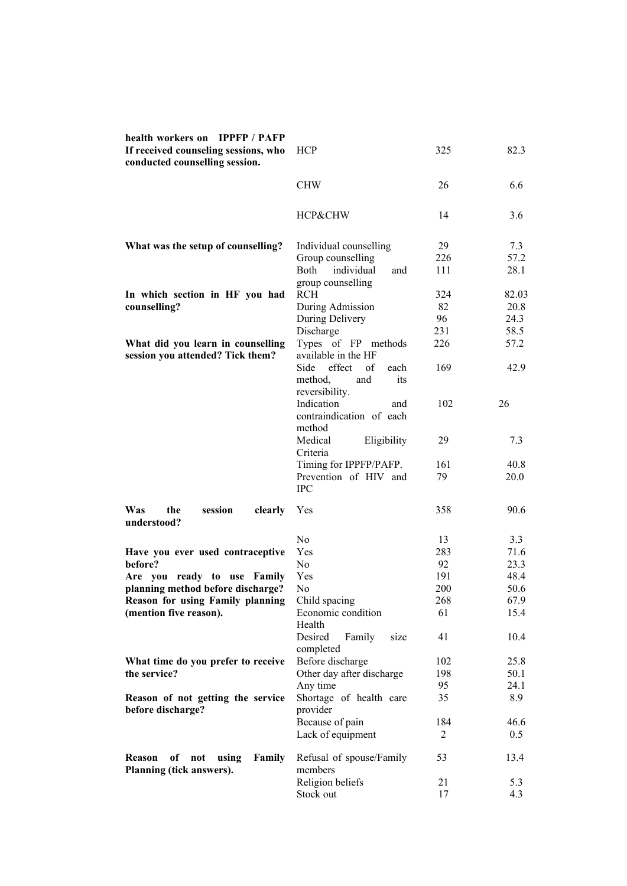| health workers on IPPFP / PAFP<br>If received counseling sessions, who<br>conducted counselling session. | <b>HCP</b>                       | 325            | 82.3  |
|----------------------------------------------------------------------------------------------------------|----------------------------------|----------------|-------|
|                                                                                                          | <b>CHW</b>                       | 26             | 6.6   |
|                                                                                                          | HCP&CHW                          | 14             | 3.6   |
| What was the setup of counselling?                                                                       | Individual counselling           | 29             | 7.3   |
|                                                                                                          | Group counselling                | 226            | 57.2  |
|                                                                                                          | <b>Both</b><br>individual<br>and | 111            | 28.1  |
|                                                                                                          | group counselling                |                |       |
| In which section in HF you had                                                                           | <b>RCH</b>                       | 324            | 82.03 |
| counselling?                                                                                             | During Admission                 | 82             | 20.8  |
|                                                                                                          | During Delivery                  | 96             | 24.3  |
|                                                                                                          | Discharge<br>Types of FP methods | 231            | 58.5  |
| What did you learn in counselling<br>session you attended? Tick them?                                    | available in the HF              | 226            | 57.2  |
|                                                                                                          | Side<br>effect<br>of<br>each     | 169            | 42.9  |
|                                                                                                          | method,<br>its<br>and            |                |       |
|                                                                                                          | reversibility.                   |                |       |
|                                                                                                          | Indication<br>and                | 102            | 26    |
|                                                                                                          | contraindication of each         |                |       |
|                                                                                                          | method                           |                |       |
|                                                                                                          | Medical<br>Eligibility           | 29             | 7.3   |
|                                                                                                          | Criteria                         |                |       |
|                                                                                                          | Timing for IPPFP/PAFP.           | 161            | 40.8  |
|                                                                                                          | Prevention of HIV and            | 79             | 20.0  |
|                                                                                                          | <b>IPC</b>                       |                |       |
| Was<br>the<br>session<br>clearly<br>understood?                                                          | Yes                              | 358            | 90.6  |
|                                                                                                          | N <sub>0</sub>                   | 13             | 3.3   |
| Have you ever used contraceptive                                                                         | Yes                              | 283            | 71.6  |
| before?                                                                                                  | N <sub>0</sub>                   | 92             | 23.3  |
| Are you ready to use Family                                                                              | Yes                              | 191            | 48.4  |
| planning method before discharge?                                                                        | No                               | 200            | 50.6  |
| Reason for using Family planning                                                                         | Child spacing                    | 268            | 67.9  |
| (mention five reason).                                                                                   | Economic condition               | 61             | 15.4  |
|                                                                                                          | Health<br>Desired                | 41             | 10.4  |
|                                                                                                          | Family<br>size<br>completed      |                |       |
| What time do you prefer to receive                                                                       | Before discharge                 | 102            | 25.8  |
| the service?                                                                                             | Other day after discharge        | 198            | 50.1  |
|                                                                                                          | Any time                         | 95             | 24.1  |
| Reason of not getting the service                                                                        | Shortage of health care          | 35             | 8.9   |
| before discharge?                                                                                        | provider<br>Because of pain      | 184            | 46.6  |
|                                                                                                          | Lack of equipment                | $\overline{2}$ | 0.5   |
|                                                                                                          |                                  |                |       |
| Family<br>of not<br>using<br><b>Reason</b>                                                               | Refusal of spouse/Family         | 53             | 13.4  |
| Planning (tick answers).                                                                                 | members                          |                |       |
|                                                                                                          | Religion beliefs                 | 21             | 5.3   |
|                                                                                                          | Stock out                        | 17             | 4.3   |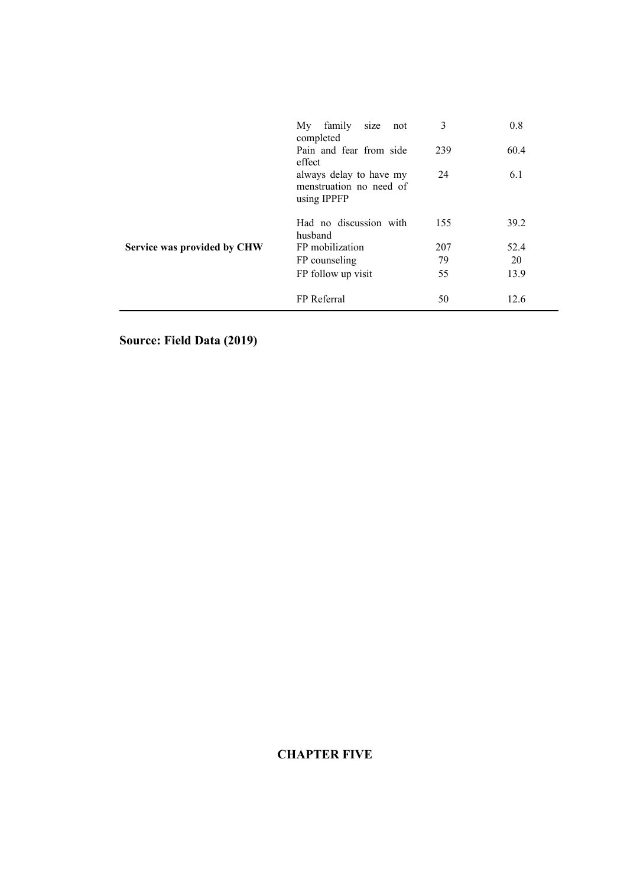|                             | family<br>My<br>size<br>not<br>completed<br>Pain and fear from side<br>effect | 3<br>239 | 0.8<br>60.4 |
|-----------------------------|-------------------------------------------------------------------------------|----------|-------------|
|                             | always delay to have my<br>menstruation no need of<br>using IPPFP             | 24       | 6.1         |
|                             | Had no discussion with<br>husband                                             | 155      | 39.2        |
| Service was provided by CHW | FP mobilization                                                               | 207      | 52.4        |
|                             | FP counseling                                                                 | 79       | 20          |
|                             | FP follow up visit                                                            | 55       | 13.9        |
|                             | FP Referral                                                                   | 50       | 12.6        |

**Source: Field Data (2019)**

# **CHAPTER FIVE**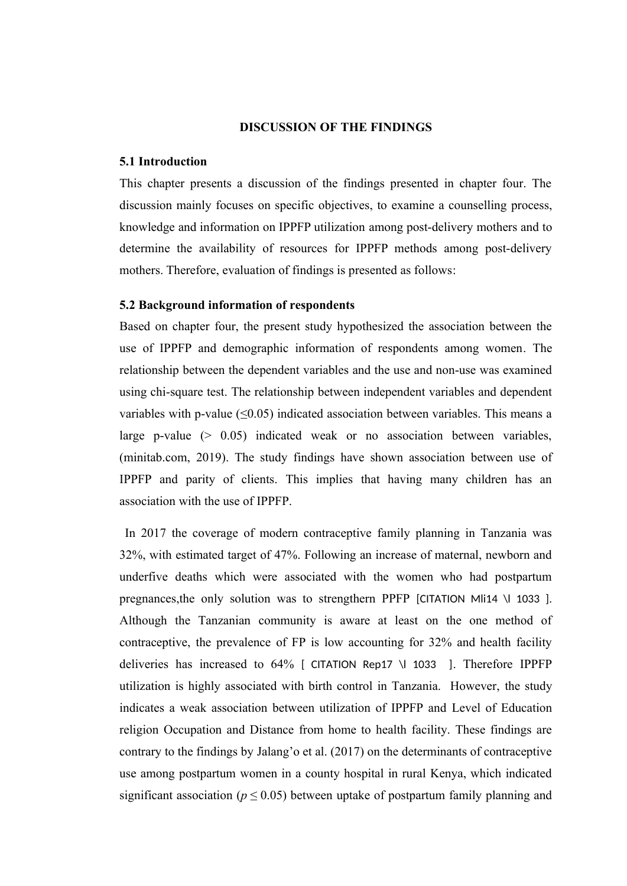#### **DISCUSSION OF THE FINDINGS**

#### **5.1 Introduction**

This chapter presents a discussion of the findings presented in chapter four. The discussion mainly focuses on specific objectives, to examine a counselling process, knowledge and information on IPPFP utilization among post-delivery mothers and to determine the availability of resources for IPPFP methods among post-delivery mothers. Therefore, evaluation of findings is presented as follows:

#### **5.2 Background information of respondents**

Based on chapter four, the present study hypothesized the association between the use of IPPFP and demographic information of respondents among women. The relationship between the dependent variables and the use and non-use was examined using chi-square test. The relationship between independent variables and dependent variables with p-value  $(\leq 0.05)$  indicated association between variables. This means a large p-value  $(> 0.05)$  indicated weak or no association between variables, (minitab.com, 2019). The study findings have shown association between use of IPPFP and parity of clients. This implies that having many children has an association with the use of IPPFP.

In 2017 the coverage of modern contraceptive family planning in Tanzania was 32%, with estimated target of 47%. Following an increase of maternal, newborn and underfive deaths which were associated with the women who had postpartum pregnances, the only solution was to strengthern PPFP [CITATION MI14 \l 1033 ]. Although the Tanzanian community is aware at least on the one method of contraceptive, the prevalence of FP is low accounting for 32% and health facility deliveries has increased to 64% [ CITATION Rep17 \l 1033 ]. Therefore IPPFP utilization is highly associated with birth control in Tanzania. However, the study indicates a weak association between utilization of IPPFP and Level of Education religion Occupation and Distance from home to health facility. These findings are contrary to the findings by Jalang'o et al. (2017) on the determinants of contraceptive use among postpartum women in a county hospital in rural Kenya, which indicated significant association ( $p \leq 0.05$ ) between uptake of postpartum family planning and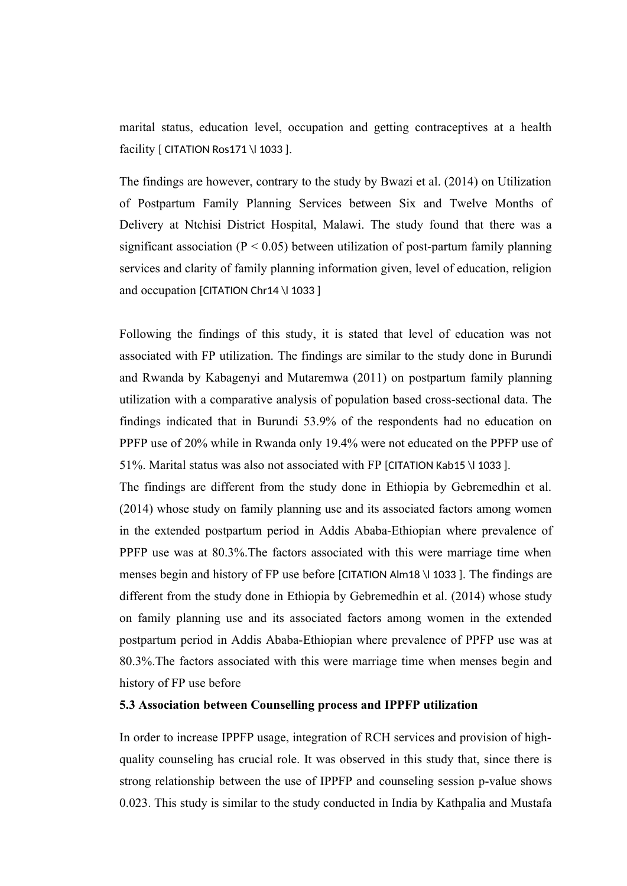marital status, education level, occupation and getting contraceptives at a health facility [ CITATION Ros171 \| 1033 ].

The findings are however, contrary to the study by Bwazi et al. (2014) on Utilization of Postpartum Family Planning Services between Six and Twelve Months of Delivery at Ntchisi District Hospital, Malawi. The study found that there was a significant association ( $P < 0.05$ ) between utilization of post-partum family planning services and clarity of family planning information given, level of education, religion and occupation [CITATION Chr14 \l 1033 ]

Following the findings of this study, it is stated that level of education was not associated with FP utilization. The findings are similar to the study done in Burundi and Rwanda by Kabagenyi and Mutaremwa (2011) on postpartum family planning utilization with a comparative analysis of population based cross-sectional data. The findings indicated that in Burundi 53.9% of the respondents had no education on PPFP use of 20% while in Rwanda only 19.4% were not educated on the PPFP use of 51%. Marital status was also not associated with FP [CITATION Kab15 \l 1033 ].

The findings are different from the study done in Ethiopia by Gebremedhin et al. (2014) whose study on family planning use and its associated factors among women in the extended postpartum period in Addis Ababa-Ethiopian where prevalence of PPFP use was at 80.3%.The factors associated with this were marriage time when menses begin and history of FP use before [CITATION Alm18 \l 1033 ]. The findings are different from the study done in Ethiopia by Gebremedhin et al. (2014) whose study on family planning use and its associated factors among women in the extended postpartum period in Addis Ababa-Ethiopian where prevalence of PPFP use was at 80.3%.The factors associated with this were marriage time when menses begin and history of FP use before

#### **5.3 Association between Counselling process and IPPFP utilization**

In order to increase IPPFP usage, integration of RCH services and provision of highquality counseling has crucial role. It was observed in this study that, since there is strong relationship between the use of IPPFP and counseling session p-value shows 0.023. This study is similar to the study conducted in India by Kathpalia and Mustafa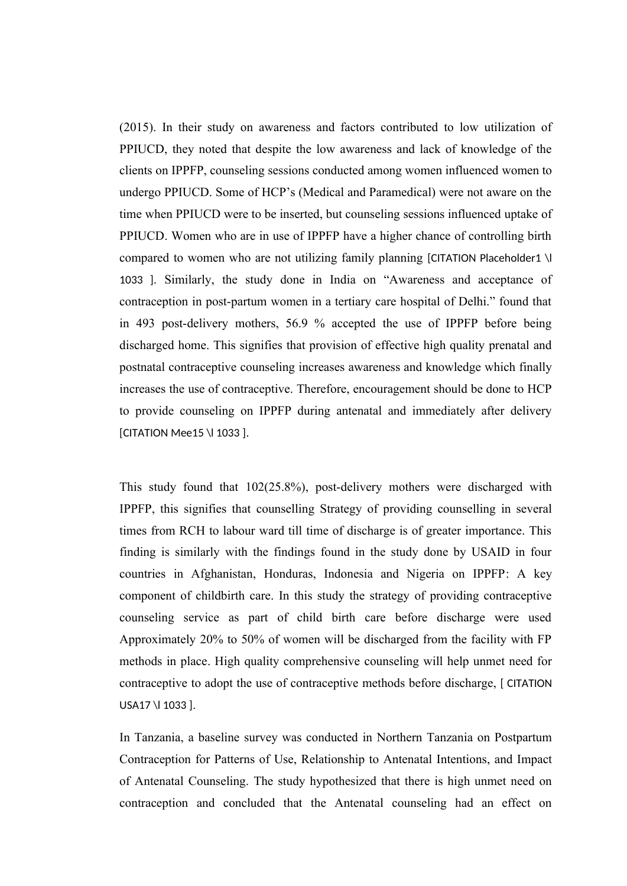(2015). In their study on awareness and factors contributed to low utilization of PPIUCD, they noted that despite the low awareness and lack of knowledge of the clients on IPPFP, counseling sessions conducted among women influenced women to undergo PPIUCD. Some of HCP's (Medical and Paramedical) were not aware on the time when PPIUCD were to be inserted, but counseling sessions influenced uptake of PPIUCD. Women who are in use of IPPFP have a higher chance of controlling birth compared to women who are not utilizing family planning [CITATION Placeholder1 \l 1033 ]. Similarly, the study done in India on "Awareness and acceptance of contraception in post-partum women in a tertiary care hospital of Delhi." found that in 493 post-delivery mothers, 56.9 % accepted the use of IPPFP before being discharged home. This signifies that provision of effective high quality prenatal and postnatal contraceptive counseling increases awareness and knowledge which finally increases the use of contraceptive. Therefore, encouragement should be done to HCP to provide counseling on IPPFP during antenatal and immediately after delivery [CITATION Mee15 \l 1033 ].

This study found that 102(25.8%), post-delivery mothers were discharged with IPPFP, this signifies that counselling Strategy of providing counselling in several times from RCH to labour ward till time of discharge is of greater importance. This finding is similarly with the findings found in the study done by USAID in four countries in Afghanistan, Honduras, Indonesia and Nigeria on IPPFP: A key component of childbirth care. In this study the strategy of providing contraceptive counseling service as part of child birth care before discharge were used Approximately 20% to 50% of women will be discharged from the facility with FP methods in place. High quality comprehensive counseling will help unmet need for contraceptive to adopt the use of contraceptive methods before discharge, [ CITATION USA17 \l 1033 ].

In Tanzania, a baseline survey was conducted in Northern Tanzania on Postpartum Contraception for Patterns of Use, Relationship to Antenatal Intentions, and Impact of Antenatal Counseling. The study hypothesized that there is high unmet need on contraception and concluded that the Antenatal counseling had an effect on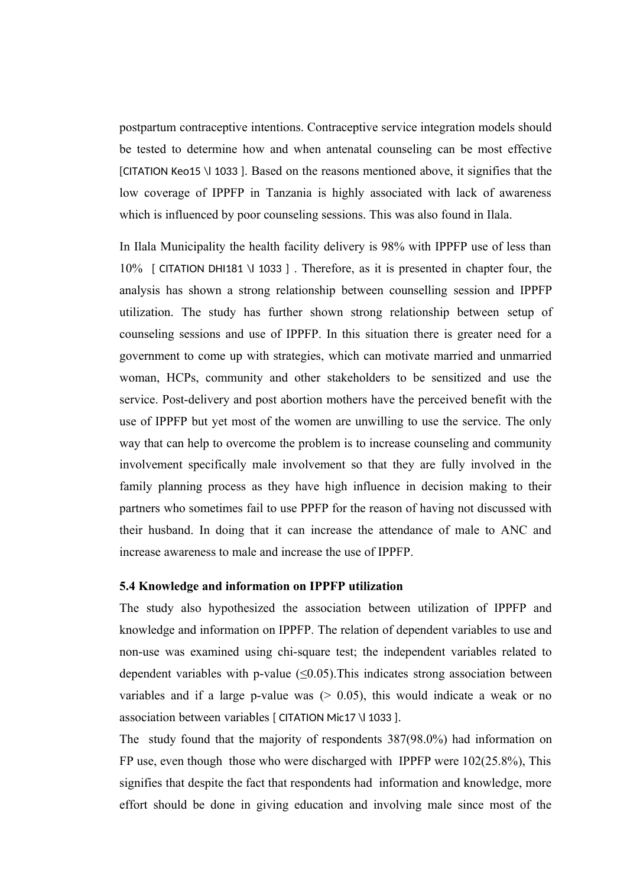postpartum contraceptive intentions. Contraceptive service integration models should be tested to determine how and when antenatal counseling can be most effective [CITATION Keo15 \l 1033 ]. Based on the reasons mentioned above, it signifies that the low coverage of IPPFP in Tanzania is highly associated with lack of awareness which is influenced by poor counseling sessions. This was also found in Ilala.

In Ilala Municipality the health facility delivery is 98% with IPPFP use of less than 10% [ CITATION DHI181 \l 1033 ] . Therefore, as it is presented in chapter four, the analysis has shown a strong relationship between counselling session and IPPFP utilization. The study has further shown strong relationship between setup of counseling sessions and use of IPPFP. In this situation there is greater need for a government to come up with strategies, which can motivate married and unmarried woman, HCPs, community and other stakeholders to be sensitized and use the service. Post-delivery and post abortion mothers have the perceived benefit with the use of IPPFP but yet most of the women are unwilling to use the service. The only way that can help to overcome the problem is to increase counseling and community involvement specifically male involvement so that they are fully involved in the family planning process as they have high influence in decision making to their partners who sometimes fail to use PPFP for the reason of having not discussed with their husband. In doing that it can increase the attendance of male to ANC and increase awareness to male and increase the use of IPPFP.

#### **5.4 Knowledge and information on IPPFP utilization**

The study also hypothesized the association between utilization of IPPFP and knowledge and information on IPPFP. The relation of dependent variables to use and non-use was examined using chi-square test; the independent variables related to dependent variables with p-value  $(\leq 0.05)$ . This indicates strong association between variables and if a large p-value was  $(0.05)$ , this would indicate a weak or no association between variables [ CITATION Mic17 \l 1033 ].

The study found that the majority of respondents 387(98.0%) had information on FP use, even though those who were discharged with IPPFP were 102(25.8%), This signifies that despite the fact that respondents had information and knowledge, more effort should be done in giving education and involving male since most of the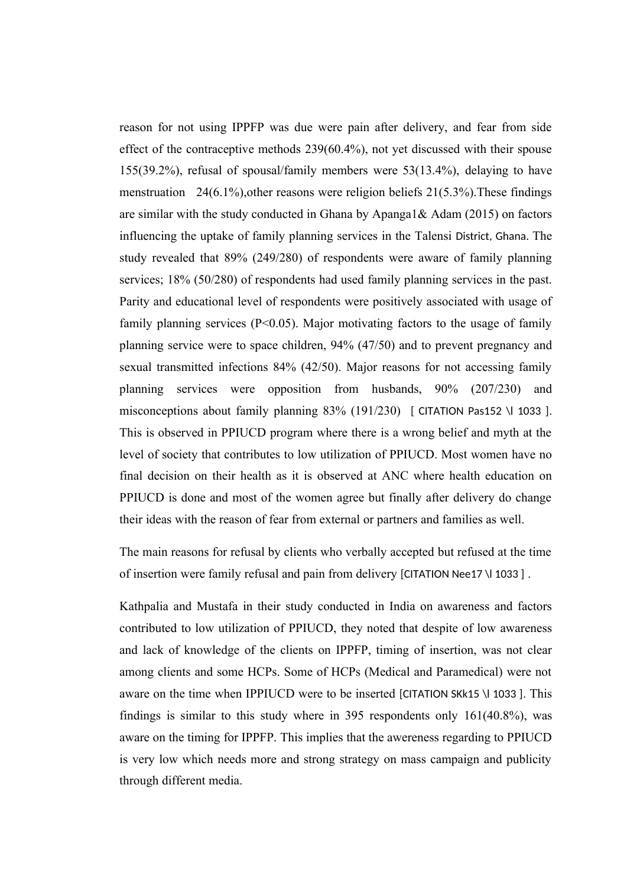reason for not using IPPFP was due were pain after delivery, and fear from side effect of the contraceptive methods 239(60.4%), not yet discussed with their spouse 155(39.2%), refusal of spousal/family members were 53(13.4%), delaying to have menstruation 24(6.1%), other reasons were religion beliefs  $21(5.3\%)$ . These findings are similar with the study conducted in Ghana by Apanga1 $\&$  Adam (2015) on factors influencing the uptake of family planning services in the Talensi District, Ghana. The study revealed that 89% (249/280) of respondents were aware of family planning services; 18% (50/280) of respondents had used family planning services in the past. Parity and educational level of respondents were positively associated with usage of family planning services  $(P<0.05)$ . Major motivating factors to the usage of family planning service were to space children, 94% (47/50) and to prevent pregnancy and sexual transmitted infections 84% (42/50). Major reasons for not accessing family planning services were opposition from husbands, 90% (207/230) and misconceptions about family planning  $83\%$  (191/230) [ CITATION Pas152 \l 1033 ]. This is observed in PPIUCD program where there is a wrong belief and myth at the level of society that contributes to low utilization of PPIUCD. Most women have no final decision on their health as it is observed at ANC where health education on PPIUCD is done and most of the women agree but finally after delivery do change their ideas with the reason of fear from external or partners and families as well.

The main reasons for refusal by clients who verbally accepted but refused at the time of insertion were family refusal and pain from delivery [CITATION Nee17 \l 1033 ] .

Kathpalia and Mustafa in their study conducted in India on awareness and factors contributed to low utilization of PPIUCD, they noted that despite of low awareness and lack of knowledge of the clients on IPPFP, timing of insertion, was not clear among clients and some HCPs. Some of HCPs (Medical and Paramedical) were not aware on the time when IPPIUCD were to be inserted [CITATION SKk15 \l 1033 ]. This findings is similar to this study where in 395 respondents only 161(40.8%), was aware on the timing for IPPFP. This implies that the awereness regarding to PPIUCD is very low which needs more and strong strategy on mass campaign and publicity through different media.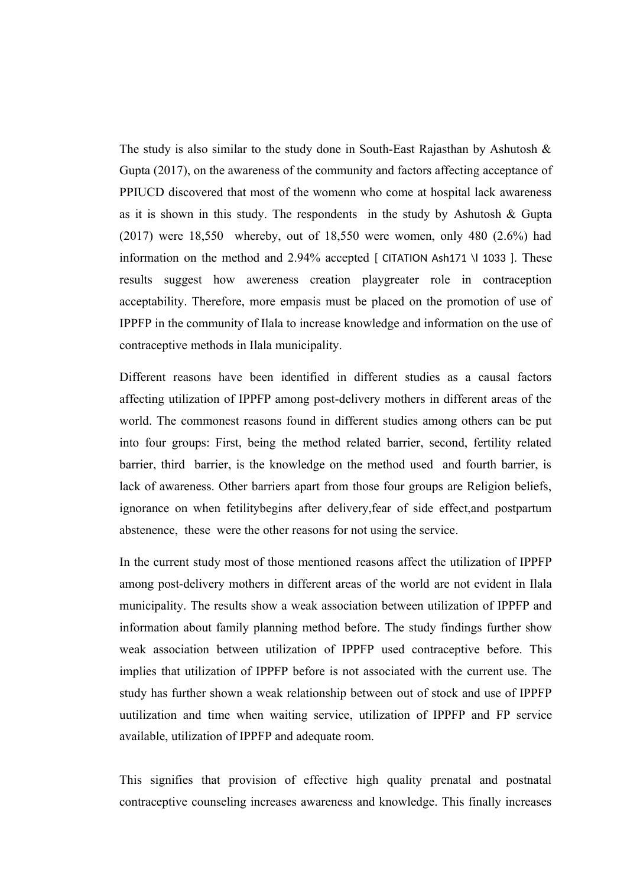The study is also similar to the study done in South-East Rajasthan by Ashutosh  $\&$ Gupta (2017), on the awareness of the community and factors affecting acceptance of PPIUCD discovered that most of the womenn who come at hospital lack awareness as it is shown in this study. The respondents in the study by Ashutosh  $\&$  Gupta (2017) were 18,550 whereby, out of 18,550 were women, only 480 (2.6%) had information on the method and 2.94% accepted [ CITATION Ash171 \l 1033 ]. These results suggest how awereness creation playgreater role in contraception acceptability. Therefore, more empasis must be placed on the promotion of use of IPPFP in the community of Ilala to increase knowledge and information on the use of contraceptive methods in Ilala municipality.

Different reasons have been identified in different studies as a causal factors affecting utilization of IPPFP among post-delivery mothers in different areas of the world. The commonest reasons found in different studies among others can be put into four groups: First, being the method related barrier, second, fertility related barrier, third barrier, is the knowledge on the method used and fourth barrier, is lack of awareness. Other barriers apart from those four groups are Religion beliefs, ignorance on when fetilitybegins after delivery,fear of side effect,and postpartum abstenence, these were the other reasons for not using the service.

In the current study most of those mentioned reasons affect the utilization of IPPFP among post-delivery mothers in different areas of the world are not evident in Ilala municipality. The results show a weak association between utilization of IPPFP and information about family planning method before. The study findings further show weak association between utilization of IPPFP used contraceptive before. This implies that utilization of IPPFP before is not associated with the current use. The study has further shown a weak relationship between out of stock and use of IPPFP uutilization and time when waiting service, utilization of IPPFP and FP service available, utilization of IPPFP and adequate room.

This signifies that provision of effective high quality prenatal and postnatal contraceptive counseling increases awareness and knowledge. This finally increases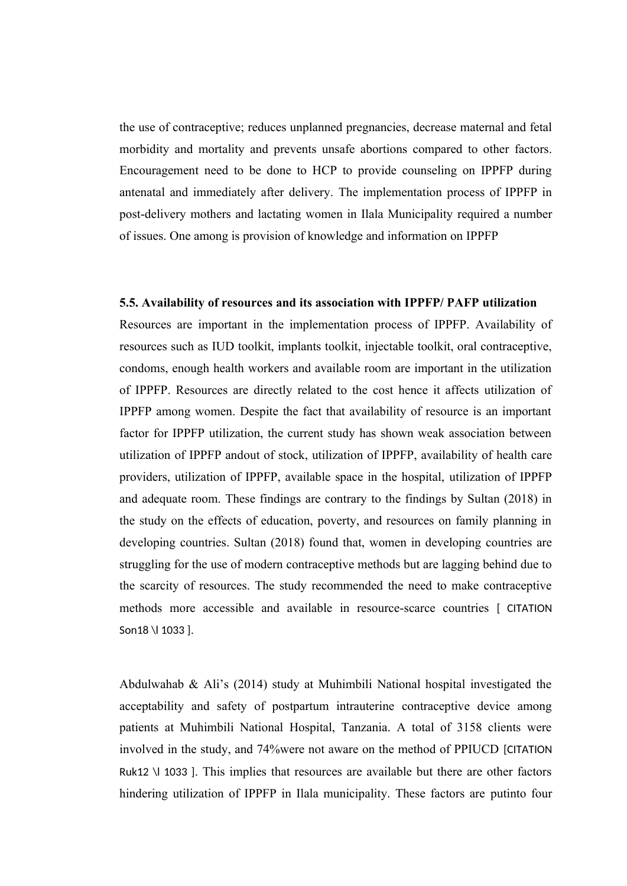the use of contraceptive; reduces unplanned pregnancies, decrease maternal and fetal morbidity and mortality and prevents unsafe abortions compared to other factors. Encouragement need to be done to HCP to provide counseling on IPPFP during antenatal and immediately after delivery. The implementation process of IPPFP in post-delivery mothers and lactating women in Ilala Municipality required a number of issues. One among is provision of knowledge and information on IPPFP

#### **5.5. Availability of resources and its association with IPPFP/ PAFP utilization**

Resources are important in the implementation process of IPPFP. Availability of resources such as IUD toolkit, implants toolkit, injectable toolkit, oral contraceptive, condoms, enough health workers and available room are important in the utilization of IPPFP. Resources are directly related to the cost hence it affects utilization of IPPFP among women. Despite the fact that availability of resource is an important factor for IPPFP utilization, the current study has shown weak association between utilization of IPPFP andout of stock, utilization of IPPFP, availability of health care providers, utilization of IPPFP, available space in the hospital, utilization of IPPFP and adequate room. These findings are contrary to the findings by Sultan (2018) in the study on the effects of education, poverty, and resources on family planning in developing countries. Sultan (2018) found that, women in developing countries are struggling for the use of modern contraceptive methods but are lagging behind due to the scarcity of resources. The study recommended the need to make contraceptive methods more accessible and available in resource-scarce countries [ CITATION Son18 \l 1033 ].

Abdulwahab & Ali's (2014) study at Muhimbili National hospital investigated the acceptability and safety of postpartum intrauterine contraceptive device among patients at Muhimbili National Hospital, Tanzania. A total of 3158 clients were involved in the study, and 74%were not aware on the method of PPIUCD [CITATION Ruk12 \l 1033 ]. This implies that resources are available but there are other factors hindering utilization of IPPFP in Ilala municipality. These factors are putinto four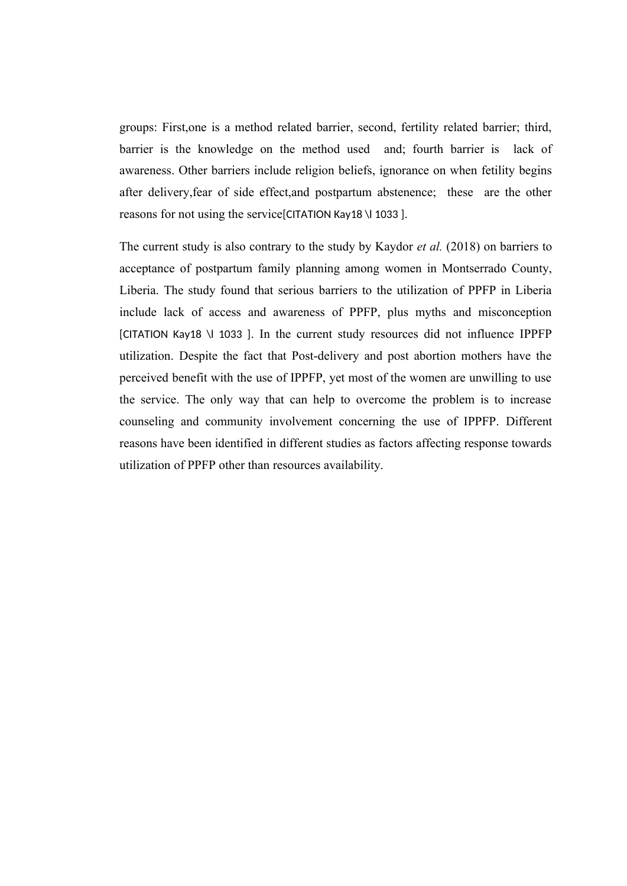groups: First,one is a method related barrier, second, fertility related barrier; third, barrier is the knowledge on the method used and; fourth barrier is lack of awareness. Other barriers include religion beliefs, ignorance on when fetility begins after delivery,fear of side effect,and postpartum abstenence; these are the other reasons for not using the service[CITATION Kay18 \l 1033 ].

The current study is also contrary to the study by Kaydor *et al.* (2018) on barriers to acceptance of postpartum family planning among women in Montserrado County, Liberia. The study found that serious barriers to the utilization of PPFP in Liberia include lack of access and awareness of PPFP, plus myths and misconception [CITATION Kay18 \l 1033 ]. In the current study resources did not influence IPPFP utilization. Despite the fact that Post-delivery and post abortion mothers have the perceived benefit with the use of IPPFP, yet most of the women are unwilling to use the service. The only way that can help to overcome the problem is to increase counseling and community involvement concerning the use of IPPFP. Different reasons have been identified in different studies as factors affecting response towards utilization of PPFP other than resources availability.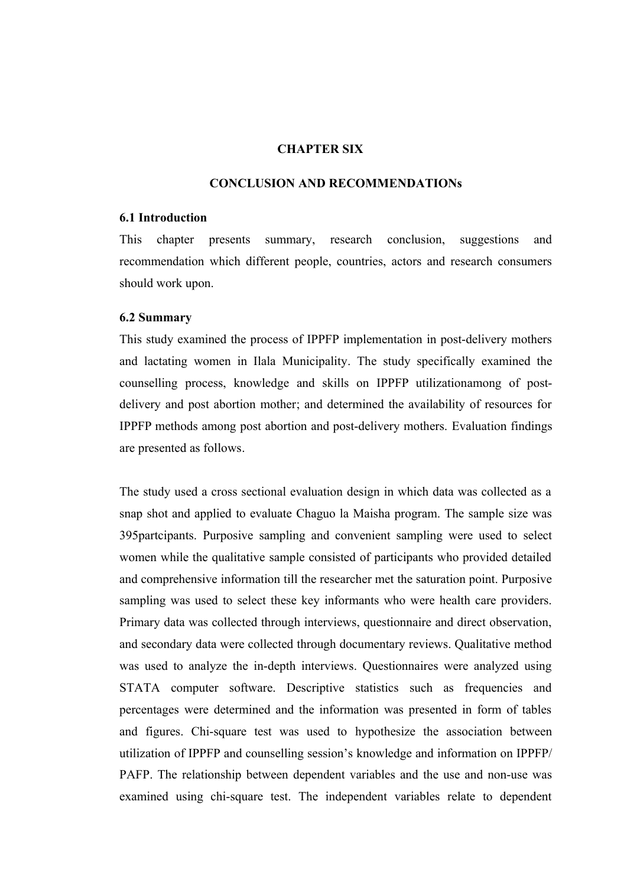## **CHAPTER SIX**

#### **CONCLUSION AND RECOMMENDATIONs**

#### **6.1 Introduction**

This chapter presents summary, research conclusion, suggestions and recommendation which different people, countries, actors and research consumers should work upon.

#### **6.2 Summary**

This study examined the process of IPPFP implementation in post-delivery mothers and lactating women in Ilala Municipality. The study specifically examined the counselling process, knowledge and skills on IPPFP utilizationamong of postdelivery and post abortion mother; and determined the availability of resources for IPPFP methods among post abortion and post-delivery mothers. Evaluation findings are presented as follows.

The study used a cross sectional evaluation design in which data was collected as a snap shot and applied to evaluate Chaguo la Maisha program. The sample size was 395partcipants. Purposive sampling and convenient sampling were used to select women while the qualitative sample consisted of participants who provided detailed and comprehensive information till the researcher met the saturation point. Purposive sampling was used to select these key informants who were health care providers. Primary data was collected through interviews, questionnaire and direct observation, and secondary data were collected through documentary reviews. Qualitative method was used to analyze the in-depth interviews. Questionnaires were analyzed using STATA computer software. Descriptive statistics such as frequencies and percentages were determined and the information was presented in form of tables and figures. Chi-square test was used to hypothesize the association between utilization of IPPFP and counselling session's knowledge and information on IPPFP/ PAFP. The relationship between dependent variables and the use and non-use was examined using chi-square test. The independent variables relate to dependent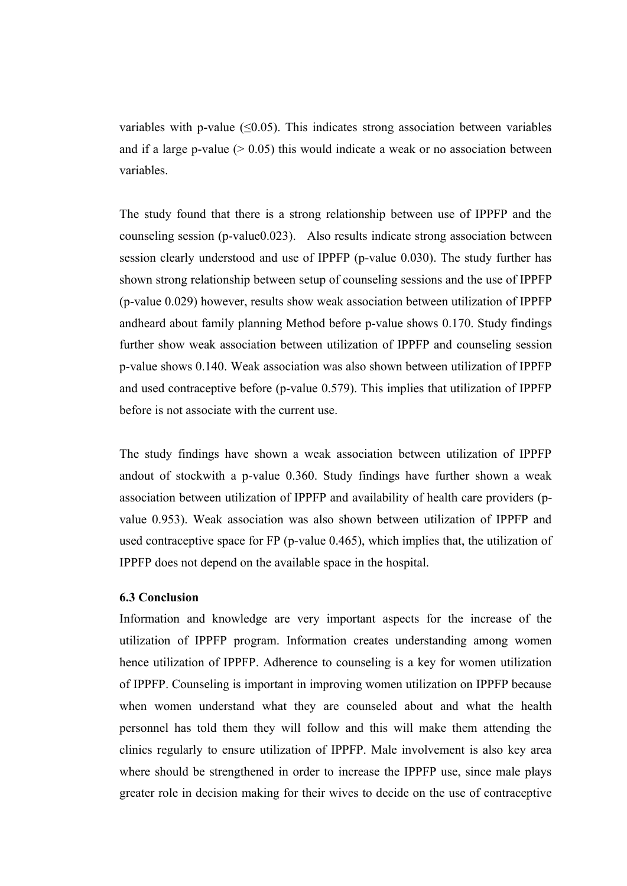variables with p-value  $(\leq 0.05)$ . This indicates strong association between variables and if a large p-value  $(0.05)$  this would indicate a weak or no association between variables.

The study found that there is a strong relationship between use of IPPFP and the counseling session (p-value0.023). Also results indicate strong association between session clearly understood and use of IPPFP (p-value 0.030). The study further has shown strong relationship between setup of counseling sessions and the use of IPPFP (p-value 0.029) however, results show weak association between utilization of IPPFP andheard about family planning Method before p-value shows 0.170. Study findings further show weak association between utilization of IPPFP and counseling session p-value shows 0.140. Weak association was also shown between utilization of IPPFP and used contraceptive before (p-value 0.579). This implies that utilization of IPPFP before is not associate with the current use.

The study findings have shown a weak association between utilization of IPPFP andout of stockwith a p-value 0.360. Study findings have further shown a weak association between utilization of IPPFP and availability of health care providers (pvalue 0.953). Weak association was also shown between utilization of IPPFP and used contraceptive space for FP (p-value 0.465), which implies that, the utilization of IPPFP does not depend on the available space in the hospital.

#### **6.3 Conclusion**

Information and knowledge are very important aspects for the increase of the utilization of IPPFP program. Information creates understanding among women hence utilization of IPPFP. Adherence to counseling is a key for women utilization of IPPFP. Counseling is important in improving women utilization on IPPFP because when women understand what they are counseled about and what the health personnel has told them they will follow and this will make them attending the clinics regularly to ensure utilization of IPPFP. Male involvement is also key area where should be strengthened in order to increase the IPPFP use, since male plays greater role in decision making for their wives to decide on the use of contraceptive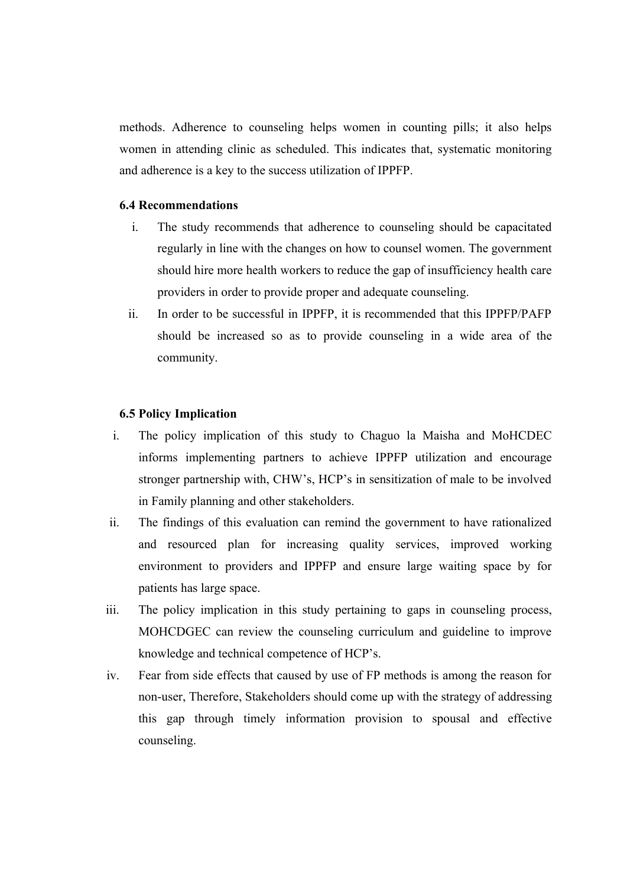methods. Adherence to counseling helps women in counting pills; it also helps women in attending clinic as scheduled. This indicates that, systematic monitoring and adherence is a key to the success utilization of IPPFP.

#### **6.4 Recommendations**

- i. The study recommends that adherence to counseling should be capacitated regularly in line with the changes on how to counsel women. The government should hire more health workers to reduce the gap of insufficiency health care providers in order to provide proper and adequate counseling.
- ii. In order to be successful in IPPFP, it is recommended that this IPPFP/PAFP should be increased so as to provide counseling in a wide area of the community.

#### **6.5 Policy Implication**

- i. The policy implication of this study to Chaguo la Maisha and MoHCDEC informs implementing partners to achieve IPPFP utilization and encourage stronger partnership with, CHW's, HCP's in sensitization of male to be involved in Family planning and other stakeholders.
- ii. The findings of this evaluation can remind the government to have rationalized and resourced plan for increasing quality services, improved working environment to providers and IPPFP and ensure large waiting space by for patients has large space.
- iii. The policy implication in this study pertaining to gaps in counseling process, MOHCDGEC can review the counseling curriculum and guideline to improve knowledge and technical competence of HCP's.
- iv. Fear from side effects that caused by use of FP methods is among the reason for non-user, Therefore, Stakeholders should come up with the strategy of addressing this gap through timely information provision to spousal and effective counseling.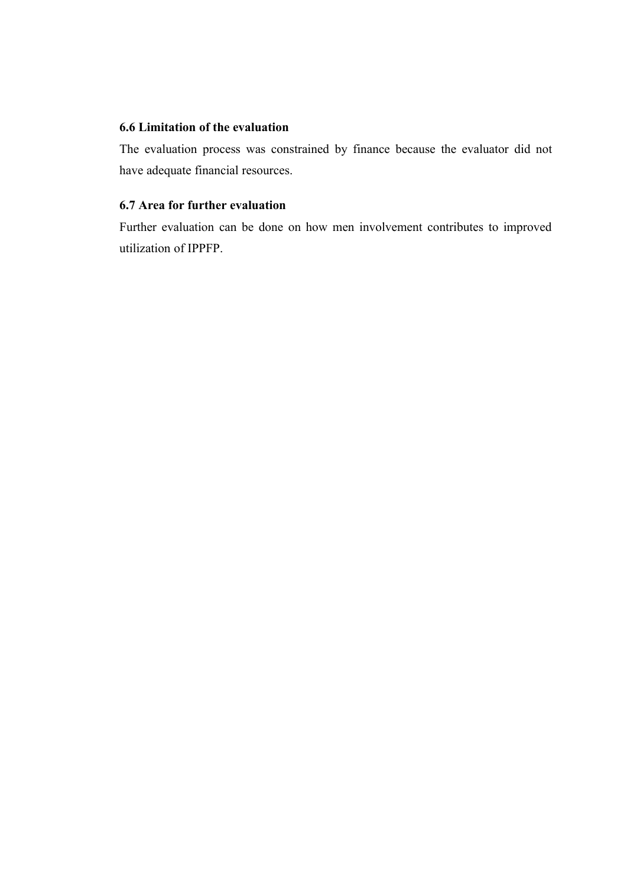## **6.6 Limitation of the evaluation**

The evaluation process was constrained by finance because the evaluator did not have adequate financial resources.

# **6.7 Area for further evaluation**

Further evaluation can be done on how men involvement contributes to improved utilization of IPPFP.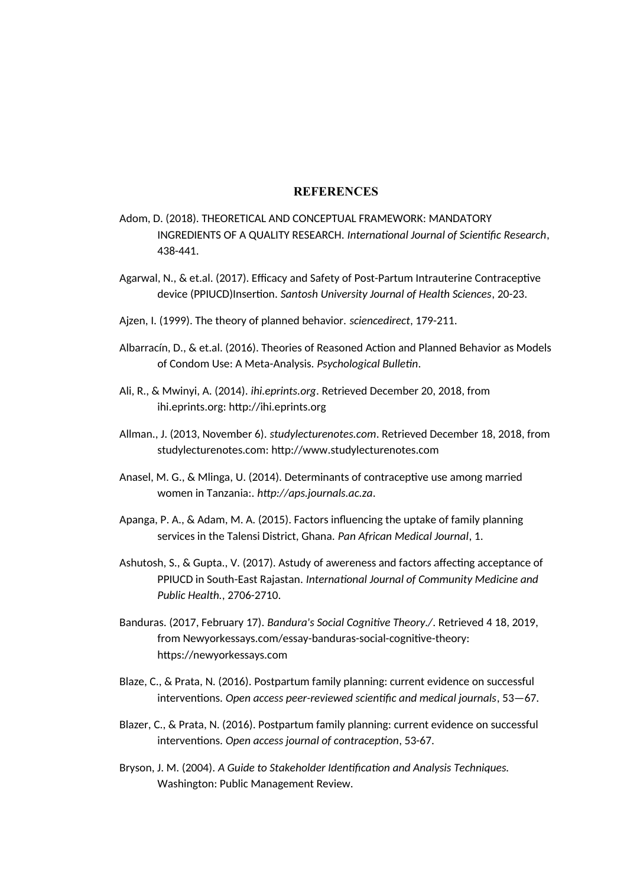#### **REFERENCES**

- Adom, D. (2018). THEORETICAL AND CONCEPTUAL FRAMEWORK: MANDATORY INGREDIENTS OF A QUALITY RESEARCH. *International Journal of Scientific Research*, 438-441.
- Agarwal, N., & et.al. (2017). Efficacy and Safety of Post-Partum Intrauterine Contraceptive device (PPIUCD)Insertion. *Santosh University Journal of Health Sciences*, 20-23.
- Ajzen, I. (1999). The theory of planned behavior. *sciencedirect*, 179-211.
- Albarracín, D., & et.al. (2016). Theories of Reasoned Action and Planned Behavior as Models of Condom Use: A Meta-Analysis. *Psychological Bulletin*.
- Ali, R., & Mwinyi, A. (2014). *ihi.eprints.org*. Retrieved December 20, 2018, from ihi.eprints.org: http://ihi.eprints.org
- Allman., J. (2013, November 6). *studylecturenotes.com*. Retrieved December 18, 2018, from studylecturenotes.com: http://www.studylecturenotes.com
- Anasel, M. G., & Mlinga, U. (2014). Determinants of contraceptive use among married women in Tanzania:. *http://aps.journals.ac.za*.
- Apanga, P. A., & Adam, M. A. (2015). Factors influencing the uptake of family planning services in the Talensi District, Ghana. *Pan African Medical Journal*, 1.
- Ashutosh, S., & Gupta., V. (2017). Astudy of awereness and factors affecting acceptance of PPIUCD in South-East Rajastan. *International Journal of Community Medicine and Public Health.*, 2706-2710.
- Banduras. (2017, February 17). *Bandura's Social Cognitive Theory./*. Retrieved 4 18, 2019, from Newyorkessays.com/essay-banduras-social-cognitive-theory: https://newyorkessays.com
- Blaze, C., & Prata, N. (2016). Postpartum family planning: current evidence on successful interventions. *Open access peer-reviewed scientific and medical journals*, 53—67.
- Blazer, C., & Prata, N. (2016). Postpartum family planning: current evidence on successful interventions. *Open access journal of contraception*, 53-67.
- Bryson, J. M. (2004). *A Guide to Stakeholder Identification and Analysis Techniques.* Washington: Public Management Review.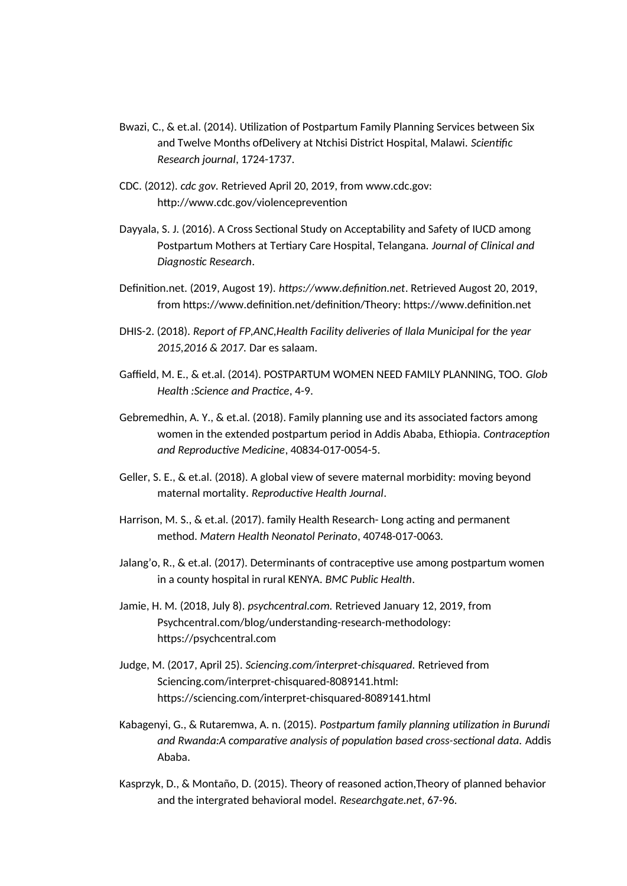- Bwazi, C., & et.al. (2014). Utilization of Postpartum Family Planning Services between Six and Twelve Months ofDelivery at Ntchisi District Hospital, Malawi. *Scientific Research journal*, 1724-1737.
- CDC. (2012). *cdc gov.* Retrieved April 20, 2019, from www.cdc.gov: http://www.cdc.gov/violenceprevention
- Dayyala, S. J. (2016). A Cross Sectional Study on Acceptability and Safety of IUCD among Postpartum Mothers at Tertiary Care Hospital, Telangana. *Journal of Clinical and Diagnostic Research*.
- Definition.net. (2019, Augost 19). *https://www.definition.net*. Retrieved Augost 20, 2019, from https://www.definition.net/definition/Theory: https://www.definition.net
- DHIS-2. (2018). *Report of FP,ANC,Health Facility deliveries of Ilala Municipal for the year 2015,2016 & 2017.* Dar es salaam.
- Gaffield, M. E., & et.al. (2014). POSTPARTUM WOMEN NEED FAMILY PLANNING, TOO. *Glob Health :Science and Practice*, 4-9.
- Gebremedhin, A. Y., & et.al. (2018). Family planning use and its associated factors among women in the extended postpartum period in Addis Ababa, Ethiopia. *Contraception and Reproductive Medicine*, 40834-017-0054-5.
- Geller, S. E., & et.al. (2018). A global view of severe maternal morbidity: moving beyond maternal mortality. *Reproductive Health Journal*.
- Harrison, M. S., & et.al. (2017). family Health Research- Long acting and permanent method. *Matern Health Neonatol Perinato*, 40748-017-0063.
- Jalang'o, R., & et.al. (2017). Determinants of contraceptive use among postpartum women in a county hospital in rural KENYA. *BMC Public Health*.
- Jamie, H. M. (2018, July 8). *psychcentral.com.* Retrieved January 12, 2019, from Psychcentral.com/blog/understanding-research-methodology: https://psychcentral.com
- Judge, M. (2017, April 25). *Sciencing.com/interpret-chisquared.* Retrieved from Sciencing.com/interpret-chisquared-8089141.html: https://sciencing.com/interpret-chisquared-8089141.html
- Kabagenyi, G., & Rutaremwa, A. n. (2015). *Postpartum family planning utilization in Burundi and Rwanda:A comparative analysis of population based cross-sectional data.* Addis Ababa.
- Kasprzyk, D., & Montaño, D. (2015). Theory of reasoned action,Theory of planned behavior and the intergrated behavioral model. *Researchgate.net*, 67-96.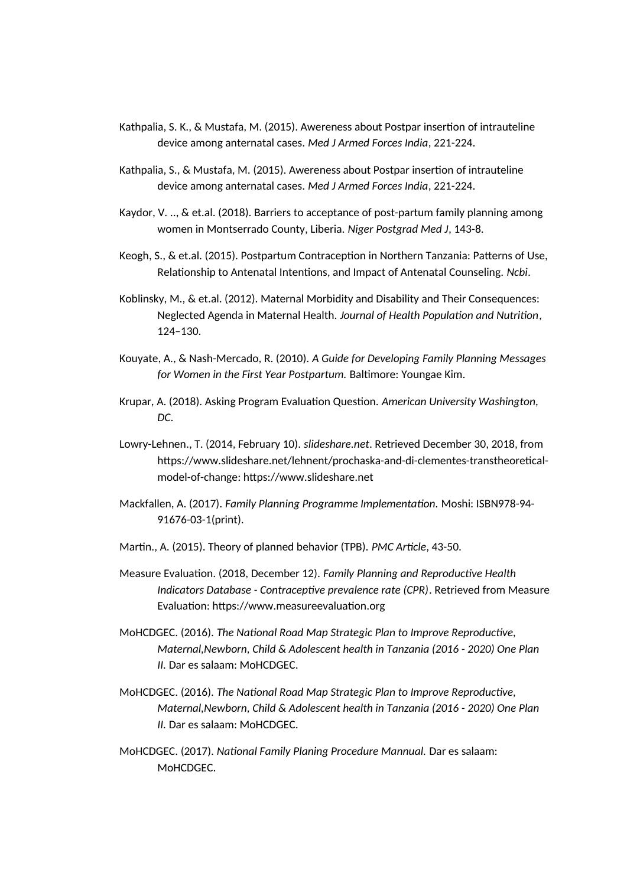- Kathpalia, S. K., & Mustafa, M. (2015). Awereness about Postpar insertion of intrauteline device among anternatal cases. *Med J Armed Forces India*, 221-224.
- Kathpalia, S., & Mustafa, M. (2015). Awereness about Postpar insertion of intrauteline device among anternatal cases. *Med J Armed Forces India*, 221-224.
- Kaydor, V. .., & et.al. (2018). Barriers to acceptance of post-partum family planning among women in Montserrado County, Liberia. *Niger Postgrad Med J*, 143-8.
- Keogh, S., & et.al. (2015). Postpartum Contraception in Northern Tanzania: Patterns of Use, Relationship to Antenatal Intentions, and Impact of Antenatal Counseling. *Ncbi*.
- Koblinsky, M., & et.al. (2012). Maternal Morbidity and Disability and Their Consequences: Neglected Agenda in Maternal Health. *Journal of Health Population and Nutrition*, 124–130.
- Kouyate, A., & Nash-Mercado, R. (2010). *A Guide for Developing Family Planning Messages for Women in the First Year Postpartum.* Baltimore: Youngae Kim.
- Krupar, A. (2018). Asking Program Evaluation Question. *American University Washington, DC*.
- Lowry-Lehnen., T. (2014, February 10). *slideshare.net*. Retrieved December 30, 2018, from https://www.slideshare.net/lehnent/prochaska-and-di-clementes-transtheoreticalmodel-of-change: https://www.slideshare.net
- Mackfallen, A. (2017). *Family Planning Programme Implementation.* Moshi: ISBN978-94- 91676-03-1(print).
- Martin., A. (2015). Theory of planned behavior (TPB). *PMC Article*, 43-50.
- Measure Evaluation. (2018, December 12). *Family Planning and Reproductive Health Indicators Database - Contraceptive prevalence rate (CPR)*. Retrieved from Measure Evaluation: https://www.measureevaluation.org
- MoHCDGEC. (2016). *The National Road Map Strategic Plan to Improve Reproductive, Maternal,Newborn, Child & Adolescent health in Tanzania (2016 - 2020) One Plan II.* Dar es salaam: MoHCDGEC.
- MoHCDGEC. (2016). *The National Road Map Strategic Plan to Improve Reproductive, Maternal,Newborn, Child & Adolescent health in Tanzania (2016 - 2020) One Plan II.* Dar es salaam: MoHCDGEC.
- MoHCDGEC. (2017). *National Family Planing Procedure Mannual.* Dar es salaam: MoHCDGEC.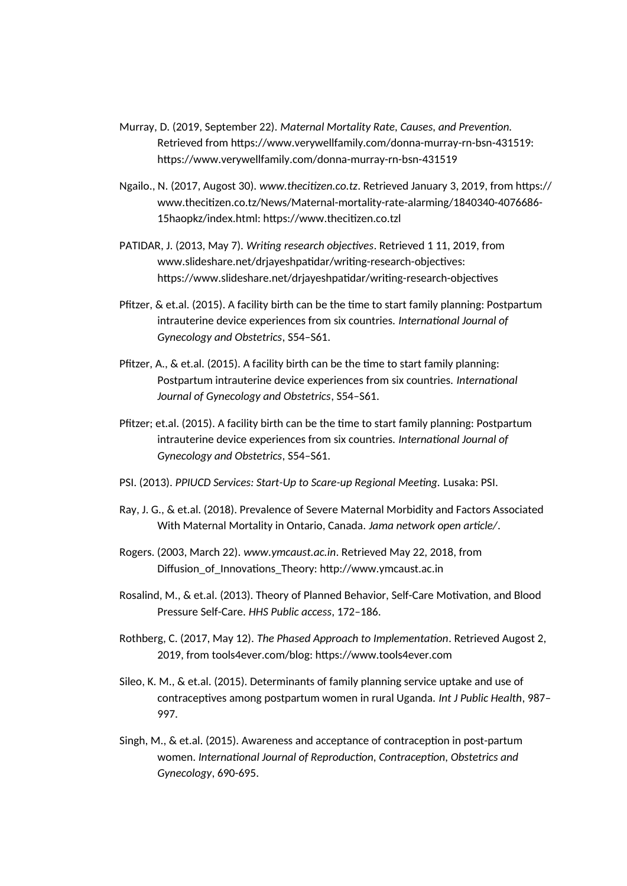- Murray, D. (2019, September 22). *Maternal Mortality Rate, Causes, and Prevention.* Retrieved from https://www.verywellfamily.com/donna-murray-rn-bsn-431519: https://www.verywellfamily.com/donna-murray-rn-bsn-431519
- Ngailo., N. (2017, Augost 30). *www.thecitizen.co.tz*. Retrieved January 3, 2019, from https:// www.thecitizen.co.tz/News/Maternal-mortality-rate-alarming/1840340-4076686- 15haopkz/index.html: https://www.thecitizen.co.tzl
- PATIDAR, J. (2013, May 7). *Writing research objectives*. Retrieved 1 11, 2019, from www.slideshare.net/drjayeshpatidar/writing-research-objectives: https://www.slideshare.net/drjayeshpatidar/writing-research-objectives
- Pfitzer, & et.al. (2015). A facility birth can be the time to start family planning: Postpartum intrauterine device experiences from six countries. *International Journal of Gynecology and Obstetrics*, S54–S61.
- Pfitzer, A., & et.al. (2015). A facility birth can be the time to start family planning: Postpartum intrauterine device experiences from six countries. *International Journal of Gynecology and Obstetrics*, S54–S61.
- Pfitzer; et.al. (2015). A facility birth can be the time to start family planning: Postpartum intrauterine device experiences from six countries. *International Journal of Gynecology and Obstetrics*, S54–S61.
- PSI. (2013). *PPIUCD Services: Start-Up to Scare-up Regional Meeting.* Lusaka: PSI.
- Ray, J. G., & et.al. (2018). Prevalence of Severe Maternal Morbidity and Factors Associated With Maternal Mortality in Ontario, Canada. *Jama network open article/*.
- Rogers. (2003, March 22). *www.ymcaust.ac.in*. Retrieved May 22, 2018, from Diffusion\_of\_Innovations\_Theory: http://www.ymcaust.ac.in
- Rosalind, M., & et.al. (2013). Theory of Planned Behavior, Self-Care Motivation, and Blood Pressure Self-Care. *HHS Public access*, 172–186.
- Rothberg, C. (2017, May 12). *The Phased Approach to Implementation*. Retrieved Augost 2, 2019, from tools4ever.com/blog: https://www.tools4ever.com
- Sileo, K. M., & et.al. (2015). Determinants of family planning service uptake and use of contraceptives among postpartum women in rural Uganda. *Int J Public Health*, 987– 997.
- Singh, M., & et.al. (2015). Awareness and acceptance of contraception in post-partum women. *International Journal of Reproduction, Contraception, Obstetrics and Gynecology*, 690-695.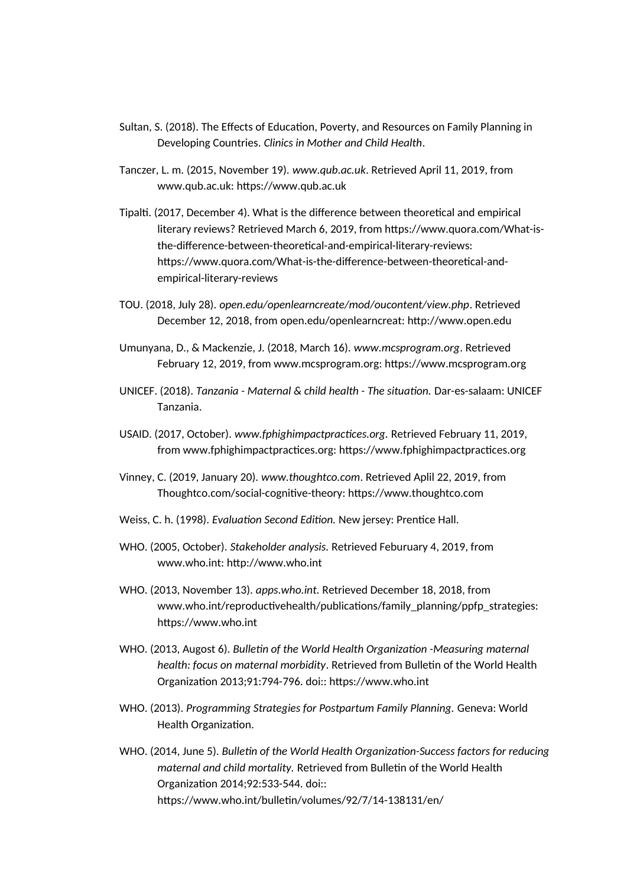- Sultan, S. (2018). The Effects of Education, Poverty, and Resources on Family Planning in Developing Countries. *Clinics in Mother and Child Health*.
- Tanczer, L. m. (2015, November 19). *www.qub.ac.uk*. Retrieved April 11, 2019, from www.qub.ac.uk: https://www.qub.ac.uk
- Tipalti. (2017, December 4). What is the difference between theoretical and empirical literary reviews? Retrieved March 6, 2019, from https://www.quora.com/What-isthe-difference-between-theoretical-and-empirical-literary-reviews: https://www.quora.com/What-is-the-difference-between-theoretical-andempirical-literary-reviews
- TOU. (2018, July 28). *open.edu/openlearncreate/mod/oucontent/view.php*. Retrieved December 12, 2018, from open.edu/openlearncreat: http://www.open.edu
- Umunyana, D., & Mackenzie, J. (2018, March 16). *www.mcsprogram.org*. Retrieved February 12, 2019, from www.mcsprogram.org: https://www.mcsprogram.org
- UNICEF. (2018). *Tanzania Maternal & child health The situation.* Dar-es-salaam: UNICEF Tanzania.
- USAID. (2017, October). *www.fphighimpactpractices.org.* Retrieved February 11, 2019, from www.fphighimpactpractices.org: https://www.fphighimpactpractices.org
- Vinney, C. (2019, January 20). *www.thoughtco.com*. Retrieved Aplil 22, 2019, from Thoughtco.com/social-cognitive-theory: https://www.thoughtco.com
- Weiss, C. h. (1998). *Evaluation Second Edition.* New jersey: Prentice Hall.
- WHO. (2005, October). *Stakeholder analysis.* Retrieved Feburuary 4, 2019, from www.who.int: http://www.who.int
- WHO. (2013, November 13). *apps.who.int.* Retrieved December 18, 2018, from www.who.int/reproductivehealth/publications/family\_planning/ppfp\_strategies: https://www.who.int
- WHO. (2013, Augost 6). *Bulletin of the World Health Organization -Measuring maternal health: focus on maternal morbidity*. Retrieved from Bulletin of the World Health Organization 2013;91:794-796. doi:: https://www.who.int
- WHO. (2013). *Programming Strategies for Postpartum Family Planning.* Geneva: World Health Organization.
- WHO. (2014, June 5). *Bulletin of the World Health Organization-Success factors for reducing maternal and child mortality.* Retrieved from Bulletin of the World Health Organization 2014;92:533-544. doi:: https://www.who.int/bulletin/volumes/92/7/14-138131/en/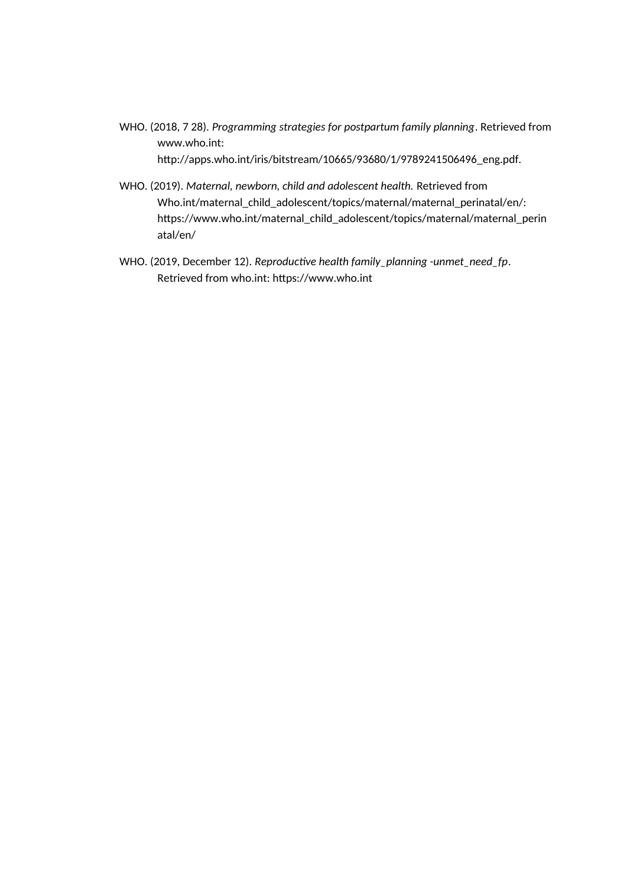- WHO. (2018, 7 28). *Programming strategies for postpartum family planning*. Retrieved from www.who.int: http://apps.who.int/iris/bitstream/10665/93680/1/9789241506496\_eng.pdf.
- WHO. (2019). *Maternal, newborn, child and adolescent health.* Retrieved from Who.int/maternal\_child\_adolescent/topics/maternal/maternal\_perinatal/en/: https://www.who.int/maternal\_child\_adolescent/topics/maternal/maternal\_perin atal/en/
- WHO. (2019, December 12). *Reproductive health family\_planning -unmet\_need\_fp*. Retrieved from who.int: https://www.who.int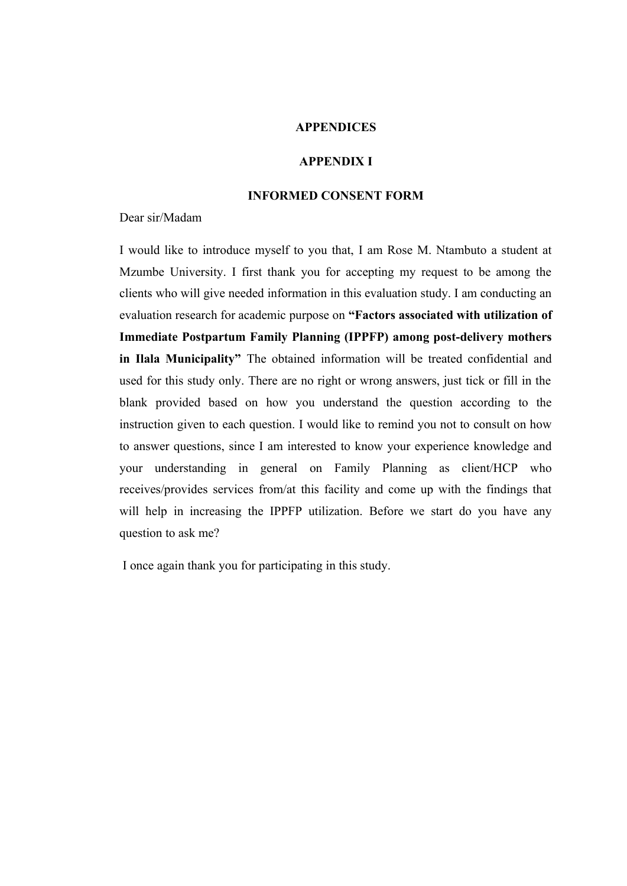#### **APPENDICES**

#### **APPENDIX I**

#### **INFORMED CONSENT FORM**

Dear sir/Madam

I would like to introduce myself to you that, I am Rose M. Ntambuto a student at Mzumbe University. I first thank you for accepting my request to be among the clients who will give needed information in this evaluation study. I am conducting an evaluation research for academic purpose on **"Factors associated with utilization of Immediate Postpartum Family Planning (IPPFP) among post-delivery mothers in Ilala Municipality"** The obtained information will be treated confidential and used for this study only. There are no right or wrong answers, just tick or fill in the blank provided based on how you understand the question according to the instruction given to each question. I would like to remind you not to consult on how to answer questions, since I am interested to know your experience knowledge and your understanding in general on Family Planning as client/HCP who receives/provides services from/at this facility and come up with the findings that will help in increasing the IPPFP utilization. Before we start do you have any question to ask me?

I once again thank you for participating in this study.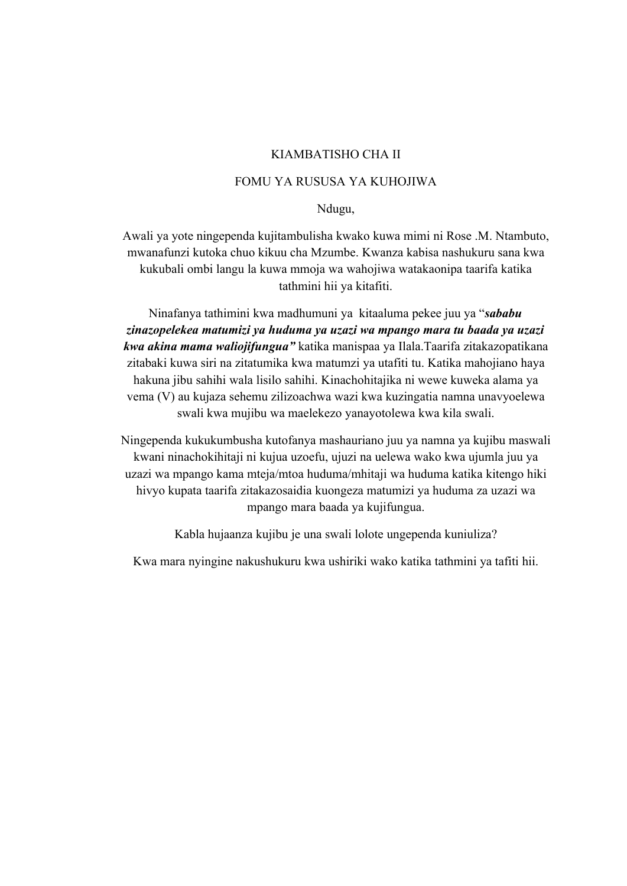#### KIAMBATISHO CHA II

## FOMU YA RUSUSA YA KUHOJIWA

Ndugu,

Awali ya yote ningependa kujitambulisha kwako kuwa mimi ni Rose .M. Ntambuto, mwanafunzi kutoka chuo kikuu cha Mzumbe. Kwanza kabisa nashukuru sana kwa kukubali ombi langu la kuwa mmoja wa wahojiwa watakaonipa taarifa katika tathmini hii ya kitafiti.

Ninafanya tathimini kwa madhumuni ya kitaaluma pekee juu ya "*sababu zinazopelekea matumizi ya huduma ya uzazi wa mpango mara tu baada ya uzazi kwa akina mama waliojifungua"* katika manispaa ya Ilala.Taarifa zitakazopatikana zitabaki kuwa siri na zitatumika kwa matumzi ya utafiti tu. Katika mahojiano haya hakuna jibu sahihi wala lisilo sahihi. Kinachohitajika ni wewe kuweka alama ya vema (V) au kujaza sehemu zilizoachwa wazi kwa kuzingatia namna unavyoelewa swali kwa mujibu wa maelekezo yanayotolewa kwa kila swali.

Ningependa kukukumbusha kutofanya mashauriano juu ya namna ya kujibu maswali kwani ninachokihitaji ni kujua uzoefu, ujuzi na uelewa wako kwa ujumla juu ya uzazi wa mpango kama mteja/mtoa huduma/mhitaji wa huduma katika kitengo hiki hivyo kupata taarifa zitakazosaidia kuongeza matumizi ya huduma za uzazi wa mpango mara baada ya kujifungua.

Kabla hujaanza kujibu je una swali lolote ungependa kuniuliza?

Kwa mara nyingine nakushukuru kwa ushiriki wako katika tathmini ya tafiti hii.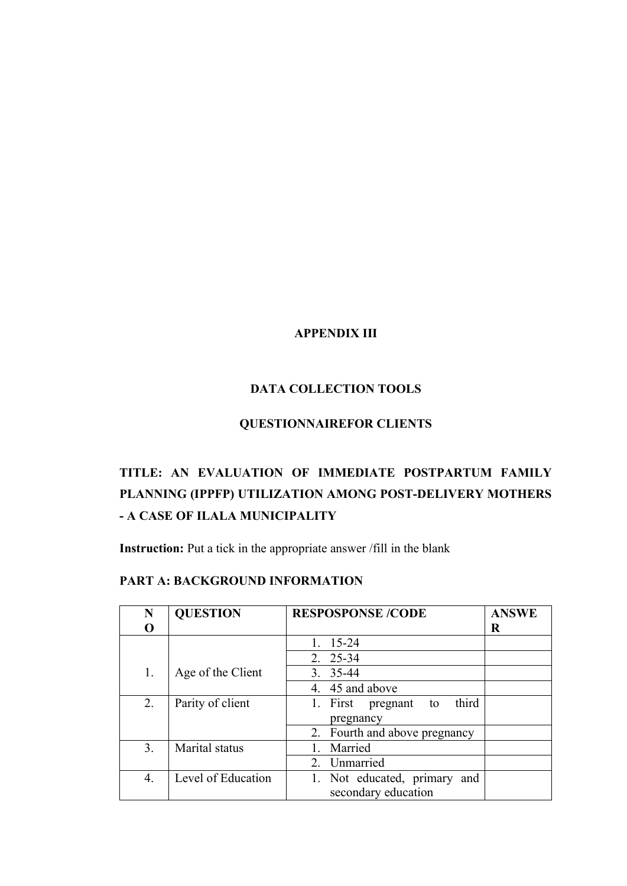# **APPENDIX III**

# **DATA COLLECTION TOOLS**

## **QUESTIONNAIREFOR CLIENTS**

# **TITLE: AN EVALUATION OF IMMEDIATE POSTPARTUM FAMILY PLANNING (IPPFP) UTILIZATION AMONG POST-DELIVERY MOTHERS - A CASE OF ILALA MUNICIPALITY**

**Instruction:** Put a tick in the appropriate answer /fill in the blank

## **PART A: BACKGROUND INFORMATION**

| N  | <b>QUESTION</b>    | <b>RESPOSPONSE /CODE</b>         | <b>ANSWE</b> |  |  |
|----|--------------------|----------------------------------|--------------|--|--|
| O  |                    |                                  | R            |  |  |
|    |                    | 15-24                            |              |  |  |
|    |                    | 25-34<br>2                       |              |  |  |
| 1. | Age of the Client  | $3.35 - 44$                      |              |  |  |
|    |                    | 4. 45 and above                  |              |  |  |
| 2. | Parity of client   | third<br>1. First pregnant<br>to |              |  |  |
|    |                    | pregnancy                        |              |  |  |
|    |                    | 2. Fourth and above pregnancy    |              |  |  |
| 3. | Marital status     | Married                          |              |  |  |
|    |                    | Unmarried<br>$\mathbf{2}$        |              |  |  |
| 4. | Level of Education | 1. Not educated, primary and     |              |  |  |
|    |                    | secondary education              |              |  |  |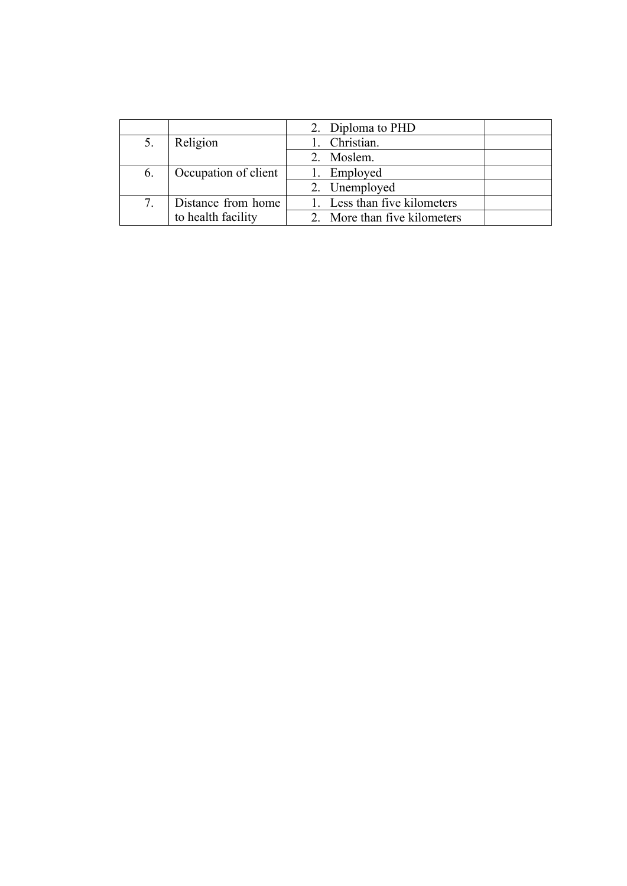|    |                      | 2. Diploma to PHD            |
|----|----------------------|------------------------------|
| 5. | Religion             | Christian.                   |
|    |                      | 2. Moslem.                   |
| 6. | Occupation of client | 1. Employed                  |
|    |                      | 2. Unemployed                |
| 7. | Distance from home   | 1. Less than five kilometers |
|    | to health facility   | 2. More than five kilometers |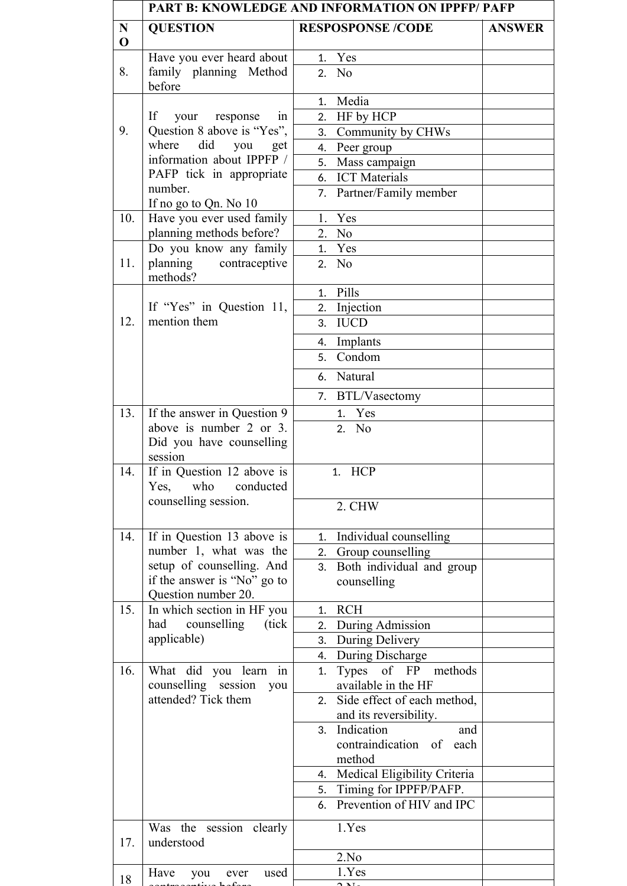|                            | <b>PART B: KNOWLEDGE AND INFORMATION ON IPPFP/ PAFP</b>  |                                                  |               |  |
|----------------------------|----------------------------------------------------------|--------------------------------------------------|---------------|--|
| $\mathbf N$<br>$\mathbf 0$ | <b>QUESTION</b>                                          | <b>RESPOSPONSE /CODE</b>                         | <b>ANSWER</b> |  |
|                            | Have you ever heard about                                | 1. Yes                                           |               |  |
| 8.                         | family planning Method<br>before                         | 2. No                                            |               |  |
|                            |                                                          | 1. Media                                         |               |  |
|                            | If<br>your response<br>1n                                | 2. HF by HCP                                     |               |  |
| 9.                         | Question 8 above is "Yes",                               | Community by CHWs<br>3.                          |               |  |
|                            | where did you get                                        | Peer group<br>4.                                 |               |  |
|                            | information about IPPFP /                                | Mass campaign<br>5.                              |               |  |
|                            | PAFP tick in appropriate<br>number.                      | 6. ICT Materials                                 |               |  |
|                            | If no go to Qn. No 10                                    | Partner/Family member<br>7.                      |               |  |
| 10.                        | Have you ever used family                                | 1. Yes                                           |               |  |
|                            | planning methods before?                                 | 2. No                                            |               |  |
|                            | Do you know any family                                   | 1. Yes                                           |               |  |
| 11.                        | planning contraceptive<br>methods?                       | 2. No                                            |               |  |
|                            |                                                          | 1. Pills                                         |               |  |
|                            | If "Yes" in Question 11,                                 | Injection<br>2.                                  |               |  |
| 12.                        | mention them                                             | 3. IUCD                                          |               |  |
|                            |                                                          | 4. Implants                                      |               |  |
|                            |                                                          | Condom<br>5.                                     |               |  |
|                            |                                                          | 6. Natural                                       |               |  |
|                            |                                                          | 7. BTL/Vasectomy                                 |               |  |
| 13.                        | If the answer in Question 9                              | 1. Yes                                           |               |  |
|                            | above is number 2 or 3.                                  | 2. No                                            |               |  |
|                            | Did you have counselling<br>session                      |                                                  |               |  |
| 14.                        | If in Question 12 above is<br>who conducted<br>Yes,      | HCP<br>1.                                        |               |  |
|                            | counselling session.                                     | 2. CHW                                           |               |  |
| 14.                        | If in Question 13 above is                               | Individual counselling<br>1.                     |               |  |
|                            | number 1, what was the                                   | 2. Group counselling                             |               |  |
|                            | setup of counselling. And<br>if the answer is "No" go to | Both individual and group<br>3.<br>counselling   |               |  |
|                            | Question number 20.                                      |                                                  |               |  |
| 15.                        | In which section in HF you                               | <b>RCH</b><br>1.                                 |               |  |
|                            | had counselling<br>(tick)                                | During Admission<br>2.                           |               |  |
|                            | applicable)                                              | During Delivery<br>3.                            |               |  |
|                            |                                                          | During Discharge<br>4.                           |               |  |
| 16.                        | What did you learn in<br>counselling session<br>you      | Types of FP methods<br>1.<br>available in the HF |               |  |
|                            | attended? Tick them                                      | 2. Side effect of each method,                   |               |  |
|                            |                                                          | and its reversibility.                           |               |  |
|                            |                                                          | Indication<br>3.<br>and                          |               |  |
|                            |                                                          | contraindication of each                         |               |  |
|                            |                                                          | method                                           |               |  |
|                            |                                                          | 4. Medical Eligibility Criteria                  |               |  |
|                            |                                                          | Timing for IPPFP/PAFP.<br>5.                     |               |  |
|                            |                                                          | Prevention of HIV and IPC<br>6.                  |               |  |
| 17.                        | Was the session clearly<br>understood                    | 1.Yes                                            |               |  |
|                            |                                                          | 2.No                                             |               |  |
| 18                         | Have<br>used<br>you<br>ever                              | 1.Yes<br>بتده                                    |               |  |
|                            |                                                          |                                                  |               |  |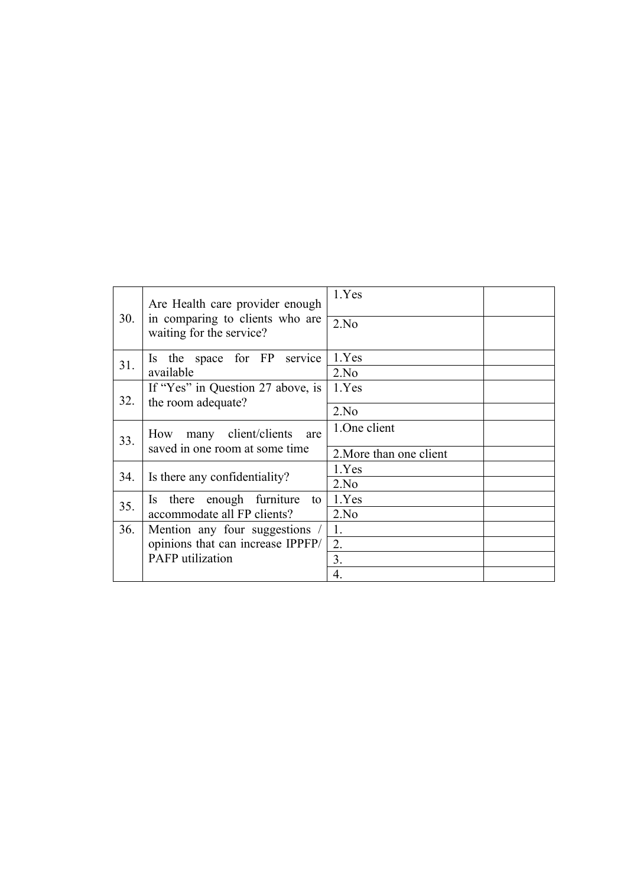| Are Health care provider enough          |                                                             | 1.Yes                   |
|------------------------------------------|-------------------------------------------------------------|-------------------------|
| 30.                                      | in comparing to clients who are<br>waiting for the service? | 2.No                    |
| 31.                                      | Is the space for FP service                                 | 1.Yes                   |
|                                          | available                                                   | 2.No                    |
|                                          | If "Yes" in Question 27 above, is                           | 1.Yes                   |
| 32.<br>the room adequate?                |                                                             | 2.No                    |
| many client/clients<br>How<br>are<br>33. |                                                             | 1.0 ne client           |
|                                          | saved in one room at some time                              | 2. More than one client |
| 34.                                      | Is there any confidentiality?                               | 1.Yes                   |
|                                          |                                                             | 2.No                    |
| 35.                                      | Is there enough furniture<br>to                             | 1.Yes                   |
| accommodate all FP clients?              |                                                             | 2.No                    |
| 36.                                      | Mention any four suggestions /                              | 1.                      |
|                                          | opinions that can increase IPPFP/                           | 2.                      |
|                                          | <b>PAFP</b> utilization                                     | 3.                      |
|                                          |                                                             | 4.                      |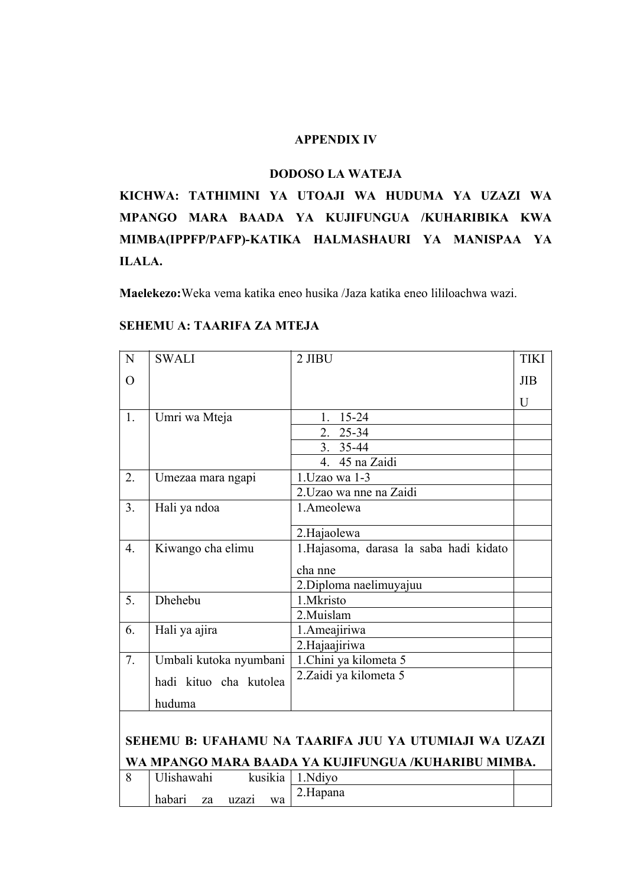#### **APPENDIX IV**

#### **DODOSO LA WATEJA**

**KICHWA: TATHIMINI YA UTOAJI WA HUDUMA YA UZAZI WA MPANGO MARA BAADA YA KUJIFUNGUA /KUHARIBIKA KWA MIMBA(IPPFP/PAFP)-KATIKA HALMASHAURI YA MANISPAA YA ILALA.**

**Maelekezo:**Weka vema katika eneo husika /Jaza katika eneo lililoachwa wazi.

| N                | <b>SWALI</b>                | 2 JIBU                                                | <b>TIKI</b> |
|------------------|-----------------------------|-------------------------------------------------------|-------------|
| $\overline{O}$   |                             |                                                       | JIB         |
|                  |                             |                                                       | U           |
| 1.               | Umri wa Mteja               | $15 - 24$<br>1.                                       |             |
|                  |                             | $25 - 34$<br>2 <sup>1</sup>                           |             |
|                  |                             | 3. 35-44                                              |             |
|                  |                             | 4. 45 na Zaidi                                        |             |
| 2.               | Umezaa mara ngapi           | 1. Uzao wa 1-3                                        |             |
|                  |                             | 2. Uzao wa nne na Zaidi                               |             |
| 3 <sub>1</sub>   | Hali ya ndoa                | 1.Ameolewa                                            |             |
|                  |                             | 2.Hajaolewa                                           |             |
| $\overline{4}$ . | Kiwango cha elimu           | 1.Hajasoma, darasa la saba hadi kidato                |             |
|                  |                             |                                                       |             |
|                  |                             | cha nne                                               |             |
|                  |                             | 2. Diploma naelimuyajuu                               |             |
| 5.               | Dhehebu                     | 1.Mkristo                                             |             |
|                  |                             | 2.Muislam                                             |             |
| 6.               | Hali ya ajira               | 1. Ameajiriwa                                         |             |
|                  |                             | 2.Hajaajiriwa                                         |             |
| 7.               | Umbali kutoka nyumbani      | 1. Chini ya kilometa 5                                |             |
|                  | hadi kituo cha kutolea      | 2. Zaidi ya kilometa 5                                |             |
|                  | huduma                      |                                                       |             |
|                  |                             |                                                       |             |
|                  |                             | SEHEMU B: UFAHAMU NA TAARIFA JUU YA UTUMIAJI WA UZAZI |             |
|                  |                             | WA MPANGO MARA BAADA YA KUJIFUNGUA /KUHARIBU MIMBA.   |             |
| 8                | Ulishawahi<br>kusikia       | 1.Ndiyo                                               |             |
|                  | habari<br>uzazi<br>wa<br>za | 2.Hapana                                              |             |

## **SEHEMU A: TAARIFA ZA MTEJA**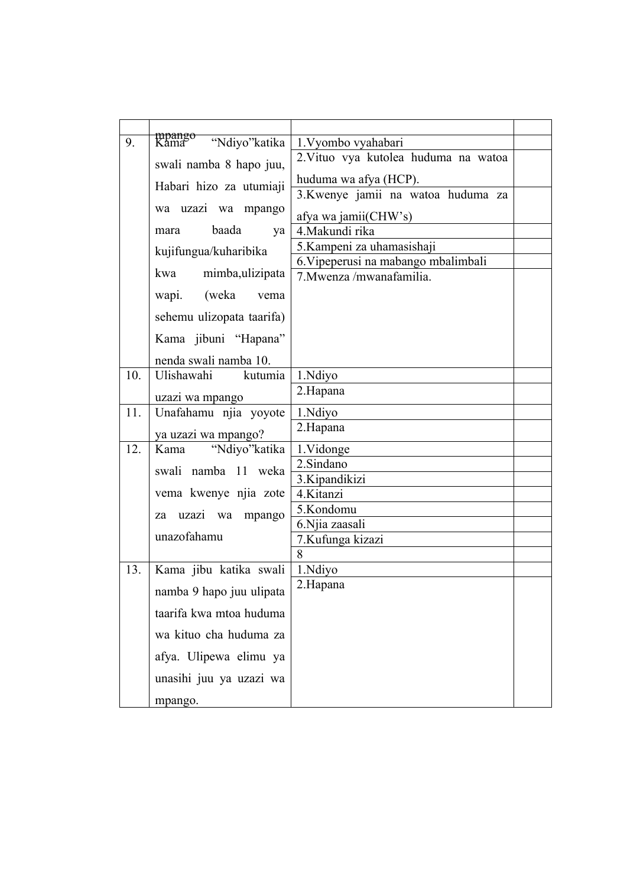| 9.  | <del>mpango<br/>Kama</del><br>"Ndiyo" katika | 1. Vyombo vyahabari                  |  |
|-----|----------------------------------------------|--------------------------------------|--|
|     |                                              | 2. Vituo vya kutolea huduma na watoa |  |
|     | swali namba 8 hapo juu,                      |                                      |  |
|     | Habari hizo za utumiaji                      | huduma wa afya (HCP).                |  |
|     |                                              | 3.Kwenye jamii na watoa huduma za    |  |
|     | wa uzazi wa mpango                           | afya wa jamii(CHW's)                 |  |
|     | baada<br>mara<br>ya                          | 4. Makundi rika                      |  |
|     | kujifungua/kuharibika                        | 5. Kampeni za uhamasishaji           |  |
|     |                                              | 6. Vipeperusi na mabango mbalimbali  |  |
|     | mimba, ulizipata<br>kwa                      | 7. Mwenza /mwanafamilia.             |  |
|     | wapi. (weka<br>vema                          |                                      |  |
|     | sehemu ulizopata taarifa)                    |                                      |  |
|     | Kama jibuni "Hapana"                         |                                      |  |
|     | nenda swali namba 10.                        |                                      |  |
| 10. | kutumia<br>Ulishawahi                        | 1.Ndiyo                              |  |
|     | uzazi wa mpango                              | 2.Hapana                             |  |
| 11. | Unafahamu njia yoyote                        | 1.Ndiyo                              |  |
|     | ya uzazi wa mpango?                          | 2.Hapana                             |  |
| 12. | "Ndiyo" katika<br>Kama                       | 1.Vidonge                            |  |
|     | swali namba 11 weka                          | 2.Sindano                            |  |
|     |                                              | 3. Kipandikizi                       |  |
|     | vema kwenye njia zote                        | 4.Kitanzi                            |  |
|     | uzazi wa mpango<br>za                        | 5.Kondomu                            |  |
|     | unazofahamu                                  | 6. Njia zaasali                      |  |
|     |                                              | 7.Kufunga kizazi                     |  |
| 13. | Kama jibu katika swali                       | 8<br>1.Ndiyo                         |  |
|     |                                              | 2.Hapana                             |  |
|     | namba 9 hapo juu ulipata                     |                                      |  |
|     | taarifa kwa mtoa huduma                      |                                      |  |
|     | wa kituo cha huduma za                       |                                      |  |
|     | afya. Ulipewa elimu ya                       |                                      |  |
|     | unasihi juu ya uzazi wa                      |                                      |  |
|     | mpango.                                      |                                      |  |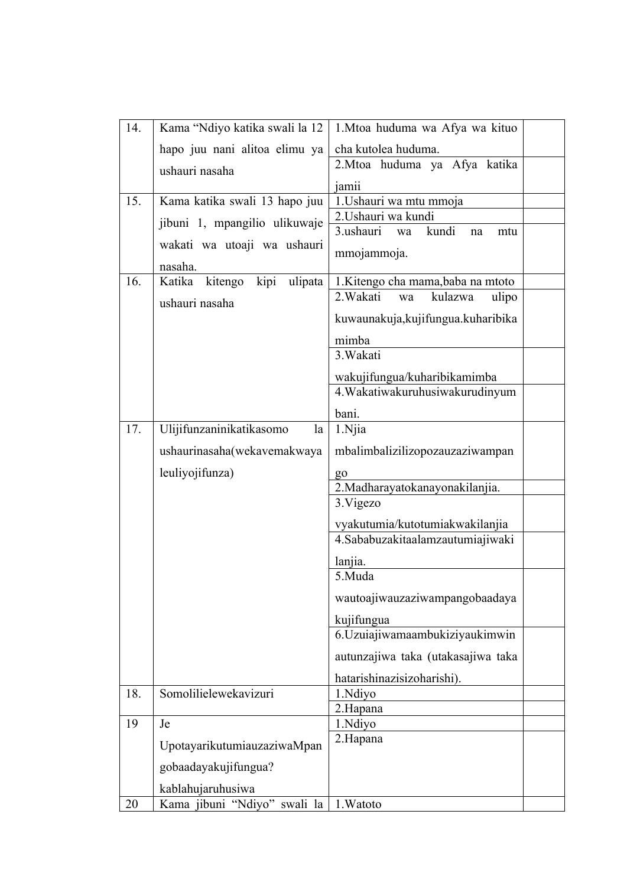| 14. | Kama "Ndiyo katika swali la 12                  | 1. Mtoa huduma wa Afya wa kituo       |
|-----|-------------------------------------------------|---------------------------------------|
|     | hapo juu nani alitoa elimu ya                   | cha kutolea huduma.                   |
|     | ushauri nasaha                                  | 2.Mtoa huduma ya Afya katika          |
|     |                                                 | jamii                                 |
| 15. | Kama katika swali 13 hapo juu                   | 1. Ushauri wa mtu mmoja               |
|     | jibuni 1, mpangilio ulikuwaje                   | 2. Ushauri wa kundi                   |
|     | wakati wa utoaji wa ushauri                     | kundi<br>3.ushauri<br>mtu<br>wa<br>na |
|     |                                                 | mmojammoja.                           |
| 16. | nasaha.<br>kipi<br>Katika<br>kitengo<br>ulipata | 1.Kitengo cha mama, baba na mtoto     |
|     |                                                 | 2. Wakati<br>kulazwa<br>ulipo<br>wa   |
|     | ushauri nasaha                                  | kuwaunakuja, kujifungua. kuharibika   |
|     |                                                 |                                       |
|     |                                                 | mimba<br>3. Wakati                    |
|     |                                                 |                                       |
|     |                                                 | wakujifungua/kuharibikamimba          |
|     |                                                 | 4. Wakatiwakuruhusiwakurudinyum       |
|     |                                                 | bani.                                 |
| 17. | Ulijifunzaninikatikasomo<br>la                  | 1.Njia                                |
|     | ushaurinasaha(wekavemakwaya                     | mbalimbalizilizopozauzaziwampan       |
|     | leuliyojifunza)                                 | g <sub>o</sub>                        |
|     |                                                 | 2. Madharayatokanayonakilanjia.       |
|     |                                                 | 3. Vigezo                             |
|     |                                                 | vyakutumia/kutotumiakwakilanjia       |
|     |                                                 | 4.Sababuzakitaalamzautumiajiwaki      |
|     |                                                 | lanjia.                               |
|     |                                                 | 5.Muda                                |
|     |                                                 | wautoajiwauzaziwampangobaadaya        |
|     |                                                 | kujifungua                            |
|     |                                                 | 6. Uzuiajiwamaambukiziyaukimwin       |
|     |                                                 | autunzajiwa taka (utakasajiwa taka    |
|     |                                                 | hatarishinazisizoharishi).            |
| 18. | Somolilielewekavizuri                           | 1.Ndiyo                               |
|     |                                                 | 2.Hapana                              |
| 19  | Je                                              | 1.Ndiyo<br>2.Hapana                   |
|     | UpotayarikutumiauzaziwaMpan                     |                                       |
|     | gobaadayakujifungua?                            |                                       |
|     | kablahujaruhusiwa                               |                                       |
| 20  | Kama jibuni "Ndiyo" swali la                    | 1. Watoto                             |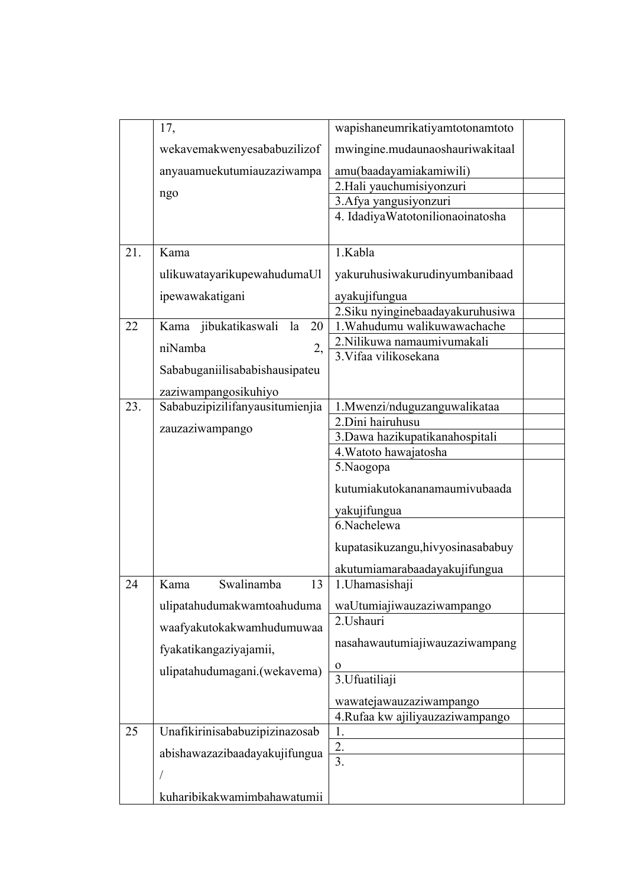|     | 17,                              | wapishaneumrikatiyamtotonamtoto                     |
|-----|----------------------------------|-----------------------------------------------------|
|     |                                  |                                                     |
|     | wekavemakwenyesababuzilizof      | mwingine.mudaunaoshauriwakitaal                     |
|     | anyauamuekutumiauzaziwampa       | amu(baadayamiakamiwili)                             |
|     | ngo                              | 2.Hali yauchumisiyonzuri                            |
|     |                                  | 3.Afya yangusiyonzuri                               |
|     |                                  | 4. Idadiya Watotonilionaoinatosha                   |
| 21. | Kama                             | 1.Kabla                                             |
|     |                                  |                                                     |
|     | ulikuwatayarikupewahudumaUl      | yakuruhusiwakurudinyumbanibaad                      |
|     | ipewawakatigani                  | ayakujifungua                                       |
|     |                                  | 2. Siku nyinginebaadayakuruhusiwa                   |
| 22  | Kama jibukatikaswali<br>20<br>la | 1. Wahudumu walikuwawachache                        |
|     | niNamba<br>2,                    | 2.Nilikuwa namaumivumakali<br>3. Vifaa vilikosekana |
|     | Sababuganiilisababishausipateu   |                                                     |
|     | zaziwampangosikuhiyo             |                                                     |
| 23. | Sababuzipizilifanyausitumienjia  | 1.Mwenzi/nduguzanguwalikataa                        |
|     |                                  | 2.Dini hairuhusu                                    |
|     | zauzaziwampango                  | 3.Dawa hazikupatikanahospitali                      |
|     |                                  | 4. Watoto hawajatosha                               |
|     |                                  | 5.Naogopa                                           |
|     |                                  | kutumiakutokananamaumivubaada                       |
|     |                                  | yakujifungua                                        |
|     |                                  | 6.Nachelewa                                         |
|     |                                  | kupatasikuzangu, hivyosinasababuy                   |
|     |                                  | akutumiamarabaadayakujifungua                       |
| 24  | Swalinamba<br>13<br>Kama         | 1. Uhamasishaji                                     |
|     | ulipatahudumakwamtoahuduma       | waUtumiajiwauzaziwampango                           |
|     | waafyakutokakwamhudumuwaa        | 2.Ushauri                                           |
|     | fyakatikangaziyajamii,           | nasahawautumiajiwauzaziwampang                      |
|     | ulipatahudumagani.(wekavema)     | $\mathbf 0$                                         |
|     |                                  | 3. Ufuatiliaji                                      |
|     |                                  | wawatejawauzaziwampango                             |
|     |                                  | 4.Rufaa kw ajiliyauzaziwampango                     |
| 25  | Unafikirinisababuzipizinazosab   | 1.                                                  |
|     | abishawazazibaadayakujifungua    | 2.<br>$\overline{3}$ .                              |
|     |                                  |                                                     |
|     | kuharibikakwamimbahawatumii      |                                                     |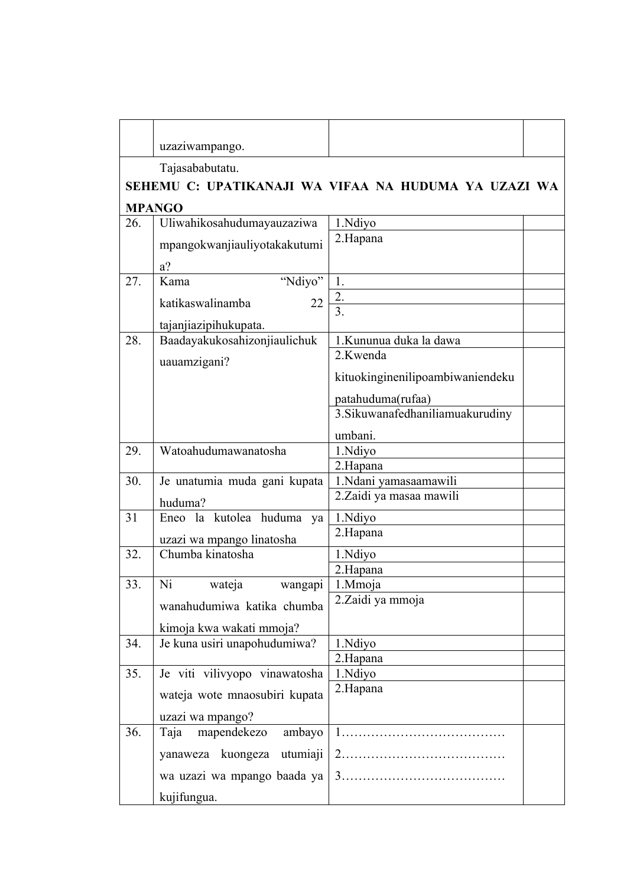|     | uzaziwampango.                                |                                                         |
|-----|-----------------------------------------------|---------------------------------------------------------|
|     | Tajasababutatu.                               |                                                         |
|     |                                               | SEHEMU C: UPATIKANAJI WA VIFAA NA HUDUMA YA UZAZI WA    |
|     | <b>MPANGO</b>                                 |                                                         |
| 26. | Uliwahikosahudumayauzaziwa                    | 1.Ndiyo                                                 |
|     | mpangokwanjiauliyotakakutumi                  | 2.Hapana                                                |
|     | $a$ ?                                         |                                                         |
| 27. | "Ndiyo"<br>Kama                               | 1.                                                      |
|     | katikaswalinamba<br>22                        | 2.                                                      |
|     | tajanjiazipihukupata.                         | $\overline{3}$ .                                        |
| 28. | Baadayakukosahizonjiaulichuk                  | 1. Kununua duka la dawa                                 |
|     |                                               | 2.Kwenda                                                |
|     | uauamzigani?                                  | kituokinginenilipoambiwaniendeku                        |
|     |                                               |                                                         |
|     |                                               | patahuduma(rufaa)<br>3. Sikuwana fedhanilia muakurudiny |
|     |                                               |                                                         |
|     |                                               | umbani.                                                 |
| 29. | Watoahudumawanatosha                          | 1.Ndiyo<br>2.Hapana                                     |
| 30. | Je unatumia muda gani kupata                  | 1.Ndani yamasaamawili                                   |
|     |                                               | 2.Zaidi ya masaa mawili                                 |
| 31  | huduma?<br>Eneo la kutolea huduma ya          | 1.Ndiyo                                                 |
|     |                                               | 2.Hapana                                                |
|     | uzazi wa mpango linatosha<br>Chumba kinatosha |                                                         |
| 32. |                                               | 1.Ndiyo<br>2.Hapana                                     |
| 33. | Ni<br>wateja<br>wangapi                       | 1.Mmoja                                                 |
|     |                                               | 2. Zaidi ya mmoja                                       |
|     | wanahudumiwa katika chumba                    |                                                         |
|     | kimoja kwa wakati mmoja?                      |                                                         |
| 34. | Je kuna usiri unapohudumiwa?                  | 1.Ndiyo                                                 |
| 35. | Je viti vilivyopo vinawatosha                 | 2.Hapana<br>1.Ndiyo                                     |
|     |                                               | 2.Hapana                                                |
|     | wateja wote mnaosubiri kupata                 |                                                         |
|     | uzazi wa mpango?                              |                                                         |
| 36. | mapendekezo<br>Taja<br>ambayo                 |                                                         |
|     | yanaweza kuongeza utumiaji                    |                                                         |
|     | wa uzazi wa mpango baada ya                   |                                                         |
|     | kujifungua.                                   |                                                         |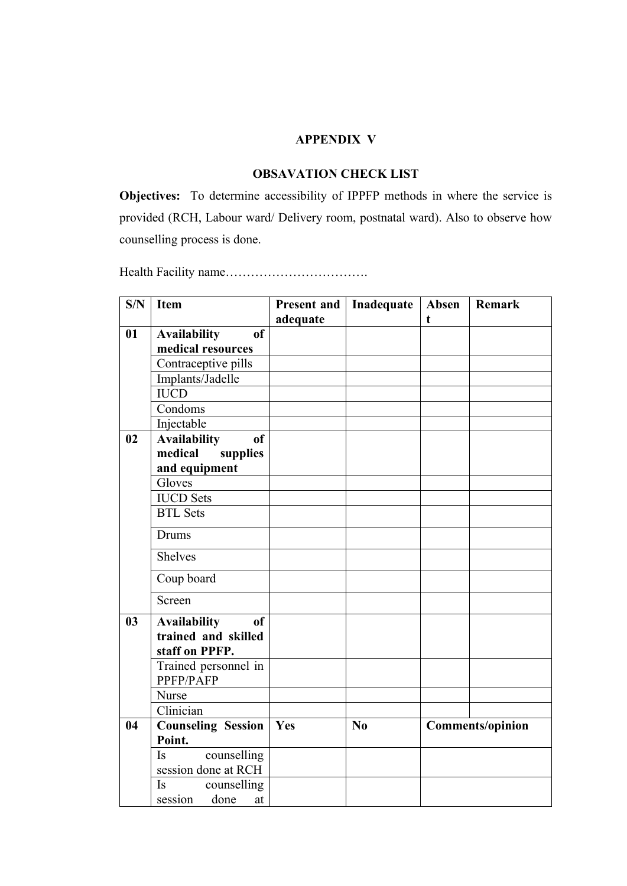#### **APPENDIX V**

## **OBSAVATION CHECK LIST**

**Objectives:** To determine accessibility of IPPFP methods in where the service is provided (RCH, Labour ward/ Delivery room, postnatal ward). Also to observe how counselling process is done.

Health Facility name…………………………….

| S/N            | <b>Item</b>                                                                   | <b>Present and</b> | Inadequate | Absen | <b>Remark</b>           |
|----------------|-------------------------------------------------------------------------------|--------------------|------------|-------|-------------------------|
|                |                                                                               | adequate           |            | t     |                         |
| 01             | <sub>of</sub><br><b>Availability</b>                                          |                    |            |       |                         |
|                | medical resources                                                             |                    |            |       |                         |
|                | Contraceptive pills                                                           |                    |            |       |                         |
|                | Implants/Jadelle                                                              |                    |            |       |                         |
|                | <b>IUCD</b>                                                                   |                    |            |       |                         |
|                | Condoms                                                                       |                    |            |       |                         |
|                | Injectable                                                                    |                    |            |       |                         |
| 02             | <b>Availability</b><br><sub>of</sub>                                          |                    |            |       |                         |
|                | medical<br>supplies                                                           |                    |            |       |                         |
|                | and equipment                                                                 |                    |            |       |                         |
|                | Gloves                                                                        |                    |            |       |                         |
|                | <b>IUCD</b> Sets                                                              |                    |            |       |                         |
|                | <b>BTL</b> Sets                                                               |                    |            |       |                         |
|                | <b>Drums</b>                                                                  |                    |            |       |                         |
|                | <b>Shelves</b>                                                                |                    |            |       |                         |
|                | Coup board                                                                    |                    |            |       |                         |
|                | Screen                                                                        |                    |            |       |                         |
| 0 <sub>3</sub> | <b>Availability</b><br><sub>of</sub><br>trained and skilled<br>staff on PPFP. |                    |            |       |                         |
|                | Trained personnel in<br>PPFP/PAFP                                             |                    |            |       |                         |
|                | <b>Nurse</b>                                                                  |                    |            |       |                         |
|                | Clinician                                                                     |                    |            |       |                         |
| 04             | <b>Counseling Session</b>                                                     | Yes                | No         |       | <b>Comments/opinion</b> |
|                | Point.                                                                        |                    |            |       |                         |
|                | counselling<br>Is                                                             |                    |            |       |                         |
|                | session done at RCH                                                           |                    |            |       |                         |
|                | Is<br>counselling                                                             |                    |            |       |                         |
|                | session<br>done<br>at                                                         |                    |            |       |                         |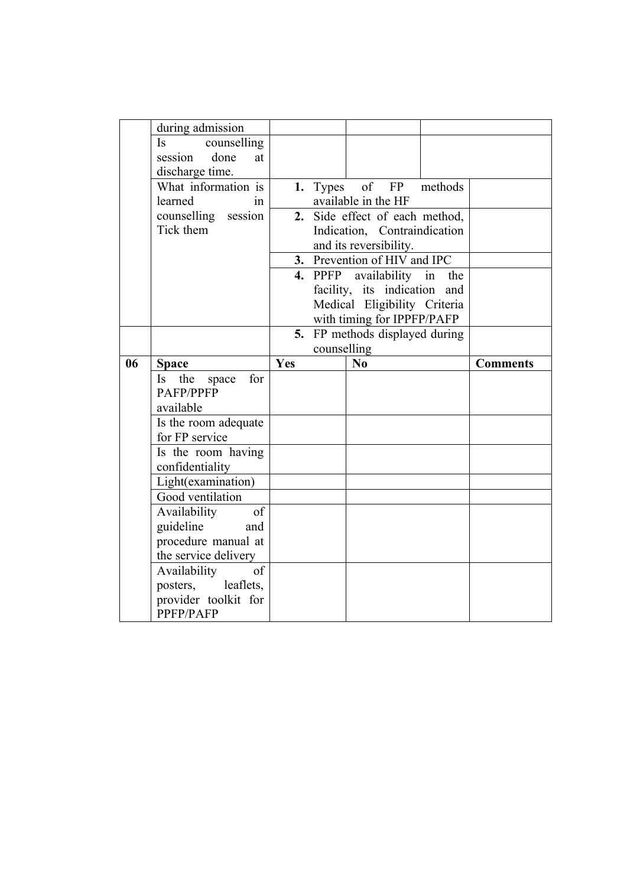|    | during admission                      |                                   |                              |                                |         |                 |
|----|---------------------------------------|-----------------------------------|------------------------------|--------------------------------|---------|-----------------|
|    | <b>Is</b><br>counselling              |                                   |                              |                                |         |                 |
|    | done<br>session<br>at                 |                                   |                              |                                |         |                 |
|    | discharge time.                       |                                   |                              |                                |         |                 |
|    | What information is                   |                                   | 1. Types                     | of<br>FP                       | methods |                 |
|    | learned<br>1n                         | available in the HF               |                              |                                |         |                 |
|    | counselling session                   | Side effect of each method,<br>2. |                              |                                |         |                 |
|    | Tick them                             | Indication, Contraindication      |                              |                                |         |                 |
|    |                                       |                                   |                              | and its reversibility.         |         |                 |
|    |                                       |                                   | 3. Prevention of HIV and IPC |                                |         |                 |
|    |                                       |                                   |                              | 4. PPFP availability in        | the     |                 |
|    |                                       |                                   |                              | facility, its indication and   |         |                 |
|    |                                       |                                   |                              | Medical Eligibility Criteria   |         |                 |
|    |                                       |                                   |                              | with timing for IPPFP/PAFP     |         |                 |
|    |                                       |                                   |                              | 5. FP methods displayed during |         |                 |
|    |                                       | counselling                       |                              |                                |         |                 |
| 06 | <b>Space</b>                          | Yes                               |                              | No                             |         | <b>Comments</b> |
|    |                                       |                                   |                              |                                |         |                 |
|    | Is the<br>for<br>space                |                                   |                              |                                |         |                 |
|    | <b>PAFP/PPFP</b>                      |                                   |                              |                                |         |                 |
|    | available                             |                                   |                              |                                |         |                 |
|    | Is the room adequate                  |                                   |                              |                                |         |                 |
|    | for FP service                        |                                   |                              |                                |         |                 |
|    | Is the room having                    |                                   |                              |                                |         |                 |
|    | confidentiality                       |                                   |                              |                                |         |                 |
|    | Light(examination)                    |                                   |                              |                                |         |                 |
|    | Good ventilation                      |                                   |                              |                                |         |                 |
|    | Availability<br>of                    |                                   |                              |                                |         |                 |
|    | guideline<br>and                      |                                   |                              |                                |         |                 |
|    | procedure manual at                   |                                   |                              |                                |         |                 |
|    | the service delivery<br>of            |                                   |                              |                                |         |                 |
|    | Availability<br>posters,<br>leaflets. |                                   |                              |                                |         |                 |
|    | provider toolkit for                  |                                   |                              |                                |         |                 |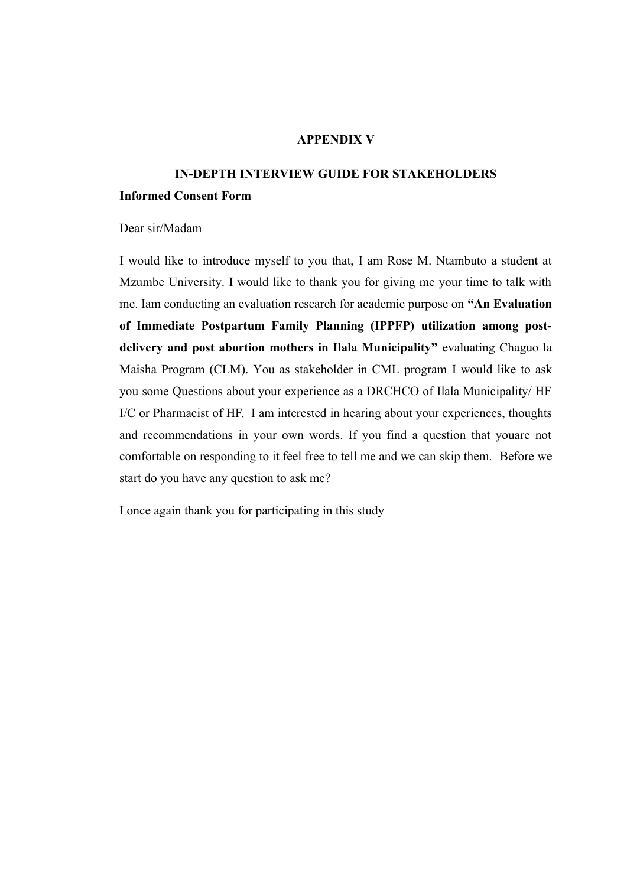## **APPENDIX V**

## **IN-DEPTH INTERVIEW GUIDE FOR STAKEHOLDERS**

## **Informed Consent Form**

Dear sir/Madam

I would like to introduce myself to you that, I am Rose M. Ntambuto a student at Mzumbe University. I would like to thank you for giving me your time to talk with me. Iam conducting an evaluation research for academic purpose on **"An Evaluation of Immediate Postpartum Family Planning (IPPFP) utilization among postdelivery and post abortion mothers in Ilala Municipality"** evaluating Chaguo la Maisha Program (CLM). You as stakeholder in CML program I would like to ask you some Questions about your experience as a DRCHCO of Ilala Municipality/ HF I/C or Pharmacist of HF. I am interested in hearing about your experiences, thoughts and recommendations in your own words. If you find a question that youare not comfortable on responding to it feel free to tell me and we can skip them. Before we start do you have any question to ask me?

I once again thank you for participating in this study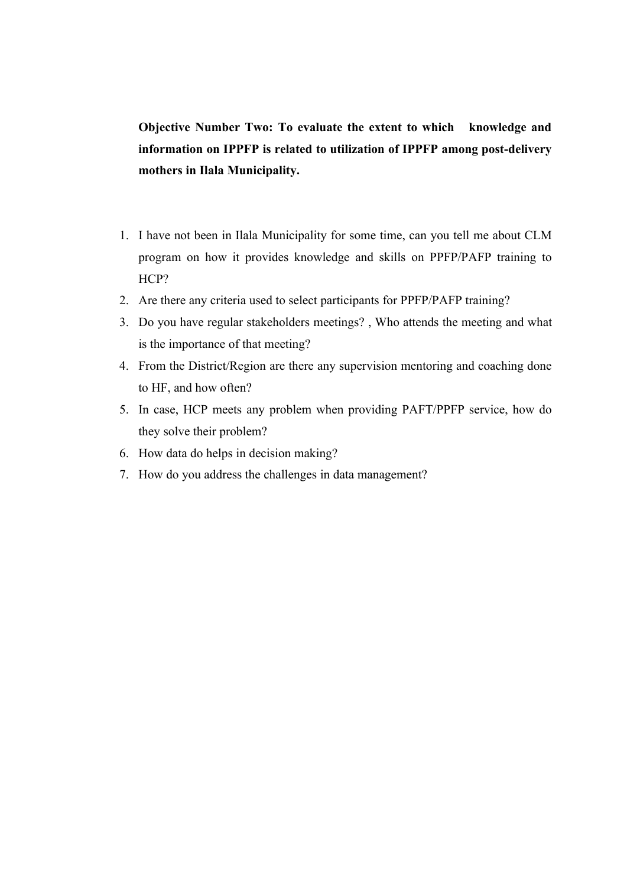**Objective Number Two: To evaluate the extent to which knowledge and information on IPPFP is related to utilization of IPPFP among post-delivery mothers in Ilala Municipality.**

- 1. I have not been in Ilala Municipality for some time, can you tell me about CLM program on how it provides knowledge and skills on PPFP/PAFP training to HCP?
- 2. Are there any criteria used to select participants for PPFP/PAFP training?
- 3. Do you have regular stakeholders meetings? , Who attends the meeting and what is the importance of that meeting?
- 4. From the District/Region are there any supervision mentoring and coaching done to HF, and how often?
- 5. In case, HCP meets any problem when providing PAFT/PPFP service, how do they solve their problem?
- 6. How data do helps in decision making?
- 7. How do you address the challenges in data management?